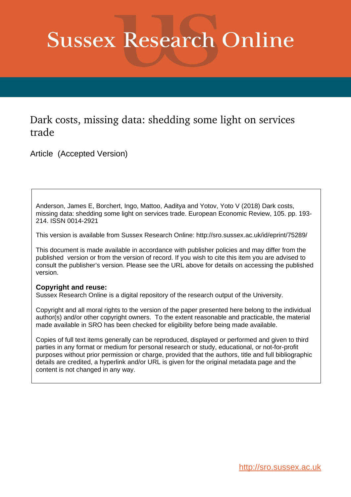# **Sussex Research Online**

# Dark costs, missing data: shedding some light on services trade

Article (Accepted Version)

Anderson, James E, Borchert, Ingo, Mattoo, Aaditya and Yotov, Yoto V (2018) Dark costs, missing data: shedding some light on services trade. European Economic Review, 105. pp. 193- 214. ISSN 0014-2921

This version is available from Sussex Research Online: http://sro.sussex.ac.uk/id/eprint/75289/

This document is made available in accordance with publisher policies and may differ from the published version or from the version of record. If you wish to cite this item you are advised to consult the publisher's version. Please see the URL above for details on accessing the published version.

#### **Copyright and reuse:**

Sussex Research Online is a digital repository of the research output of the University.

Copyright and all moral rights to the version of the paper presented here belong to the individual author(s) and/or other copyright owners. To the extent reasonable and practicable, the material made available in SRO has been checked for eligibility before being made available.

Copies of full text items generally can be reproduced, displayed or performed and given to third parties in any format or medium for personal research or study, educational, or not-for-profit purposes without prior permission or charge, provided that the authors, title and full bibliographic details are credited, a hyperlink and/or URL is given for the original metadata page and the content is not changed in any way.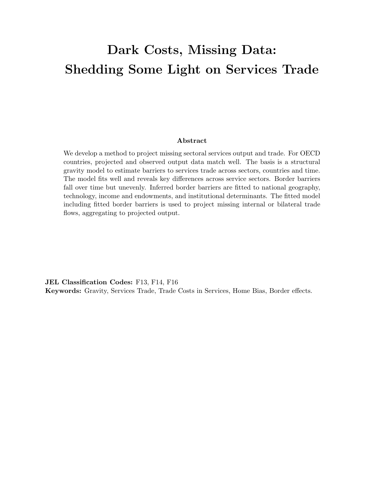# **Dark Costs, Missing Data: Shedding Some Light on Services Trade**

#### **Abstract**

We develop a method to project missing sectoral services output and trade. For OECD countries, projected and observed output data match well. The basis is a structural gravity model to estimate barriers to services trade across sectors, countries and time. The model fits well and reveals key differences across service sectors. Border barriers fall over time but unevenly. Inferred border barriers are fitted to national geography, technology, income and endowments, and institutional determinants. The fitted model including fitted border barriers is used to project missing internal or bilateral trade flows, aggregating to projected output.

**JEL Classification Codes:** F13, F14, F16 **Keywords:** Gravity, Services Trade, Trade Costs in Services, Home Bias, Border effects.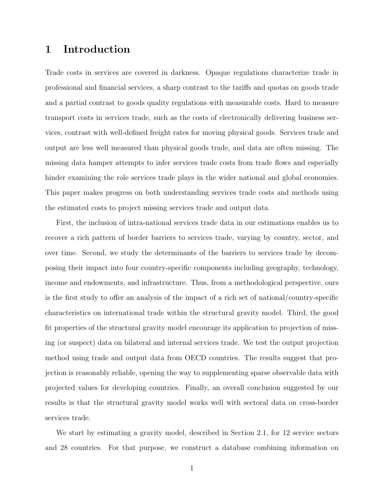### **1 Introduction**

Trade costs in services are covered in darkness. Opaque regulations characterize trade in professional and financial services, a sharp contrast to the tariffs and quotas on goods trade and a partial contrast to goods quality regulations with measurable costs. Hard to measure transport costs in services trade, such as the costs of electronically delivering business services, contrast with well-defined freight rates for moving physical goods. Services trade and output are less well measured than physical goods trade, and data are often missing. The missing data hamper attempts to infer services trade costs from trade flows and especially hinder examining the role services trade plays in the wider national and global economies. This paper makes progress on both understanding services trade costs and methods using the estimated costs to project missing services trade and output data.

First, the inclusion of intra-national services trade data in our estimations enables us to recover a rich pattern of border barriers to services trade, varying by country, sector, and over time. Second, we study the determinants of the barriers to services trade by decomposing their impact into four country-specific components including geography, technology, income and endowments, and infrastructure. Thus, from a methodological perspective, ours is the first study to offer an analysis of the impact of a rich set of national/country-specific characteristics on international trade within the structural gravity model. Third, the good fit properties of the structural gravity model encourage its application to projection of missing (or suspect) data on bilateral and internal services trade. We test the output projection method using trade and output data from OECD countries. The results suggest that projection is reasonably reliable, opening the way to supplementing sparse observable data with projected values for developing countries. Finally, an overall conclusion suggested by our results is that the structural gravity model works well with sectoral data on cross-border services trade.

We start by estimating a gravity model, described in Section 2.1, for 12 service sectors and 28 countries. For that purpose, we construct a database combining information on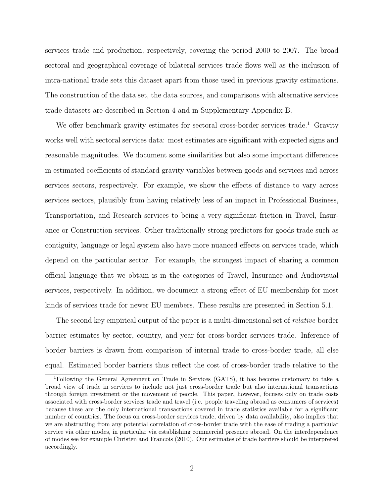services trade and production, respectively, covering the period 2000 to 2007. The broad sectoral and geographical coverage of bilateral services trade flows well as the inclusion of intra-national trade sets this dataset apart from those used in previous gravity estimations. The construction of the data set, the data sources, and comparisons with alternative services trade datasets are described in Section 4 and in Supplementary Appendix B.

We offer benchmark gravity estimates for sectoral cross-border services trade.<sup>1</sup> Gravity works well with sectoral services data: most estimates are significant with expected signs and reasonable magnitudes. We document some similarities but also some important differences in estimated coefficients of standard gravity variables between goods and services and across services sectors, respectively. For example, we show the effects of distance to vary across services sectors, plausibly from having relatively less of an impact in Professional Business, Transportation, and Research services to being a very significant friction in Travel, Insurance or Construction services. Other traditionally strong predictors for goods trade such as contiguity, language or legal system also have more nuanced effects on services trade, which depend on the particular sector. For example, the strongest impact of sharing a common official language that we obtain is in the categories of Travel, Insurance and Audiovisual services, respectively. In addition, we document a strong effect of EU membership for most kinds of services trade for newer EU members. These results are presented in Section 5.1.

The second key empirical output of the paper is a multi-dimensional set of *relative* border barrier estimates by sector, country, and year for cross-border services trade. Inference of border barriers is drawn from comparison of internal trade to cross-border trade, all else equal. Estimated border barriers thus reflect the cost of cross-border trade relative to the

<sup>1</sup>Following the General Agreement on Trade in Services (GATS), it has become customary to take a broad view of trade in services to include not just cross-border trade but also international transactions through foreign investment or the movement of people. This paper, however, focuses only on trade costs associated with cross-border services trade and travel (i.e. people traveling abroad as consumers of services) because these are the only international transactions covered in trade statistics available for a significant number of countries. The focus on cross-border services trade, driven by data availability, also implies that we are abstracting from any potential correlation of cross-border trade with the ease of trading a particular service via other modes, in particular via establishing commercial presence abroad. On the interdependence of modes see for example Christen and Francois (2010). Our estimates of trade barriers should be interpreted accordingly.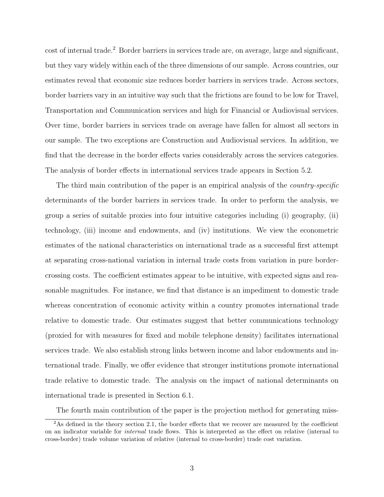cost of internal trade.<sup>2</sup> Border barriers in services trade are, on average, large and significant, but they vary widely within each of the three dimensions of our sample. Across countries, our estimates reveal that economic size reduces border barriers in services trade. Across sectors, border barriers vary in an intuitive way such that the frictions are found to be low for Travel, Transportation and Communication services and high for Financial or Audiovisual services. Over time, border barriers in services trade on average have fallen for almost all sectors in our sample. The two exceptions are Construction and Audiovisual services. In addition, we find that the decrease in the border effects varies considerably across the services categories. The analysis of border effects in international services trade appears in Section 5.2.

The third main contribution of the paper is an empirical analysis of the *country-specific* determinants of the border barriers in services trade. In order to perform the analysis, we group a series of suitable proxies into four intuitive categories including (i) geography, (ii) technology, (iii) income and endowments, and (iv) institutions. We view the econometric estimates of the national characteristics on international trade as a successful first attempt at separating cross-national variation in internal trade costs from variation in pure bordercrossing costs. The coefficient estimates appear to be intuitive, with expected signs and reasonable magnitudes. For instance, we find that distance is an impediment to domestic trade whereas concentration of economic activity within a country promotes international trade relative to domestic trade. Our estimates suggest that better communications technology (proxied for with measures for fixed and mobile telephone density) facilitates international services trade. We also establish strong links between income and labor endowments and international trade. Finally, we offer evidence that stronger institutions promote international trade relative to domestic trade. The analysis on the impact of national determinants on international trade is presented in Section 6.1.

The fourth main contribution of the paper is the projection method for generating miss-

<sup>&</sup>lt;sup>2</sup>As defined in the theory section 2.1, the border effects that we recover are measured by the coefficient on an indicator variable for *internal* trade flows. This is interpreted as the effect on relative (internal to cross-border) trade volume variation of relative (internal to cross-border) trade cost variation.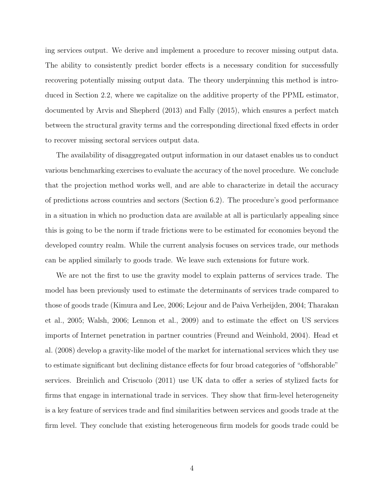ing services output. We derive and implement a procedure to recover missing output data. The ability to consistently predict border effects is a necessary condition for successfully recovering potentially missing output data. The theory underpinning this method is introduced in Section 2.2, where we capitalize on the additive property of the PPML estimator, documented by Arvis and Shepherd (2013) and Fally (2015), which ensures a perfect match between the structural gravity terms and the corresponding directional fixed effects in order to recover missing sectoral services output data.

The availability of disaggregated output information in our dataset enables us to conduct various benchmarking exercises to evaluate the accuracy of the novel procedure. We conclude that the projection method works well, and are able to characterize in detail the accuracy of predictions across countries and sectors (Section 6.2). The procedure's good performance in a situation in which no production data are available at all is particularly appealing since this is going to be the norm if trade frictions were to be estimated for economies beyond the developed country realm. While the current analysis focuses on services trade, our methods can be applied similarly to goods trade. We leave such extensions for future work.

We are not the first to use the gravity model to explain patterns of services trade. The model has been previously used to estimate the determinants of services trade compared to those of goods trade (Kimura and Lee, 2006; Lejour and de Paiva Verheijden, 2004; Tharakan et al., 2005; Walsh, 2006; Lennon et al., 2009) and to estimate the effect on US services imports of Internet penetration in partner countries (Freund and Weinhold, 2004). Head et al. (2008) develop a gravity-like model of the market for international services which they use to estimate significant but declining distance effects for four broad categories of "offshorable" services. Breinlich and Criscuolo (2011) use UK data to offer a series of stylized facts for firms that engage in international trade in services. They show that firm-level heterogeneity is a key feature of services trade and find similarities between services and goods trade at the firm level. They conclude that existing heterogeneous firm models for goods trade could be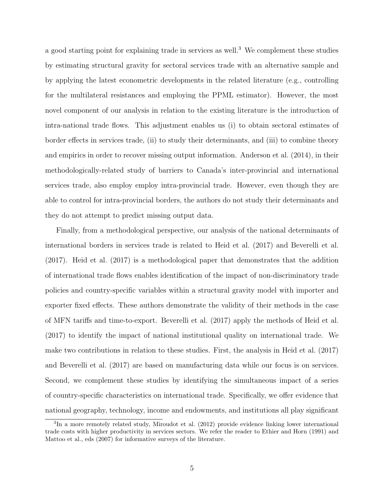a good starting point for explaining trade in services as well.<sup>3</sup> We complement these studies by estimating structural gravity for sectoral services trade with an alternative sample and by applying the latest econometric developments in the related literature (e.g., controlling for the multilateral resistances and employing the PPML estimator). However, the most novel component of our analysis in relation to the existing literature is the introduction of intra-national trade flows. This adjustment enables us (i) to obtain sectoral estimates of border effects in services trade, (ii) to study their determinants, and (iii) to combine theory and empirics in order to recover missing output information. Anderson et al. (2014), in their methodologically-related study of barriers to Canada's inter-provincial and international services trade, also employ employ intra-provincial trade. However, even though they are able to control for intra-provincial borders, the authors do not study their determinants and they do not attempt to predict missing output data.

Finally, from a methodological perspective, our analysis of the national determinants of international borders in services trade is related to Heid et al. (2017) and Beverelli et al. (2017). Heid et al. (2017) is a methodological paper that demonstrates that the addition of international trade flows enables identification of the impact of non-discriminatory trade policies and country-specific variables within a structural gravity model with importer and exporter fixed effects. These authors demonstrate the validity of their methods in the case of MFN tariffs and time-to-export. Beverelli et al. (2017) apply the methods of Heid et al. (2017) to identify the impact of national institutional quality on international trade. We make two contributions in relation to these studies. First, the analysis in Heid et al. (2017) and Beverelli et al. (2017) are based on manufacturing data while our focus is on services. Second, we complement these studies by identifying the simultaneous impact of a series of country-specific characteristics on international trade. Specifically, we offer evidence that national geography, technology, income and endowments, and institutions all play significant

<sup>3</sup>In a more remotely related study, Miroudot et al. (2012) provide evidence linking lower international trade costs with higher productivity in services sectors. We refer the reader to Ethier and Horn (1991) and Mattoo et al., eds (2007) for informative surveys of the literature.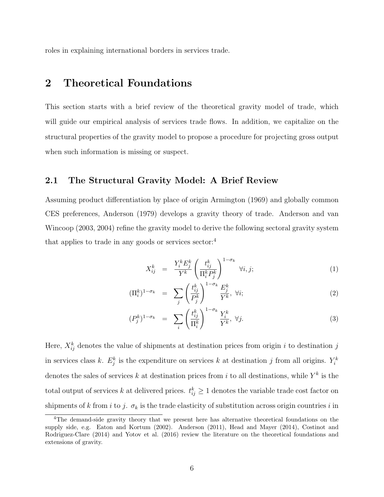roles in explaining international borders in services trade.

# **2 Theoretical Foundations**

This section starts with a brief review of the theoretical gravity model of trade, which will guide our empirical analysis of services trade flows. In addition, we capitalize on the structural properties of the gravity model to propose a procedure for projecting gross output when such information is missing or suspect.

#### **2.1 The Structural Gravity Model: A Brief Review**

Assuming product differentiation by place of origin Armington (1969) and globally common CES preferences, Anderson (1979) develops a gravity theory of trade. Anderson and van Wincoop (2003, 2004) refine the gravity model to derive the following sectoral gravity system that applies to trade in any goods or services sector:<sup>4</sup>

$$
X_{ij}^k = \frac{Y_i^k E_j^k}{Y^k} \left(\frac{t_{ij}^k}{\Pi_i^k P_j^k}\right)^{1-\sigma_k} \forall i, j; \tag{1}
$$

$$
(\Pi_i^k)^{1-\sigma_k} = \sum_j \left(\frac{t_{ij}^k}{P_j^k}\right)^{1-\sigma_k} \frac{E_j^k}{Y^k}, \ \forall i; \tag{2}
$$

$$
(P_j^k)^{1-\sigma_k} = \sum_i \left(\frac{t_{ij}^k}{\Pi_i^k}\right)^{1-\sigma_k} \frac{Y_i^k}{Y^k}, \ \forall j. \tag{3}
$$

Here,  $X_{ij}^k$  denotes the value of shipments at destination prices from origin *i* to destination *j* in services class *k*.  $E_j^k$  is the expenditure on services *k* at destination *j* from all origins.  $Y_i^k$ denotes the sales of services k at destination prices from i to all destinations, while  $Y^k$  is the total output of services *k* at delivered prices.  $t_{ij}^k \geq 1$  denotes the variable trade cost factor on shipments of *k* from *i* to *j*.  $\sigma_k$  is the trade elasticity of substitution across origin countries *i* in

<sup>&</sup>lt;sup>4</sup>The demand-side gravity theory that we present here has alternative theoretical foundations on the supply side, e.g. Eaton and Kortum (2002). Anderson (2011), Head and Mayer (2014), Costinot and Rodriguez-Clare (2014) and Yotov et al. (2016) review the literature on the theoretical foundations and extensions of gravity.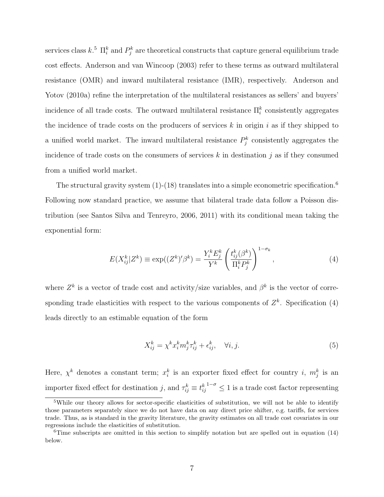$s$  ervices class  $k$ <sup>5</sup>  $\prod_{i=1}^{k}$  and  $P_j^k$  are theoretical constructs that capture general equilibrium trade cost effects. Anderson and van Wincoop (2003) refer to these terms as outward multilateral resistance (OMR) and inward multilateral resistance (IMR), respectively. Anderson and Yotov (2010a) refine the interpretation of the multilateral resistances as sellers' and buyers' incidence of all trade costs. The outward multilateral resistance  $\Pi_i^k$  consistently aggregates the incidence of trade costs on the producers of services *k* in origin *i* as if they shipped to a unified world market. The inward multilateral resistance  $P_j^k$  consistently aggregates the incidence of trade costs on the consumers of services  $k$  in destination  $j$  as if they consumed from a unified world market.

The structural gravity system  $(1)-(18)$  translates into a simple econometric specification.<sup>6</sup> Following now standard practice, we assume that bilateral trade data follow a Poisson distribution (see Santos Silva and Tenreyro, 2006, 2011) with its conditional mean taking the exponential form:

$$
E(X_{ij}^k|Z^k) \equiv \exp((Z^k)'\beta^k) = \frac{Y_i^k E_j^k}{Y^k} \left(\frac{t_{ij}^k(\beta^k)}{\Pi_i^k P_j^k}\right)^{1-\sigma_k},\tag{4}
$$

where  $Z^k$  is a vector of trade cost and activity/size variables, and  $\beta^k$  is the vector of corresponding trade elasticities with respect to the various components of  $Z^k$ . Specification (4) leads directly to an estimable equation of the form

$$
X_{ij}^k = \chi^k x_i^k m_j^k \tau_{ij}^k + \epsilon_{ij}^k, \quad \forall i, j.
$$
\n
$$
(5)
$$

Here,  $\chi^k$  denotes a constant term;  $x_i^k$  is an exporter fixed effect for country *i*,  $m_j^k$  is an importer fixed effect for destination *j*, and  $\tau_{ij}^k \equiv t_{ij}^{k,1-\sigma} \leq 1$  is a trade cost factor representing

<sup>&</sup>lt;sup>5</sup>While our theory allows for sector-specific elasticities of substitution, we will not be able to identify those parameters separately since we do not have data on any direct price shifter, e.g. tariffs, for services trade. Thus, as is standard in the gravity literature, the gravity estimates on all trade cost covariates in our regressions include the elasticities of substitution.

<sup>&</sup>lt;sup>6</sup>Time subscripts are omitted in this section to simplify notation but are spelled out in equation (14) below.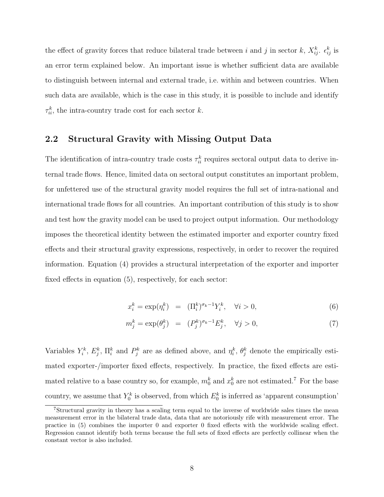the effect of gravity forces that reduce bilateral trade between *i* and *j* in sector *k*,  $X_{ij}^k$ .  $\epsilon_{ij}^k$  is an error term explained below. An important issue is whether sufficient data are available to distinguish between internal and external trade, i.e. within and between countries. When such data are available, which is the case in this study, it is possible to include and identify  $\tau_{ii}^k$ , the intra-country trade cost for each sector *k*.

#### **2.2 Structural Gravity with Missing Output Data**

The identification of intra-country trade costs  $\tau_{ii}^k$  requires sectoral output data to derive internal trade flows. Hence, limited data on sectoral output constitutes an important problem, for unfettered use of the structural gravity model requires the full set of intra-national and international trade flows for all countries. An important contribution of this study is to show and test how the gravity model can be used to project output information. Our methodology imposes the theoretical identity between the estimated importer and exporter country fixed effects and their structural gravity expressions, respectively, in order to recover the required information. Equation (4) provides a structural interpretation of the exporter and importer fixed effects in equation (5), respectively, for each sector:

$$
x_i^k = \exp(\eta_i^k) = (\Pi_i^k)^{\sigma_k - 1} Y_i^k, \quad \forall i > 0,
$$
\n
$$
(6)
$$

$$
m_j^k = \exp(\theta_j^k) = (P_j^k)^{\sigma_k - 1} E_j^k, \quad \forall j > 0,
$$
\n
$$
(7)
$$

Variables  $Y_i^k$ ,  $E_j^k$ ,  $\Pi_i^k$  and  $P_j^k$  are as defined above, and  $\eta_i^k$ ,  $\theta_j^k$  denote the empirically estimated exporter-/importer fixed effects, respectively. In practice, the fixed effects are estimated relative to a base country so, for example,  $m_0^k$  and  $x_0^k$  are not estimated.<sup>7</sup> For the base country, we assume that  $Y_0^k$  is observed, from which  $E_0^k$  is inferred as 'apparent consumption'

<sup>7</sup>Structural gravity in theory has a scaling term equal to the inverse of worldwide sales times the mean measurement error in the bilateral trade data, data that are notoriously rife with measurement error. The practice in (5) combines the importer 0 and exporter 0 fixed effects with the worldwide scaling effect. Regression cannot identify both terms because the full sets of fixed effects are perfectly collinear when the constant vector is also included.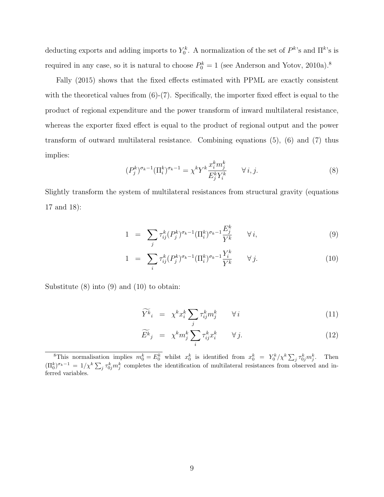deducting exports and adding imports to  $Y_0^k$ . A normalization of the set of  $P^k$ 's and  $\Pi^k$ 's is required in any case, so it is natural to choose  $P_0^k = 1$  (see Anderson and Yotov, 2010a).<sup>8</sup>

Fally (2015) shows that the fixed effects estimated with PPML are exactly consistent with the theoretical values from  $(6)-(7)$ . Specifically, the importer fixed effect is equal to the product of regional expenditure and the power transform of inward multilateral resistance, whereas the exporter fixed effect is equal to the product of regional output and the power transform of outward multilateral resistance. Combining equations (5), (6) and (7) thus implies:

$$
(P_j^k)^{\sigma_k - 1} (\Pi_i^k)^{\sigma_k - 1} = \chi^k Y^k \frac{x_i^k m_j^k}{E_j^k Y_i^k} \qquad \forall i, j.
$$
 (8)

Slightly transform the system of multilateral resistances from structural gravity (equations 17 and 18):

$$
1 = \sum_{j} \tau_{ij}^{k} (P_j^k)^{\sigma_k - 1} (\Pi_i^k)^{\sigma_k - 1} \frac{E_j^k}{Y^k} \qquad \forall i,
$$
\n
$$
(9)
$$

$$
1 = \sum_{i} \tau_{ij}^{k} (P_j^{k})^{\sigma_k - 1} (\Pi_i^{k})^{\sigma_k - 1} \frac{Y_i^{k}}{Y^{k}} \qquad \forall j.
$$
 (10)

Substitute (8) into (9) and (10) to obtain:

$$
\widetilde{Y^k}_i = \chi^k x_i^k \sum_j \tau_{ij}^k m_j^k \qquad \forall i \tag{11}
$$

$$
\widetilde{E^k}_j = \chi^k m_j^k \sum_i \tau_{ij}^k x_i^k \qquad \forall j. \tag{12}
$$

<sup>&</sup>lt;sup>8</sup>This normalisation implies  $m_0^k = E_0^k$  whilst  $x_0^k$  is identified from  $x_0^k = Y_0^k / \chi^k \sum_j \tau_{0j}^k m_j^k$ . Then  $(\Pi_0^k)^{\sigma_k-1} = 1/\chi^k \sum_j \tau_{0j}^k m_j^k$  completes the identification of multilateral resistances from observed and inferred variables.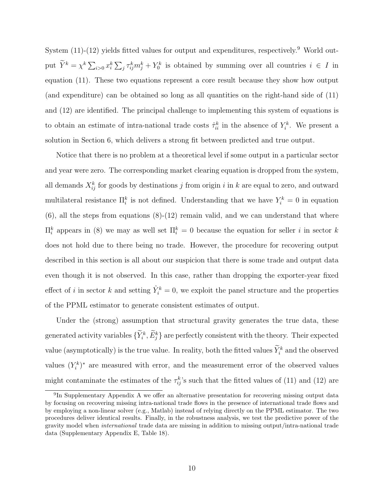System  $(11)-(12)$  yields fitted values for output and expenditures, respectively.<sup>9</sup> World output  $\widetilde{Y}^k = \chi^k \sum_{i>0} x_i^k \sum_j \tau_{ij}^k m_j^k + Y_0^k$  is obtained by summing over all countries  $i \in I$  in equation (11). These two equations represent a core result because they show how output (and expenditure) can be obtained so long as all quantities on the right-hand side of (11) and (12) are identified. The principal challenge to implementing this system of equations is to obtain an estimate of intra-national trade costs  $\hat{\tau}_{ii}^k$  in the absence of  $Y_i^k$ . We present a solution in Section 6, which delivers a strong fit between predicted and true output.

Notice that there is no problem at a theoretical level if some output in a particular sector and year were zero. The corresponding market clearing equation is dropped from the system, all demands  $X_{ij}^k$  for goods by destinations *j* from origin *i* in *k* are equal to zero, and outward multilateral resistance  $\Pi_i^k$  is not defined. Understanding that we have  $Y_i^k = 0$  in equation  $(6)$ , all the steps from equations  $(8)-(12)$  remain valid, and we can understand that where  $\Pi_i^k$  appears in (8) we may as well set  $\Pi_i^k = 0$  because the equation for seller *i* in sector *k* does not hold due to there being no trade. However, the procedure for recovering output described in this section is all about our suspicion that there is some trade and output data even though it is not observed. In this case, rather than dropping the exporter-year fixed effect of *i* in sector *k* and setting  $\hat{Y}_i^k = 0$ , we exploit the panel structure and the properties of the PPML estimator to generate consistent estimates of output.

Under the (strong) assumption that structural gravity generates the true data, these generated activity variables  $\{Y_i^k, E_j^k\}$  are perfectly consistent with the theory. Their expected value (asymptotically) is the true value. In reality, both the fitted values  $\tilde{Y}_i^k$  and the observed values  $(Y_i^k)^*$  are measured with error, and the measurement error of the observed values might contaminate the estimates of the  $\tau_{ij}^k$ 's such that the fitted values of (11) and (12) are

<sup>&</sup>lt;sup>9</sup>In Supplementary Appendix A we offer an alternative presentation for recovering missing output data by focusing on recovering missing intra-national trade flows in the presence of international trade flows and by employing a non-linear solver (e.g., Matlab) instead of relying directly on the PPML estimator. The two procedures deliver identical results. Finally, in the robustness analysis, we test the predictive power of the gravity model when *international* trade data are missing in addition to missing output/intra-national trade data (Supplementary Appendix E, Table 18).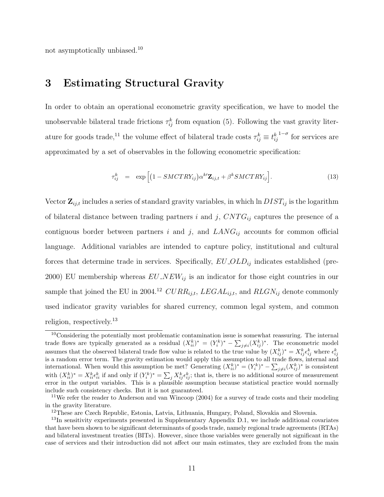not asymptotically unbiased.<sup>10</sup>

# **3 Estimating Structural Gravity**

In order to obtain an operational econometric gravity specification, we have to model the unobservable bilateral trade frictions  $\tau_{ij}^k$  from equation (5). Following the vast gravity literature for goods trade,<sup>11</sup> the volume effect of bilateral trade costs  $\tau_{ij}^k \equiv t_{ij}^{k^{-1-\sigma}}$  for services are approximated by a set of observables in the following econometric specification:

$$
\tau_{ij}^k = \exp\left[ (1 - SMCTRY_{ij}) \alpha^{k'} \mathbf{Z}_{ij,t} + \beta^k SMCTRY_{ij} \right]. \tag{13}
$$

Vector  $\mathbf{Z}_{ij,t}$  includes a series of standard gravity variables, in which  $\ln DIST_{ij}$  is the logarithm of bilateral distance between trading partners  $i$  and  $j$ ,  $CNTG_{ij}$  captures the presence of a contiguous border between partners  $i$  and  $j$ , and  $LANG_{ij}$  accounts for common official language. Additional variables are intended to capture policy, institutional and cultural forces that determine trade in services. Specifically, *EU OLDij* indicates established (pre-2000) EU membership whereas *EU NEWij* is an indicator for those eight countries in our sample that joined the EU in 2004.<sup>12</sup> *CURR*<sub>ij,t</sub>, *LEGAL*<sub>ij,t</sub>, and *RLGN*<sub>ij</sub> denote commonly used indicator gravity variables for shared currency, common legal system, and common religion, respectively.<sup>13</sup>

<sup>10</sup>Considering the potentially most problematic contamination issue is somewhat reassuring. The internal trade flows are typically generated as a residual  $(X_{ii}^k)^* = (Y_i^k)^* - \sum_{j\neq i} (X_{ij}^k)^*$ . The econometric model assumes that the observed bilateral trade flow value is related to the true value by  $(X_{ij}^k)^* = X_{ij}^k \epsilon_{ij}^k$  where  $\epsilon_{ij}^k$  is a random error term. The gravity estimation would apply this assumption to all trade flows, international. When would this assumption be met? Generating  $(X_{ii}^k)^* = (Y_i^k)^* - \sum_{j\neq i} (X_{ij}^k)^*$  is consistent with  $(X_{ii}^k)^* = X_{ii}^k \epsilon_{ii}^k$  if and only if  $(Y_i^k)^* = \sum_j X_{ij}^k \epsilon_{ij}^k$ ; that is, there is no additional source of measurement error in the output variables. This is a plausible assumption because statistical practice would normally include such consistency checks. But it is not guaranteed.

<sup>11</sup>We refer the reader to Anderson and van Wincoop (2004) for a survey of trade costs and their modeling in the gravity literature.

<sup>&</sup>lt;sup>12</sup>These are Czech Republic, Estonia, Latvia, Lithuania, Hungary, Poland, Slovakia and Slovenia.

 $13$ In sensitivity experiments presented in Supplementary Appendix D.1, we include additional covariates that have been shown to be significant determinants of goods trade, namely regional trade agreements (RTAs) and bilateral investment treaties (BITs). However, since those variables were generally not significant in the case of services and their introduction did not affect our main estimates, they are excluded from the main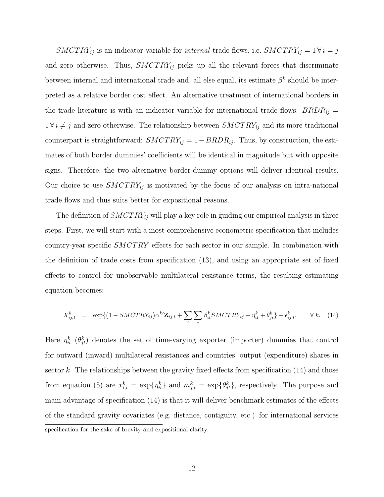*SMCTRY*<sup>*i*</sup><sub>*ij*</sub> is an indicator variable for *internal* trade flows, i.e. *SMCTRY*<sup>*i*</sup><sub>*ij*</sub> = 1 $\forall i = j$ and zero otherwise. Thus, *SMCT RYij* picks up all the relevant forces that discriminate between internal and international trade and, all else equal, its estimate *β<sup>k</sup>* should be interpreted as a relative border cost effect. An alternative treatment of international borders in the trade literature is with an indicator variable for international trade flows:  $BRDR_{ij}$  =  $1 \forall i \neq j$  and zero otherwise. The relationship between  $SMCTRY_{ij}$  and its more traditional counterpart is straightforward:  $SMCTRY_{ij} = 1 - BRDR_{ij}$ . Thus, by construction, the estimates of both border dummies' coefficients will be identical in magnitude but with opposite signs. Therefore, the two alternative border-dummy options will deliver identical results. Our choice to use  $SMCTRY_{ij}$  is motivated by the focus of our analysis on intra-national trade flows and thus suits better for expositional reasons.

The definition of *SMCT RYij* will play a key role in guiding our empirical analysis in three steps. First, we will start with a most-comprehensive econometric specification that includes country-year specific *SMCT RY* effects for each sector in our sample. In combination with the definition of trade costs from specification (13), and using an appropriate set of fixed effects to control for unobservable multilateral resistance terms, the resulting estimating equation becomes:

$$
X_{ij,t}^k = \exp\{ \left(1 - SMCTRY_{ij}\right) \alpha^{k'} \mathbf{Z}_{ij,t} + \sum_i \sum_t \beta_{it}^k SMCTRY_{ij} + \eta_{it}^k + \theta_{jt}^k \} + \epsilon_{ij,t}^k, \qquad \forall k. \tag{14}
$$

Here  $\eta^k_{it}$  ( $\theta^k_{jt}$ ) denotes the set of time-varying exporter (importer) dummies that control for outward (inward) multilateral resistances and countries' output (expenditure) shares in sector *k*. The relationships between the gravity fixed effects from specification (14) and those from equation (5) are  $x_{i,t}^k = \exp\{\eta_{it}^k\}$  and  $m_{j,t}^k = \exp\{\theta_{jt}^k\}$ , respectively. The purpose and main advantage of specification (14) is that it will deliver benchmark estimates of the effects of the standard gravity covariates (e.g. distance, contiguity, etc.) for international services specification for the sake of brevity and expositional clarity.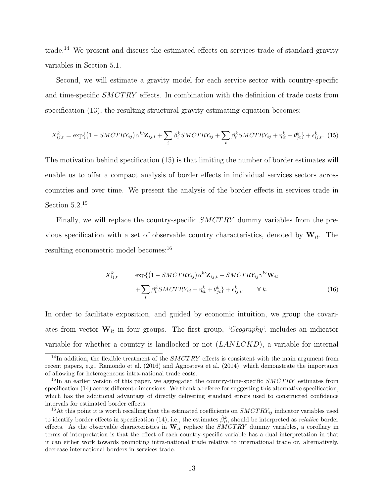trade.<sup>14</sup> We present and discuss the estimated effects on services trade of standard gravity variables in Section 5.1.

Second, we will estimate a gravity model for each service sector with country-specific and time-specific *SMCT RY* effects. In combination with the definition of trade costs from specification (13), the resulting structural gravity estimating equation becomes:

$$
X_{ij,t}^k = \exp\left\{ \left( 1 - SMCTRY_{ij} \right) \alpha^{k'} \mathbf{Z}_{ij,t} + \sum_i \beta_i^k SMCTRY_{ij} + \sum_t \beta_t^k SMCTRY_{ij} + \eta_{it}^k + \theta_{jt}^k \right\} + \epsilon_{ij,t}^k. \tag{15}
$$

The motivation behind specification (15) is that limiting the number of border estimates will enable us to offer a compact analysis of border effects in individual services sectors across countries and over time. We present the analysis of the border effects in services trade in Section  $5.2^{15}$ 

Finally, we will replace the country-specific *SMCT RY* dummy variables from the previous specification with a set of observable country characteristics, denoted by **W***it*. The resulting econometric model becomes:<sup>16</sup>

$$
X_{ij,t}^k = \exp\{ (1 - SMCTRY_{ij}) \alpha^{k'} \mathbf{Z}_{ij,t} + SMCTRY_{ij} \gamma^{k'} \mathbf{W}_{it} + \sum_t \beta_t^k SMCTRY_{ij} + \eta_{it}^k + \theta_{jt}^k \} + \epsilon_{ij,t}^k, \qquad \forall k.
$$
\n(16)

In order to facilitate exposition, and guided by economic intuition, we group the covariates from vector  $W_{it}$  in four groups. The first group, *'Geography'*, includes an indicator variable for whether a country is landlocked or not (*LANLCKD*), a variable for internal

<sup>&</sup>lt;sup>14</sup>In addition, the flexible treatment of the *SMCTRY* effects is consistent with the main argument from recent papers, e.g., Ramondo et al. (2016) and Agnosteva et al. (2014), which demonstrate the importance of allowing for heterogeneous intra-national trade costs.

<sup>15</sup>In an earlier version of this paper, we aggregated the country-time-specific *SMCT RY* estimates from specification (14) across different dimensions. We thank a referee for suggesting this alternative specification, which has the additional advantage of directly delivering standard errors used to constructed confidence intervals for estimated border effects.

<sup>&</sup>lt;sup>16</sup>At this point it is worth recalling that the estimated coefficients on  $SMCTRY_{ij}$  indicator variables used to identify border effects in specification (14), i.e., the estimates  $\hat{\beta}_{it}^{k}$ , should be interpreted as *relative* border effects. As the observable characteristics in **W***it* replace the *SMCT RY* dummy variables, a corollary in terms of interpretation is that the effect of each country-specific variable has a dual interpretation in that it can either work towards promoting intra-national trade relative to international trade or, alternatively, decrease international borders in services trade.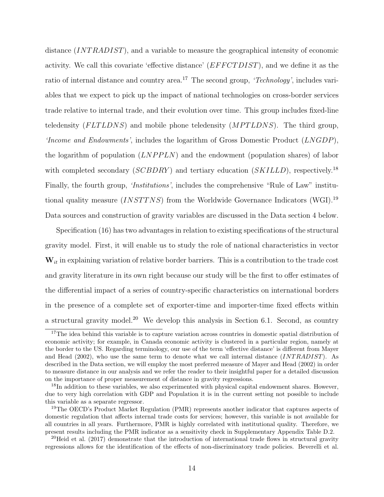distance (*INT RADIST*), and a variable to measure the geographical intensity of economic activity. We call this covariate 'effective distance' (*EF F CT DIST*), and we define it as the ratio of internal distance and country area.<sup>17</sup> The second group, *'Technology'*, includes variables that we expect to pick up the impact of national technologies on cross-border services trade relative to internal trade, and their evolution over time. This group includes fixed-line teledensity (*F LT LDNS*) and mobile phone teledensity (*MP T LDNS*). The third group, *'Income and Endowments'*, includes the logarithm of Gross Domestic Product (*LNGDP*), the logarithm of population (*LNPPLN*) and the endowment (population shares) of labor with completed secondary (*SCBDRY*) and tertiary education (*SKILLD*), respectively.<sup>18</sup> Finally, the fourth group, *'Institutions'*, includes the comprehensive "Rule of Law" institutional quality measure (*INSTTNS*) from the Worldwide Governance Indicators (WGI).<sup>19</sup> Data sources and construction of gravity variables are discussed in the Data section 4 below.

Specification (16) has two advantages in relation to existing specifications of the structural gravity model. First, it will enable us to study the role of national characteristics in vector  $W_{it}$  in explaining variation of relative border barriers. This is a contribution to the trade cost and gravity literature in its own right because our study will be the first to offer estimates of the differential impact of a series of country-specific characteristics on international borders in the presence of a complete set of exporter-time and importer-time fixed effects within a structural gravity model.<sup>20</sup> We develop this analysis in Section 6.1. Second, as country

<sup>&</sup>lt;sup>17</sup>The idea behind this variable is to capture variation across countries in domestic spatial distribution of economic activity; for example, in Canada economic activity is clustered in a particular region, namely at the border to the US. Regarding terminology, our use of the term 'effective distance' is different from Mayer and Head (2002), who use the same term to denote what we call internal distance (*INT RADIST*). As described in the Data section, we will employ the most preferred measure of Mayer and Head (2002) in order to measure distance in our analysis and we refer the reader to their insightful paper for a detailed discussion on the importance of proper measurement of distance in gravity regressions.

<sup>&</sup>lt;sup>18</sup>In addition to these variables, we also experimented with physical capital endowment shares. However, due to very high correlation with GDP and Population it is in the current setting not possible to include this variable as a separate regressor.

<sup>&</sup>lt;sup>19</sup>The OECD's Product Market Regulation (PMR) represents another indicator that captures aspects of domestic regulation that affects internal trade costs for services; however, this variable is not available for all countries in all years. Furthermore, PMR is highly correlated with institutional quality. Therefore, we present results including the PMR indicator as a sensitivity check in Supplementary Appendix Table D.2.

<sup>&</sup>lt;sup>20</sup>Heid et al. (2017) demonstrate that the introduction of international trade flows in structural gravity regressions allows for the identification of the effects of non-discriminatory trade policies. Beverelli et al.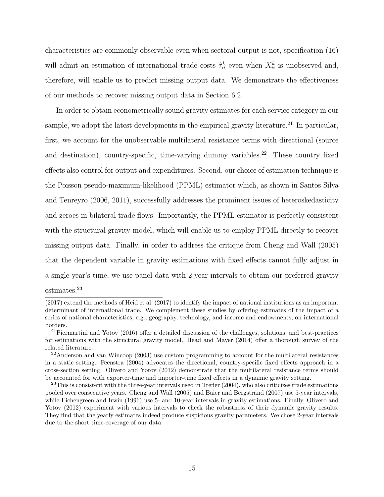characteristics are commonly observable even when sectoral output is not, specification (16) will admit an estimation of international trade costs  $\hat{\tau}_{ii}^k$  even when  $X_{ii}^k$  is unobserved and, therefore, will enable us to predict missing output data. We demonstrate the effectiveness of our methods to recover missing output data in Section 6.2.

In order to obtain econometrically sound gravity estimates for each service category in our sample, we adopt the latest developments in the empirical gravity literature.<sup>21</sup> In particular, first, we account for the unobservable multilateral resistance terms with directional (source and destination), country-specific, time-varying dummy variables.<sup>22</sup> These country fixed effects also control for output and expenditures. Second, our choice of estimation technique is the Poisson pseudo-maximum-likelihood (PPML) estimator which, as shown in Santos Silva and Tenreyro (2006, 2011), successfully addresses the prominent issues of heteroskedasticity and zeroes in bilateral trade flows. Importantly, the PPML estimator is perfectly consistent with the structural gravity model, which will enable us to employ PPML directly to recover missing output data. Finally, in order to address the critique from Cheng and Wall (2005) that the dependent variable in gravity estimations with fixed effects cannot fully adjust in a single year's time, we use panel data with 2-year intervals to obtain our preferred gravity estimates.<sup>23</sup>

<sup>(2017)</sup> extend the methods of Heid et al. (2017) to identify the impact of national institutions as an important determinant of international trade. We complement these studies by offering estimates of the impact of a series of national characteristics, e.g., geography, technology, and income and endowments, on international borders.

<sup>&</sup>lt;sup>21</sup> Piermartini and Yotov (2016) offer a detailed discussion of the challenges, solutions, and best-practices for estimations with the structural gravity model. Head and Mayer (2014) offer a thorough survey of the related literature.

 $^{22}$ Anderson and van Wincoop (2003) use custom programming to account for the multilateral resistances in a static setting. Feenstra (2004) advocates the directional, country-specific fixed effects approach in a cross-section setting. Olivero and Yotov (2012) demonstrate that the multilateral resistance terms should be accounted for with exporter-time and importer-time fixed effects in a dynamic gravity setting.

 $23$ This is consistent with the three-year intervals used in Trefler (2004), who also criticizes trade estimations pooled over consecutive years. Cheng and Wall (2005) and Baier and Bergstrand (2007) use 5-year intervals, while Eichengreen and Irwin (1996) use 5- and 10-year intervals in gravity estimations. Finally, Olivero and Yotov (2012) experiment with various intervals to check the robustness of their dynamic gravity results. They find that the yearly estimates indeed produce suspicious gravity parameters. We chose 2-year intervals due to the short time-coverage of our data.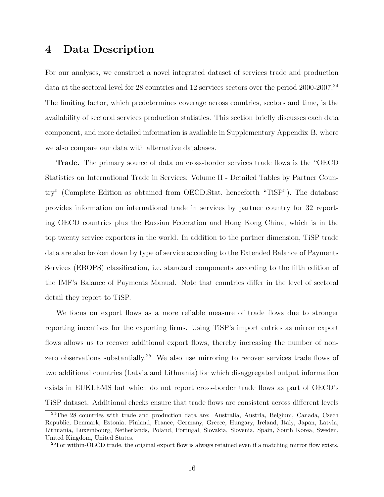#### **4 Data Description**

For our analyses, we construct a novel integrated dataset of services trade and production data at the sectoral level for 28 countries and 12 services sectors over the period 2000-2007.<sup>24</sup> The limiting factor, which predetermines coverage across countries, sectors and time, is the availability of sectoral services production statistics. This section briefly discusses each data component, and more detailed information is available in Supplementary Appendix B, where we also compare our data with alternative databases.

**Trade.** The primary source of data on cross-border services trade flows is the "OECD Statistics on International Trade in Services: Volume II - Detailed Tables by Partner Country" (Complete Edition as obtained from OECD.Stat, henceforth "TiSP"). The database provides information on international trade in services by partner country for 32 reporting OECD countries plus the Russian Federation and Hong Kong China, which is in the top twenty service exporters in the world. In addition to the partner dimension, TiSP trade data are also broken down by type of service according to the Extended Balance of Payments Services (EBOPS) classification, i.e. standard components according to the fifth edition of the IMF's Balance of Payments Manual. Note that countries differ in the level of sectoral detail they report to TiSP.

We focus on export flows as a more reliable measure of trade flows due to stronger reporting incentives for the exporting firms. Using TiSP's import entries as mirror export flows allows us to recover additional export flows, thereby increasing the number of nonzero observations substantially.<sup>25</sup> We also use mirroring to recover services trade flows of two additional countries (Latvia and Lithuania) for which disaggregated output information exists in EUKLEMS but which do not report cross-border trade flows as part of OECD's TiSP dataset. Additional checks ensure that trade flows are consistent across different levels

<sup>&</sup>lt;sup>24</sup>The 28 countries with trade and production data are: Australia, Austria, Belgium, Canada, Czech Republic, Denmark, Estonia, Finland, France, Germany, Greece, Hungary, Ireland, Italy, Japan, Latvia, Lithuania, Luxembourg, Netherlands, Poland, Portugal, Slovakia, Slovenia, Spain, South Korea, Sweden, United Kingdom, United States.

<sup>&</sup>lt;sup>25</sup>For within-OECD trade, the original export flow is always retained even if a matching mirror flow exists.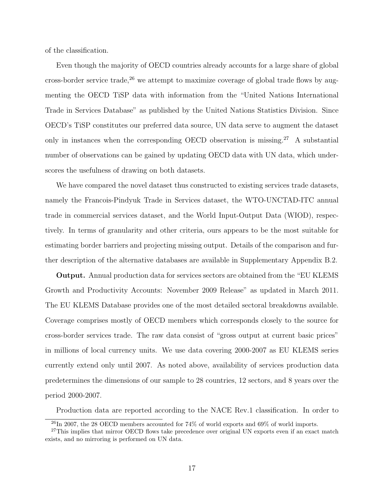of the classification.

Even though the majority of OECD countries already accounts for a large share of global cross-border service trade,<sup>26</sup> we attempt to maximize coverage of global trade flows by augmenting the OECD TiSP data with information from the "United Nations International Trade in Services Database" as published by the United Nations Statistics Division. Since OECD's TiSP constitutes our preferred data source, UN data serve to augment the dataset only in instances when the corresponding OECD observation is missing.<sup>27</sup> A substantial number of observations can be gained by updating OECD data with UN data, which underscores the usefulness of drawing on both datasets.

We have compared the novel dataset thus constructed to existing services trade datasets, namely the Francois-Pindyuk Trade in Services dataset, the WTO-UNCTAD-ITC annual trade in commercial services dataset, and the World Input-Output Data (WIOD), respectively. In terms of granularity and other criteria, ours appears to be the most suitable for estimating border barriers and projecting missing output. Details of the comparison and further description of the alternative databases are available in Supplementary Appendix B.2.

**Output.** Annual production data for services sectors are obtained from the "EU KLEMS Growth and Productivity Accounts: November 2009 Release" as updated in March 2011. The EU KLEMS Database provides one of the most detailed sectoral breakdowns available. Coverage comprises mostly of OECD members which corresponds closely to the source for cross-border services trade. The raw data consist of "gross output at current basic prices" in millions of local currency units. We use data covering 2000-2007 as EU KLEMS series currently extend only until 2007. As noted above, availability of services production data predetermines the dimensions of our sample to 28 countries, 12 sectors, and 8 years over the period 2000-2007.

Production data are reported according to the NACE Rev.1 classification. In order to

 $^{26}{\rm In}$  2007, the 28 OECD members accounted for 74% of world exports and 69% of world imports.

<sup>&</sup>lt;sup>27</sup>This implies that mirror OECD flows take precedence over original UN exports even if an exact match exists, and no mirroring is performed on UN data.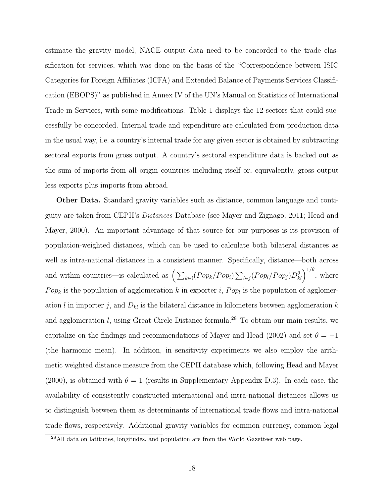estimate the gravity model, NACE output data need to be concorded to the trade classification for services, which was done on the basis of the "Correspondence between ISIC Categories for Foreign Affiliates (ICFA) and Extended Balance of Payments Services Classification (EBOPS)" as published in Annex IV of the UN's Manual on Statistics of International Trade in Services, with some modifications. Table 1 displays the 12 sectors that could successfully be concorded. Internal trade and expenditure are calculated from production data in the usual way, i.e. a country's internal trade for any given sector is obtained by subtracting sectoral exports from gross output. A country's sectoral expenditure data is backed out as the sum of imports from all origin countries including itself or, equivalently, gross output less exports plus imports from abroad.

**Other Data.** Standard gravity variables such as distance, common language and contiguity are taken from CEPII's *Distances* Database (see Mayer and Zignago, 2011; Head and Mayer, 2000). An important advantage of that source for our purposes is its provision of population-weighted distances, which can be used to calculate both bilateral distances as well as intra-national distances in a consistent manner. Specifically, distance—both across and within countries—is calculated as  $\left(\sum_{k \in i} (Pop_k/Pop_i) \sum_{l \in j} (Pop_l/Pop_j) D^{\theta}_{kl}\right)^{1/\theta}$ , where  $Pop_k$  is the population of agglomeration *k* in exporter *i*,  $Pop_l$  is the population of agglomeration *l* in importer *j*, and  $D_{kl}$  is the bilateral distance in kilometers between agglomeration  $k$ and agglomeration *l*, using Great Circle Distance formula.<sup>28</sup> To obtain our main results, we capitalize on the findings and recommendations of Mayer and Head (2002) and set  $\theta = -1$ (the harmonic mean). In addition, in sensitivity experiments we also employ the arithmetic weighted distance measure from the CEPII database which, following Head and Mayer (2000), is obtained with  $\theta = 1$  (results in Supplementary Appendix D.3). In each case, the availability of consistently constructed international and intra-national distances allows us to distinguish between them as determinants of international trade flows and intra-national trade flows, respectively. Additional gravity variables for common currency, common legal

<sup>&</sup>lt;sup>28</sup>All data on latitudes, longitudes, and population are from the World Gazetteer web page.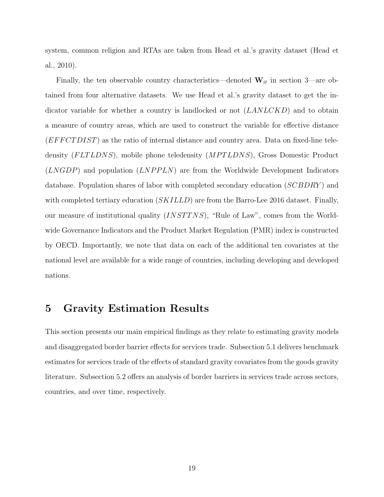system, common religion and RTAs are taken from Head et al.'s gravity dataset (Head et al., 2010).

Finally, the ten observable country characteristics—denoted **W***it* in section 3—are obtained from four alternative datasets. We use Head et al.'s gravity dataset to get the indicator variable for whether a country is landlocked or not (*LANLCKD*) and to obtain a measure of country areas, which are used to construct the variable for effective distance (*EFFCTDIST*) as the ratio of internal distance and country area. Data on fixed-line teledensity (*F LT LDNS*), mobile phone teledensity (*MP T LDNS*), Gross Domestic Product (*LNGDP*) and population (*LNPPLN*) are from the Worldwide Development Indicators database. Population shares of labor with completed secondary education (*SCBDRY* ) and with completed tertiary education *(SKILLD)* are from the Barro-Lee 2016 dataset. Finally, our measure of institutional quality (*INST T NS*), "Rule of Law", comes from the Worldwide Governance Indicators and the Product Market Regulation (PMR) index is constructed by OECD. Importantly, we note that data on each of the additional ten covariates at the national level are available for a wide range of countries, including developing and developed nations.

#### **5 Gravity Estimation Results**

This section presents our main empirical findings as they relate to estimating gravity models and disaggregated border barrier effects for services trade. Subsection 5.1 delivers benchmark estimates for services trade of the effects of standard gravity covariates from the goods gravity literature. Subsection 5.2 offers an analysis of border barriers in services trade across sectors, countries, and over time, respectively.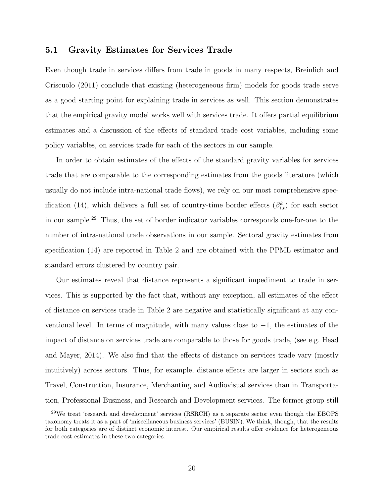#### **5.1 Gravity Estimates for Services Trade**

Even though trade in services differs from trade in goods in many respects, Breinlich and Criscuolo (2011) conclude that existing (heterogeneous firm) models for goods trade serve as a good starting point for explaining trade in services as well. This section demonstrates that the empirical gravity model works well with services trade. It offers partial equilibrium estimates and a discussion of the effects of standard trade cost variables, including some policy variables, on services trade for each of the sectors in our sample.

In order to obtain estimates of the effects of the standard gravity variables for services trade that are comparable to the corresponding estimates from the goods literature (which usually do not include intra-national trade flows), we rely on our most comprehensive specification (14), which delivers a full set of country-time border effects  $(\beta^k_{i,t})$  for each sector in our sample.<sup>29</sup> Thus, the set of border indicator variables corresponds one-for-one to the number of intra-national trade observations in our sample. Sectoral gravity estimates from specification (14) are reported in Table 2 and are obtained with the PPML estimator and standard errors clustered by country pair.

Our estimates reveal that distance represents a significant impediment to trade in services. This is supported by the fact that, without any exception, all estimates of the effect of distance on services trade in Table 2 are negative and statistically significant at any conventional level. In terms of magnitude, with many values close to *−*1, the estimates of the impact of distance on services trade are comparable to those for goods trade, (see e.g. Head and Mayer, 2014). We also find that the effects of distance on services trade vary (mostly intuitively) across sectors. Thus, for example, distance effects are larger in sectors such as Travel, Construction, Insurance, Merchanting and Audiovisual services than in Transportation, Professional Business, and Research and Development services. The former group still

<sup>&</sup>lt;sup>29</sup>We treat 'research and development' services (RSRCH) as a separate sector even though the EBOPS taxonomy treats it as a part of 'miscellaneous business services' (BUSIN). We think, though, that the results for both categories are of distinct economic interest. Our empirical results offer evidence for heterogeneous trade cost estimates in these two categories.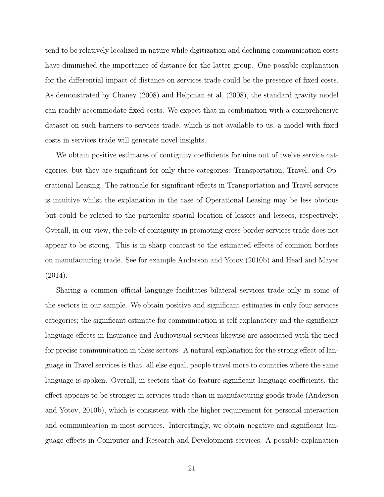tend to be relatively localized in nature while digitization and declining communication costs have diminished the importance of distance for the latter group. One possible explanation for the differential impact of distance on services trade could be the presence of fixed costs. As demonstrated by Chaney (2008) and Helpman et al. (2008), the standard gravity model can readily accommodate fixed costs. We expect that in combination with a comprehensive dataset on such barriers to services trade, which is not available to us, a model with fixed costs in services trade will generate novel insights.

We obtain positive estimates of contiguity coefficients for nine out of twelve service categories, but they are significant for only three categories: Transportation, Travel, and Operational Leasing. The rationale for significant effects in Transportation and Travel services is intuitive whilst the explanation in the case of Operational Leasing may be less obvious but could be related to the particular spatial location of lessors and lessees, respectively. Overall, in our view, the role of contiguity in promoting cross-border services trade does not appear to be strong. This is in sharp contrast to the estimated effects of common borders on manufacturing trade. See for example Anderson and Yotov (2010b) and Head and Mayer (2014).

Sharing a common official language facilitates bilateral services trade only in some of the sectors in our sample. We obtain positive and significant estimates in only four services categories; the significant estimate for communication is self-explanatory and the significant language effects in Insurance and Audiovisual services likewise are associated with the need for precise communication in these sectors. A natural explanation for the strong effect of language in Travel services is that, all else equal, people travel more to countries where the same language is spoken. Overall, in sectors that do feature significant language coefficients, the effect appears to be stronger in services trade than in manufacturing goods trade (Anderson and Yotov, 2010b), which is consistent with the higher requirement for personal interaction and communication in most services. Interestingly, we obtain negative and significant language effects in Computer and Research and Development services. A possible explanation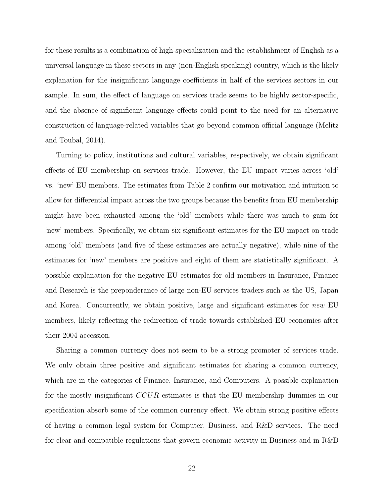for these results is a combination of high-specialization and the establishment of English as a universal language in these sectors in any (non-English speaking) country, which is the likely explanation for the insignificant language coefficients in half of the services sectors in our sample. In sum, the effect of language on services trade seems to be highly sector-specific, and the absence of significant language effects could point to the need for an alternative construction of language-related variables that go beyond common official language (Melitz and Toubal, 2014).

Turning to policy, institutions and cultural variables, respectively, we obtain significant effects of EU membership on services trade. However, the EU impact varies across 'old' vs. 'new' EU members. The estimates from Table 2 confirm our motivation and intuition to allow for differential impact across the two groups because the benefits from EU membership might have been exhausted among the 'old' members while there was much to gain for 'new' members. Specifically, we obtain six significant estimates for the EU impact on trade among 'old' members (and five of these estimates are actually negative), while nine of the estimates for 'new' members are positive and eight of them are statistically significant. A possible explanation for the negative EU estimates for old members in Insurance, Finance and Research is the preponderance of large non-EU services traders such as the US, Japan and Korea. Concurrently, we obtain positive, large and significant estimates for *new* EU members, likely reflecting the redirection of trade towards established EU economies after their 2004 accession.

Sharing a common currency does not seem to be a strong promoter of services trade. We only obtain three positive and significant estimates for sharing a common currency, which are in the categories of Finance, Insurance, and Computers. A possible explanation for the mostly insignificant *CCUR* estimates is that the EU membership dummies in our specification absorb some of the common currency effect. We obtain strong positive effects of having a common legal system for Computer, Business, and R&D services. The need for clear and compatible regulations that govern economic activity in Business and in R&D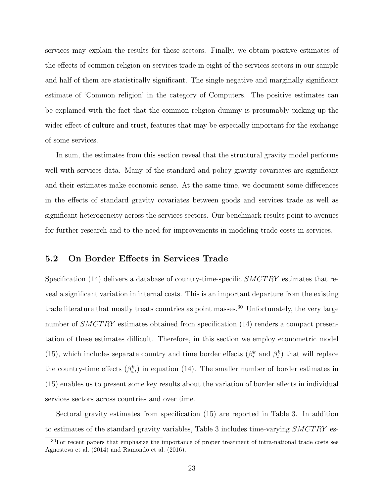services may explain the results for these sectors. Finally, we obtain positive estimates of the effects of common religion on services trade in eight of the services sectors in our sample and half of them are statistically significant. The single negative and marginally significant estimate of 'Common religion' in the category of Computers. The positive estimates can be explained with the fact that the common religion dummy is presumably picking up the wider effect of culture and trust, features that may be especially important for the exchange of some services.

In sum, the estimates from this section reveal that the structural gravity model performs well with services data. Many of the standard and policy gravity covariates are significant and their estimates make economic sense. At the same time, we document some differences in the effects of standard gravity covariates between goods and services trade as well as significant heterogeneity across the services sectors. Our benchmark results point to avenues for further research and to the need for improvements in modeling trade costs in services.

#### **5.2 On Border Effects in Services Trade**

Specification (14) delivers a database of country-time-specific *SMCT RY* estimates that reveal a significant variation in internal costs. This is an important departure from the existing trade literature that mostly treats countries as point masses.<sup>30</sup> Unfortunately, the very large number of *SMCTRY* estimates obtained from specification (14) renders a compact presentation of these estimates difficult. Therefore, in this section we employ econometric model (15), which includes separate country and time border effects  $(\beta_i^k \text{ and } \beta_i^k)$  that will replace the country-time effects  $(\beta_{i,t}^k)$  in equation (14). The smaller number of border estimates in (15) enables us to present some key results about the variation of border effects in individual services sectors across countries and over time.

Sectoral gravity estimates from specification (15) are reported in Table 3. In addition to estimates of the standard gravity variables, Table 3 includes time-varying *SMCT RY* es-

 $30$ For recent papers that emphasize the importance of proper treatment of intra-national trade costs see Agnosteva et al. (2014) and Ramondo et al. (2016).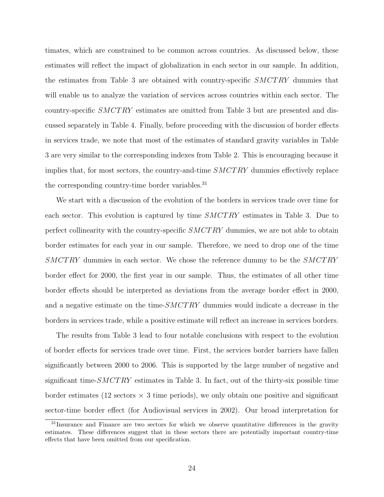timates, which are constrained to be common across countries. As discussed below, these estimates will reflect the impact of globalization in each sector in our sample. In addition, the estimates from Table 3 are obtained with country-specific *SMCT RY* dummies that will enable us to analyze the variation of services across countries within each sector. The country-specific *SMCT RY* estimates are omitted from Table 3 but are presented and discussed separately in Table 4. Finally, before proceeding with the discussion of border effects in services trade, we note that most of the estimates of standard gravity variables in Table 3 are very similar to the corresponding indexes from Table 2. This is encouraging because it implies that, for most sectors, the country-and-time *SMCT RY* dummies effectively replace the corresponding country-time border variables. $31$ 

We start with a discussion of the evolution of the borders in services trade over time for each sector. This evolution is captured by time *SMCT RY* estimates in Table 3. Due to perfect collinearity with the country-specific *SMCT RY* dummies, we are not able to obtain border estimates for each year in our sample. Therefore, we need to drop one of the time *SMCT RY* dummies in each sector. We chose the reference dummy to be the *SMCT RY* border effect for 2000, the first year in our sample. Thus, the estimates of all other time border effects should be interpreted as deviations from the average border effect in 2000, and a negative estimate on the time-*SMCT RY* dummies would indicate a decrease in the borders in services trade, while a positive estimate will reflect an increase in services borders.

The results from Table 3 lead to four notable conclusions with respect to the evolution of border effects for services trade over time. First, the services border barriers have fallen significantly between 2000 to 2006. This is supported by the large number of negative and significant time-*SMCT RY* estimates in Table 3. In fact, out of the thirty-six possible time border estimates (12 sectors  $\times$  3 time periods), we only obtain one positive and significant sector-time border effect (for Audiovisual services in 2002). Our broad interpretation for

<sup>&</sup>lt;sup>31</sup>Insurance and Finance are two sectors for which we observe quantitative differences in the gravity estimates. These differences suggest that in these sectors there are potentially important country-time effects that have been omitted from our specification.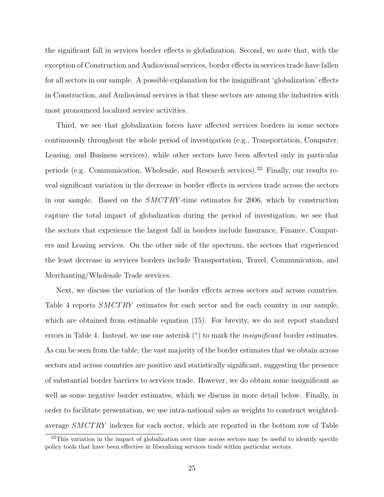the significant fall in services border effects is globalization. Second, we note that, with the exception of Construction and Audiovisual services, border effects in services trade have fallen for all sectors in our sample. A possible explanation for the insignificant 'globalization' effects in Construction, and Audiovisual services is that these sectors are among the industries with most pronounced localized service activities.

Third, we see that globalization forces have affected services borders in some sectors continuously throughout the whole period of investigation (e.g., Transportation, Computer, Leasing, and Business services), while other sectors have been affected only in particular periods (e.g. Communication, Wholesale, and Research services).<sup>32</sup> Finally, our results reveal significant variation in the decrease in border effects in services trade across the sectors in our sample. Based on the *SMCT RY* -time estimates for 2006, which by construction capture the total impact of globalization during the period of investigation, we see that the sectors that experience the largest fall in borders include Insurance, Finance, Computers and Leasing services. On the other side of the spectrum, the sectors that experienced the least decrease in services borders include Transportation, Travel, Communication, and Merchanting/Wholesale Trade services.

Next, we discuss the variation of the border effects across sectors and across countries. Table 4 reports *SMCT RY* estimates for each sector and for each country in our sample, which are obtained from estimable equation (15). For brevity, we do not report standard errors in Table 4. Instead, we use one asterisk (*<sup>∗</sup>*) to mark the *insignificant* border estimates. As can be seen from the table, the vast majority of the border estimates that we obtain across sectors and across countries are positive and statistically significant, suggesting the presence of substantial border barriers to services trade. However, we do obtain some insignificant as well as some negative border estimates, which we discuss in more detail below. Finally, in order to facilitate presentation, we use intra-national sales as weights to construct weightedaverage *SMCT RY* indexes for each sector, which are reported in the bottom row of Table

 $32$ This variation in the impact of globalization over time across sectors may be useful to identify specific policy tools that have been effective in liberalizing services trade within particular sectors.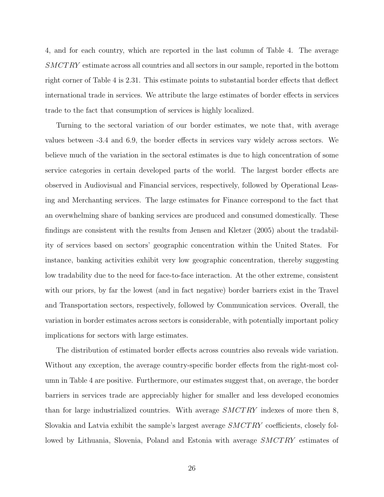4, and for each country, which are reported in the last column of Table 4. The average *SMCT RY* estimate across all countries and all sectors in our sample, reported in the bottom right corner of Table 4 is 2*.*31. This estimate points to substantial border effects that deflect international trade in services. We attribute the large estimates of border effects in services trade to the fact that consumption of services is highly localized.

Turning to the sectoral variation of our border estimates, we note that, with average values between -3.4 and 6.9, the border effects in services vary widely across sectors. We believe much of the variation in the sectoral estimates is due to high concentration of some service categories in certain developed parts of the world. The largest border effects are observed in Audiovisual and Financial services, respectively, followed by Operational Leasing and Merchanting services. The large estimates for Finance correspond to the fact that an overwhelming share of banking services are produced and consumed domestically. These findings are consistent with the results from Jensen and Kletzer (2005) about the tradability of services based on sectors' geographic concentration within the United States. For instance, banking activities exhibit very low geographic concentration, thereby suggesting low tradability due to the need for face-to-face interaction. At the other extreme, consistent with our priors, by far the lowest (and in fact negative) border barriers exist in the Travel and Transportation sectors, respectively, followed by Communication services. Overall, the variation in border estimates across sectors is considerable, with potentially important policy implications for sectors with large estimates.

The distribution of estimated border effects across countries also reveals wide variation. Without any exception, the average country-specific border effects from the right-most column in Table 4 are positive. Furthermore, our estimates suggest that, on average, the border barriers in services trade are appreciably higher for smaller and less developed economies than for large industrialized countries. With average *SMCT RY* indexes of more then 8, Slovakia and Latvia exhibit the sample's largest average *SMCT RY* coefficients, closely followed by Lithuania, Slovenia, Poland and Estonia with average *SMCTRY* estimates of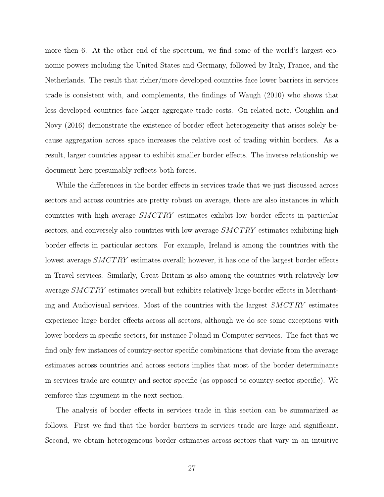more then 6. At the other end of the spectrum, we find some of the world's largest economic powers including the United States and Germany, followed by Italy, France, and the Netherlands. The result that richer/more developed countries face lower barriers in services trade is consistent with, and complements, the findings of Waugh (2010) who shows that less developed countries face larger aggregate trade costs. On related note, Coughlin and Novy (2016) demonstrate the existence of border effect heterogeneity that arises solely because aggregation across space increases the relative cost of trading within borders. As a result, larger countries appear to exhibit smaller border effects. The inverse relationship we document here presumably reflects both forces.

While the differences in the border effects in services trade that we just discussed across sectors and across countries are pretty robust on average, there are also instances in which countries with high average *SMCT RY* estimates exhibit low border effects in particular sectors, and conversely also countries with low average *SMCT RY* estimates exhibiting high border effects in particular sectors. For example, Ireland is among the countries with the lowest average *SMCT RY* estimates overall; however, it has one of the largest border effects in Travel services. Similarly, Great Britain is also among the countries with relatively low average *SMCT RY* estimates overall but exhibits relatively large border effects in Merchanting and Audiovisual services. Most of the countries with the largest *SMCT RY* estimates experience large border effects across all sectors, although we do see some exceptions with lower borders in specific sectors, for instance Poland in Computer services. The fact that we find only few instances of country-sector specific combinations that deviate from the average estimates across countries and across sectors implies that most of the border determinants in services trade are country and sector specific (as opposed to country-sector specific). We reinforce this argument in the next section.

The analysis of border effects in services trade in this section can be summarized as follows. First we find that the border barriers in services trade are large and significant. Second, we obtain heterogeneous border estimates across sectors that vary in an intuitive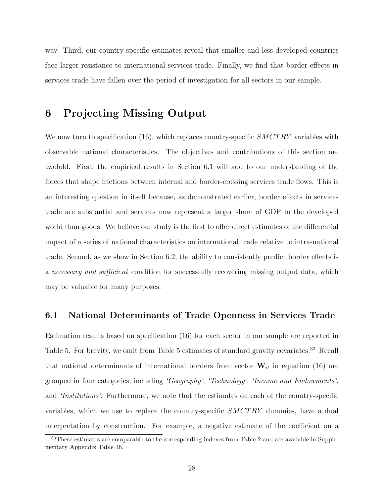way. Third, our country-specific estimates reveal that smaller and less developed countries face larger resistance to international services trade. Finally, we find that border effects in services trade have fallen over the period of investigation for all sectors in our sample.

# **6 Projecting Missing Output**

We now turn to specification (16), which replaces country-specific *SMCT RY* variables with observable national characteristics. The objectives and contributions of this section are twofold. First, the empirical results in Section 6.1 will add to our understanding of the forces that shape frictions between internal and border-crossing services trade flows. This is an interesting question in itself because, as demonstrated earlier, border effects in services trade are substantial and services now represent a larger share of GDP in the developed world than goods. We believe our study is the first to offer direct estimates of the differential impact of a series of national characteristics on international trade relative to intra-national trade. Second, as we show in Section 6.2, the ability to consistently predict border effects is a *necessary and sufficient* condition for successfully recovering missing output data, which may be valuable for many purposes.

#### **6.1 National Determinants of Trade Openness in Services Trade**

Estimation results based on specification (16) for each sector in our sample are reported in Table 5. For brevity, we omit from Table 5 estimates of standard gravity covariates.<sup>33</sup> Recall that national determinants of international borders from vector  $W_{it}$  in equation (16) are grouped in four categories, including *'Geography'*, *'Technology'*, *'Income and Endowments'*, and *'Institutions'*. Furthermore, we note that the estimates on each of the country-specific variables, which we use to replace the country-specific *SMCT RY* dummies, have a dual interpretation by construction. For example, a negative estimate of the coefficient on a

<sup>&</sup>lt;sup>33</sup>These estimates are comparable to the corresponding indexes from Table 2 and are available in Supplementary Appendix Table 16.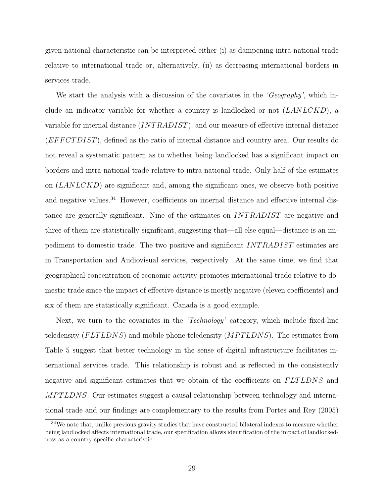given national characteristic can be interpreted either (i) as dampening intra-national trade relative to international trade or, alternatively, (ii) as decreasing international borders in services trade.

We start the analysis with a discussion of the covariates in the *'Geography'*, which include an indicator variable for whether a country is landlocked or not (*LANLCKD*), a variable for internal distance (*INT RADIST*), and our measure of effective internal distance (*EF F CT DIST*), defined as the ratio of internal distance and country area. Our results do not reveal a systematic pattern as to whether being landlocked has a significant impact on borders and intra-national trade relative to intra-national trade. Only half of the estimates on (*LANLCKD*) are significant and, among the significant ones, we observe both positive and negative values.<sup>34</sup> However, coefficients on internal distance and effective internal distance are generally significant. Nine of the estimates on *INT RADIST* are negative and three of them are statistically significant, suggesting that—all else equal—distance is an impediment to domestic trade. The two positive and significant *INT RADIST* estimates are in Transportation and Audiovisual services, respectively. At the same time, we find that geographical concentration of economic activity promotes international trade relative to domestic trade since the impact of effective distance is mostly negative (eleven coefficients) and six of them are statistically significant. Canada is a good example.

Next, we turn to the covariates in the *'Technology'* category, which include fixed-line teledensity (*F LT LDNS*) and mobile phone teledensity (*MP T LDNS*). The estimates from Table 5 suggest that better technology in the sense of digital infrastructure facilitates international services trade. This relationship is robust and is reflected in the consistently negative and significant estimates that we obtain of the coefficients on *F LT LDNS* and *MPT LDNS*. Our estimates suggest a causal relationship between technology and international trade and our findings are complementary to the results from Portes and Rey (2005)

<sup>&</sup>lt;sup>34</sup>We note that, unlike previous gravity studies that have constructed bilateral indexes to measure whether being landlocked affects international trade, our specification allows identification of the impact of landlockedness as a country-specific characteristic.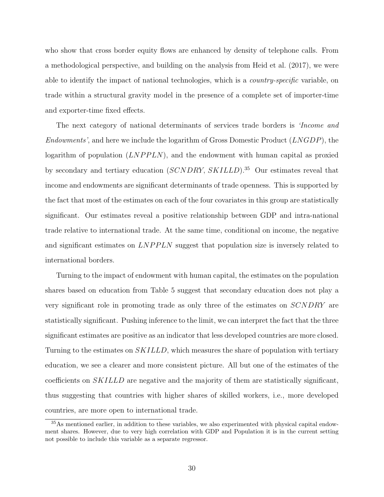who show that cross border equity flows are enhanced by density of telephone calls. From a methodological perspective, and building on the analysis from Heid et al. (2017), we were able to identify the impact of national technologies, which is a *country-specific* variable, on trade within a structural gravity model in the presence of a complete set of importer-time and exporter-time fixed effects.

The next category of national determinants of services trade borders is *'Income and Endowments'*, and here we include the logarithm of Gross Domestic Product (*LNGDP*), the logarithm of population (*LNPPLN*), and the endowment with human capital as proxied by secondary and tertiary education (*SCNDRY, SKILLD*).<sup>35</sup> Our estimates reveal that income and endowments are significant determinants of trade openness. This is supported by the fact that most of the estimates on each of the four covariates in this group are statistically significant. Our estimates reveal a positive relationship between GDP and intra-national trade relative to international trade. At the same time, conditional on income, the negative and significant estimates on *LNPPLN* suggest that population size is inversely related to international borders.

Turning to the impact of endowment with human capital, the estimates on the population shares based on education from Table 5 suggest that secondary education does not play a very significant role in promoting trade as only three of the estimates on *SCNDRY* are statistically significant. Pushing inference to the limit, we can interpret the fact that the three significant estimates are positive as an indicator that less developed countries are more closed. Turning to the estimates on *SKILLD*, which measures the share of population with tertiary education, we see a clearer and more consistent picture. All but one of the estimates of the coefficients on *SKILLD* are negative and the majority of them are statistically significant, thus suggesting that countries with higher shares of skilled workers, i.e., more developed countries, are more open to international trade.

<sup>35</sup>As mentioned earlier, in addition to these variables, we also experimented with physical capital endowment shares. However, due to very high correlation with GDP and Population it is in the current setting not possible to include this variable as a separate regressor.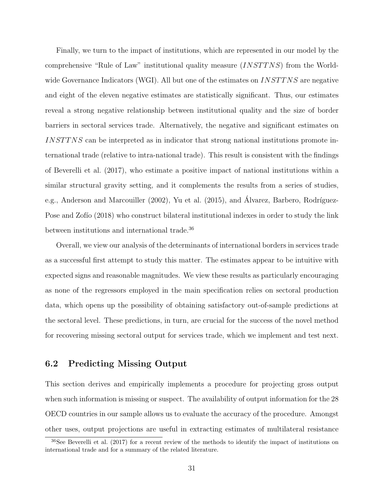Finally, we turn to the impact of institutions, which are represented in our model by the comprehensive "Rule of Law" institutional quality measure (*INST T NS*) from the Worldwide Governance Indicators (WGI). All but one of the estimates on *INSTTNS* are negative and eight of the eleven negative estimates are statistically significant. Thus, our estimates reveal a strong negative relationship between institutional quality and the size of border barriers in sectoral services trade. Alternatively, the negative and significant estimates on *INSTTNS* can be interpreted as in indicator that strong national institutions promote international trade (relative to intra-national trade). This result is consistent with the findings of Beverelli et al. (2017), who estimate a positive impact of national institutions within a similar structural gravity setting, and it complements the results from a series of studies, e.g., Anderson and Marcouiller  $(2002)$ , Yu et al.  $(2015)$ , and Alvarez, Barbero, Rodríguez-Pose and Zofio (2018) who construct bilateral institutional indexes in order to study the link between institutions and international trade.<sup>36</sup>

Overall, we view our analysis of the determinants of international borders in services trade as a successful first attempt to study this matter. The estimates appear to be intuitive with expected signs and reasonable magnitudes. We view these results as particularly encouraging as none of the regressors employed in the main specification relies on sectoral production data, which opens up the possibility of obtaining satisfactory out-of-sample predictions at the sectoral level. These predictions, in turn, are crucial for the success of the novel method for recovering missing sectoral output for services trade, which we implement and test next.

#### **6.2 Predicting Missing Output**

This section derives and empirically implements a procedure for projecting gross output when such information is missing or suspect. The availability of output information for the 28 OECD countries in our sample allows us to evaluate the accuracy of the procedure. Amongst other uses, output projections are useful in extracting estimates of multilateral resistance

<sup>36</sup>See Beverelli et al. (2017) for a recent review of the methods to identify the impact of institutions on international trade and for a summary of the related literature.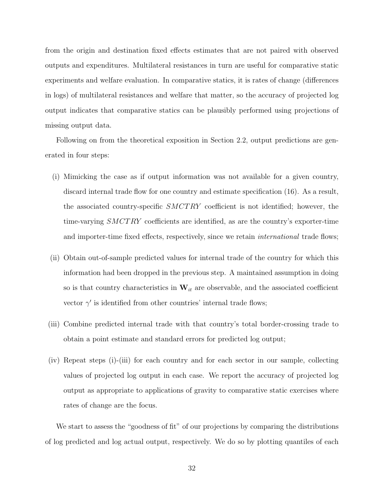from the origin and destination fixed effects estimates that are not paired with observed outputs and expenditures. Multilateral resistances in turn are useful for comparative static experiments and welfare evaluation. In comparative statics, it is rates of change (differences in logs) of multilateral resistances and welfare that matter, so the accuracy of projected log output indicates that comparative statics can be plausibly performed using projections of missing output data.

Following on from the theoretical exposition in Section 2.2, output predictions are generated in four steps:

- (i) Mimicking the case as if output information was not available for a given country, discard internal trade flow for one country and estimate specification (16). As a result, the associated country-specific *SMCT RY* coefficient is not identified; however, the time-varying *SMCT RY* coefficients are identified, as are the country's exporter-time and importer-time fixed effects, respectively, since we retain *international* trade flows;
- (ii) Obtain out-of-sample predicted values for internal trade of the country for which this information had been dropped in the previous step. A maintained assumption in doing so is that country characteristics in  $W_{it}$  are observable, and the associated coefficient vector  $\gamma'$  is identified from other countries' internal trade flows;
- (iii) Combine predicted internal trade with that country's total border-crossing trade to obtain a point estimate and standard errors for predicted log output;
- (iv) Repeat steps (i)-(iii) for each country and for each sector in our sample, collecting values of projected log output in each case. We report the accuracy of projected log output as appropriate to applications of gravity to comparative static exercises where rates of change are the focus.

We start to assess the "goodness of fit" of our projections by comparing the distributions of log predicted and log actual output, respectively. We do so by plotting quantiles of each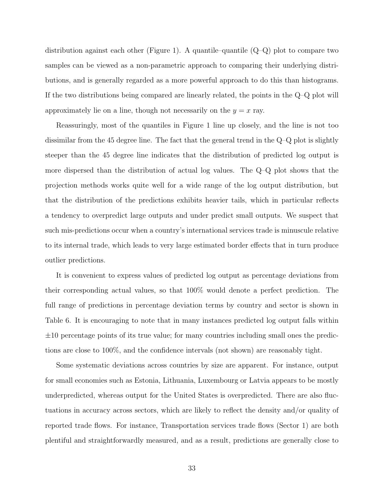distribution against each other (Figure 1). A quantile–quantile (Q–Q) plot to compare two samples can be viewed as a non-parametric approach to comparing their underlying distributions, and is generally regarded as a more powerful approach to do this than histograms. If the two distributions being compared are linearly related, the points in the Q–Q plot will approximately lie on a line, though not necessarily on the  $y = x$  ray.

Reassuringly, most of the quantiles in Figure 1 line up closely, and the line is not too dissimilar from the 45 degree line. The fact that the general trend in the Q–Q plot is slightly steeper than the 45 degree line indicates that the distribution of predicted log output is more dispersed than the distribution of actual log values. The Q–Q plot shows that the projection methods works quite well for a wide range of the log output distribution, but that the distribution of the predictions exhibits heavier tails, which in particular reflects a tendency to overpredict large outputs and under predict small outputs. We suspect that such mis-predictions occur when a country's international services trade is minuscule relative to its internal trade, which leads to very large estimated border effects that in turn produce outlier predictions.

It is convenient to express values of predicted log output as percentage deviations from their corresponding actual values, so that 100% would denote a perfect prediction. The full range of predictions in percentage deviation terms by country and sector is shown in Table 6. It is encouraging to note that in many instances predicted log output falls within *±*10 percentage points of its true value; for many countries including small ones the predictions are close to 100%, and the confidence intervals (not shown) are reasonably tight.

Some systematic deviations across countries by size are apparent. For instance, output for small economies such as Estonia, Lithuania, Luxembourg or Latvia appears to be mostly underpredicted, whereas output for the United States is overpredicted. There are also fluctuations in accuracy across sectors, which are likely to reflect the density and/or quality of reported trade flows. For instance, Transportation services trade flows (Sector 1) are both plentiful and straightforwardly measured, and as a result, predictions are generally close to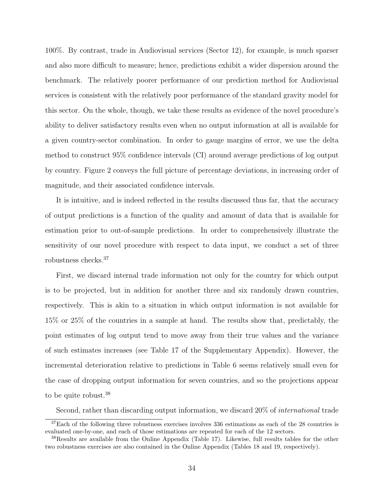100%. By contrast, trade in Audiovisual services (Sector 12), for example, is much sparser and also more difficult to measure; hence, predictions exhibit a wider dispersion around the benchmark. The relatively poorer performance of our prediction method for Audiovisual services is consistent with the relatively poor performance of the standard gravity model for this sector. On the whole, though, we take these results as evidence of the novel procedure's ability to deliver satisfactory results even when no output information at all is available for a given country-sector combination. In order to gauge margins of error, we use the delta method to construct 95% confidence intervals (CI) around average predictions of log output by country. Figure 2 conveys the full picture of percentage deviations, in increasing order of magnitude, and their associated confidence intervals.

It is intuitive, and is indeed reflected in the results discussed thus far, that the accuracy of output predictions is a function of the quality and amount of data that is available for estimation prior to out-of-sample predictions. In order to comprehensively illustrate the sensitivity of our novel procedure with respect to data input, we conduct a set of three robustness checks.<sup>37</sup>

First, we discard internal trade information not only for the country for which output is to be projected, but in addition for another three and six randomly drawn countries, respectively. This is akin to a situation in which output information is not available for 15% or 25% of the countries in a sample at hand. The results show that, predictably, the point estimates of log output tend to move away from their true values and the variance of such estimates increases (see Table 17 of the Supplementary Appendix). However, the incremental deterioration relative to predictions in Table 6 seems relatively small even for the case of dropping output information for seven countries, and so the projections appear to be quite robust.<sup>38</sup>

Second, rather than discarding output information, we discard 20% of *international* trade

<sup>37</sup>Each of the following three robustness exercises involves 336 estimations as each of the 28 countries is evaluated one-by-one, and each of those estimations are repeated for each of the 12 sectors.

<sup>38</sup>Results are available from the Online Appendix (Table 17). Likewise, full results tables for the other two robustness exercises are also contained in the Online Appendix (Tables 18 and 19, respectively).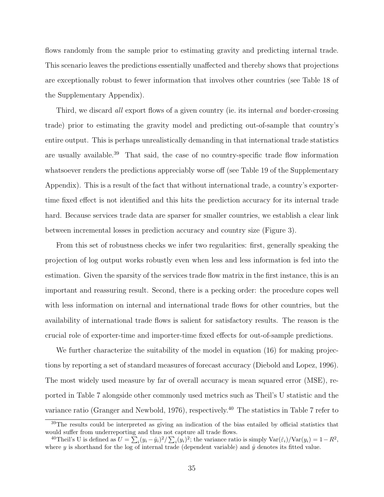flows randomly from the sample prior to estimating gravity and predicting internal trade. This scenario leaves the predictions essentially unaffected and thereby shows that projections are exceptionally robust to fewer information that involves other countries (see Table 18 of the Supplementary Appendix).

Third, we discard *all* export flows of a given country (ie. its internal *and* border-crossing trade) prior to estimating the gravity model and predicting out-of-sample that country's entire output. This is perhaps unrealistically demanding in that international trade statistics are usually available.<sup>39</sup> That said, the case of no country-specific trade flow information whatsoever renders the predictions appreciably worse off (see Table 19 of the Supplementary Appendix). This is a result of the fact that without international trade, a country's exportertime fixed effect is not identified and this hits the prediction accuracy for its internal trade hard. Because services trade data are sparser for smaller countries, we establish a clear link between incremental losses in prediction accuracy and country size (Figure 3).

From this set of robustness checks we infer two regularities: first, generally speaking the projection of log output works robustly even when less and less information is fed into the estimation. Given the sparsity of the services trade flow matrix in the first instance, this is an important and reassuring result. Second, there is a pecking order: the procedure copes well with less information on internal and international trade flows for other countries, but the availability of international trade flows is salient for satisfactory results. The reason is the crucial role of exporter-time and importer-time fixed effects for out-of-sample predictions.

We further characterize the suitability of the model in equation (16) for making projections by reporting a set of standard measures of forecast accuracy (Diebold and Lopez, 1996). The most widely used measure by far of overall accuracy is mean squared error (MSE), reported in Table 7 alongside other commonly used metrics such as Theil's U statistic and the variance ratio (Granger and Newbold, 1976), respectively.<sup>40</sup> The statistics in Table 7 refer to

 $39$ The results could be interpreted as giving an indication of the bias entailed by official statistics that would suffer from underreporting and thus not capture all trade flows.

<sup>&</sup>lt;sup>40</sup>Theil's U is defined as  $U = \sum_{i} (y_i - \hat{y}_i)^2 / \sum_{i} (y_i)^2$ ; the variance ratio is simply  $Var(\hat{\varepsilon}_i)/Var(y_i) = 1 - R^2$ , where  $\gamma$  is shorthand for the log of internal trade (dependent variable) and  $\hat{\gamma}$  denotes its fitted value.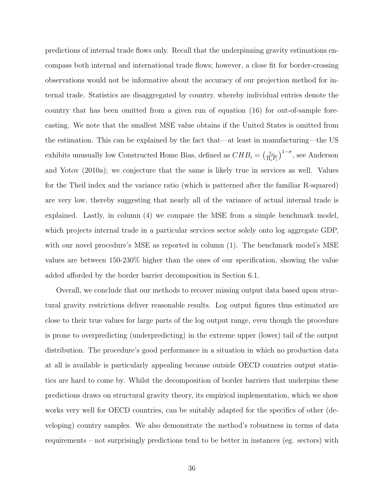predictions of internal trade flows only. Recall that the underpinning gravity estimations encompass both internal and international trade flows; however, a close fit for border-crossing observations would not be informative about the accuracy of our projection method for internal trade. Statistics are disaggregated by country, whereby individual entries denote the country that has been omitted from a given run of equation (16) for out-of-sample forecasting. We note that the smallest MSE value obtains if the United States is omitted from the estimation. This can be explained by the fact that—at least in manufacturing—the US exhibits unusually low Constructed Home Bias, defined as  $CHB_i = \left(\frac{t_{ii}}{\prod_i P_i}\right)$  <sup>1</sup>*−<sup>σ</sup>* , see Anderson and Yotov (2010a); we conjecture that the same is likely true in services as well. Values for the Theil index and the variance ratio (which is patterned after the familiar R-squared) are very low, thereby suggesting that nearly all of the variance of actual internal trade is explained. Lastly, in column (4) we compare the MSE from a simple benchmark model, which projects internal trade in a particular services sector solely onto log aggregate GDP, with our novel procedure's MSE as reported in column (1). The benchmark model's MSE values are between 150-230% higher than the ones of our specification, showing the value added afforded by the border barrier decomposition in Section 6.1.

Overall, we conclude that our methods to recover missing output data based upon structural gravity restrictions deliver reasonable results. Log output figures thus estimated are close to their true values for large parts of the log output range, even though the procedure is prone to overpredicting (underpredicting) in the extreme upper (lower) tail of the output distribution. The procedure's good performance in a situation in which no production data at all is available is particularly appealing because outside OECD countries output statistics are hard to come by. Whilst the decomposition of border barriers that underpins these predictions draws on structural gravity theory, its empirical implementation, which we show works very well for OECD countries, can be suitably adapted for the specifics of other (developing) country samples. We also demonstrate the method's robustness in terms of data requirements – not surprisingly predictions tend to be better in instances (eg. sectors) with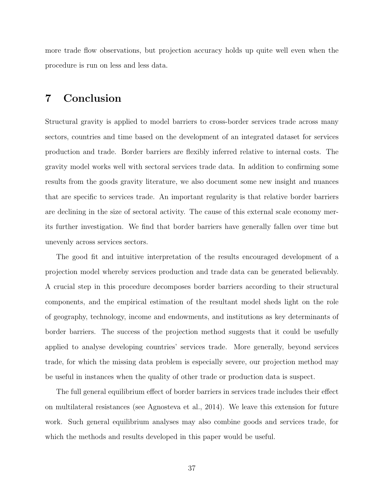more trade flow observations, but projection accuracy holds up quite well even when the procedure is run on less and less data.

# **7 Conclusion**

Structural gravity is applied to model barriers to cross-border services trade across many sectors, countries and time based on the development of an integrated dataset for services production and trade. Border barriers are flexibly inferred relative to internal costs. The gravity model works well with sectoral services trade data. In addition to confirming some results from the goods gravity literature, we also document some new insight and nuances that are specific to services trade. An important regularity is that relative border barriers are declining in the size of sectoral activity. The cause of this external scale economy merits further investigation. We find that border barriers have generally fallen over time but unevenly across services sectors.

The good fit and intuitive interpretation of the results encouraged development of a projection model whereby services production and trade data can be generated believably. A crucial step in this procedure decomposes border barriers according to their structural components, and the empirical estimation of the resultant model sheds light on the role of geography, technology, income and endowments, and institutions as key determinants of border barriers. The success of the projection method suggests that it could be usefully applied to analyse developing countries' services trade. More generally, beyond services trade, for which the missing data problem is especially severe, our projection method may be useful in instances when the quality of other trade or production data is suspect.

The full general equilibrium effect of border barriers in services trade includes their effect on multilateral resistances (see Agnosteva et al., 2014). We leave this extension for future work. Such general equilibrium analyses may also combine goods and services trade, for which the methods and results developed in this paper would be useful.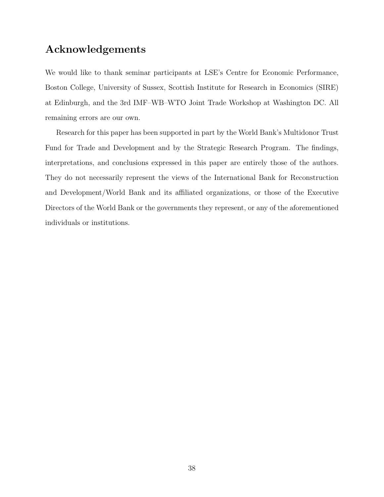# **Acknowledgements**

We would like to thank seminar participants at LSE's Centre for Economic Performance, Boston College, University of Sussex, Scottish Institute for Research in Economics (SIRE) at Edinburgh, and the 3rd IMF–WB–WTO Joint Trade Workshop at Washington DC. All remaining errors are our own.

Research for this paper has been supported in part by the World Bank's Multidonor Trust Fund for Trade and Development and by the Strategic Research Program. The findings, interpretations, and conclusions expressed in this paper are entirely those of the authors. They do not necessarily represent the views of the International Bank for Reconstruction and Development/World Bank and its affiliated organizations, or those of the Executive Directors of the World Bank or the governments they represent, or any of the aforementioned individuals or institutions.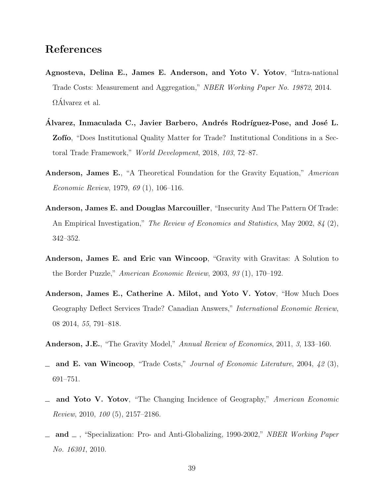# **References**

- **Agnosteva, Delina E., James E. Anderson, and Yoto V. Yotov**, "Intra-national Trade Costs: Measurement and Aggregation," *NBER Working Paper No. 19872*, 2014.  $\Omega$ Alvarez et al.
- Alvarez, Inmaculada C., Javier Barbero, Andrés Rodríguez-Pose, and José L. **Zofío**, "Does Institutional Quality Matter for Trade? Institutional Conditions in a Sectoral Trade Framework," *World Development*, 2018, *103*, 72–87.
- **Anderson, James E.**, "A Theoretical Foundation for the Gravity Equation," *American Economic Review*, 1979, *69* (1), 106–116.
- **Anderson, James E. and Douglas Marcouiller**, "Insecurity And The Pattern Of Trade: An Empirical Investigation," *The Review of Economics and Statistics*, May 2002, *84* (2), 342–352.
- **Anderson, James E. and Eric van Wincoop**, "Gravity with Gravitas: A Solution to the Border Puzzle," *American Economic Review*, 2003, *93* (1), 170–192.
- **Anderson, James E., Catherine A. Milot, and Yoto V. Yotov**, "How Much Does Geography Deflect Services Trade? Canadian Answers," *International Economic Review*, 08 2014, *55*, 791–818.
- **Anderson, J.E.**, "The Gravity Model," *Annual Review of Economics*, 2011, *3*, 133–160.
- **and E. van Wincoop**, "Trade Costs," *Journal of Economic Literature*, 2004, *42* (3), 691–751.
- **and Yoto V. Yotov**, "The Changing Incidence of Geography," *American Economic Review*, 2010, *100* (5), 2157–2186.
- **and** , "Specialization: Pro- and Anti-Globalizing, 1990-2002," *NBER Working Paper No. 16301*, 2010.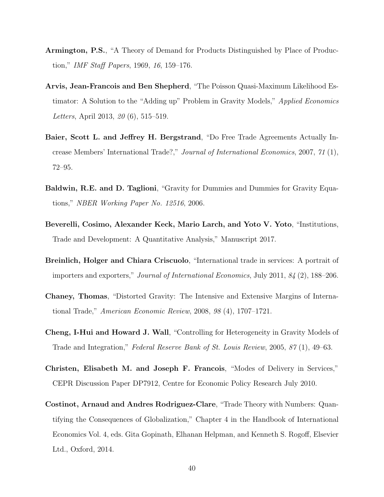- **Armington, P.S.**, "A Theory of Demand for Products Distinguished by Place of Production," *IMF Staff Papers*, 1969, *16*, 159–176.
- **Arvis, Jean-Francois and Ben Shepherd**, "The Poisson Quasi-Maximum Likelihood Estimator: A Solution to the "Adding up" Problem in Gravity Models," *Applied Economics Letters*, April 2013, *20* (6), 515–519.
- **Baier, Scott L. and Jeffrey H. Bergstrand**, "Do Free Trade Agreements Actually Increase Members' International Trade?," *Journal of International Economics*, 2007, *71* (1), 72–95.
- **Baldwin, R.E. and D. Taglioni**, "Gravity for Dummies and Dummies for Gravity Equations," *NBER Working Paper No. 12516*, 2006.
- **Beverelli, Cosimo, Alexander Keck, Mario Larch, and Yoto V. Yoto**, "Institutions, Trade and Development: A Quantitative Analysis," Manuscript 2017.
- **Breinlich, Holger and Chiara Criscuolo**, "International trade in services: A portrait of importers and exporters," *Journal of International Economics*, July 2011, *84* (2), 188–206.
- **Chaney, Thomas**, "Distorted Gravity: The Intensive and Extensive Margins of International Trade," *American Economic Review*, 2008, *98* (4), 1707–1721.
- **Cheng, I-Hui and Howard J. Wall**, "Controlling for Heterogeneity in Gravity Models of Trade and Integration," *Federal Reserve Bank of St. Louis Review*, 2005, *87* (1), 49–63.
- **Christen, Elisabeth M. and Joseph F. Francois**, "Modes of Delivery in Services," CEPR Discussion Paper DP7912, Centre for Economic Policy Research July 2010.
- **Costinot, Arnaud and Andres Rodriguez-Clare**, "Trade Theory with Numbers: Quantifying the Consequences of Globalization," Chapter 4 in the Handbook of International Economics Vol. 4, eds. Gita Gopinath, Elhanan Helpman, and Kenneth S. Rogoff, Elsevier Ltd., Oxford, 2014.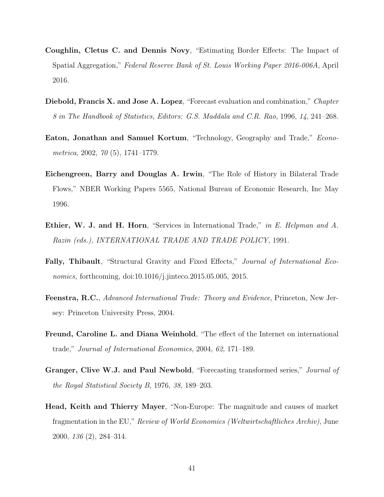- **Coughlin, Cletus C. and Dennis Novy**, "Estimating Border Effects: The Impact of Spatial Aggregation," *Federal Reserve Bank of St. Louis Working Paper 2016-006A*, April 2016.
- **Diebold, Francis X. and Jose A. Lopez**, "Forecast evaluation and combination," *Chapter 8 in The Handbook of Statistics, Editors: G.S. Maddala and C.R. Rao*, 1996, *14*, 241–268.
- **Eaton, Jonathan and Samuel Kortum**, "Technology, Geography and Trade," *Econometrica*, 2002, *70* (5), 1741–1779.
- **Eichengreen, Barry and Douglas A. Irwin**, "The Role of History in Bilateral Trade Flows," NBER Working Papers 5565, National Bureau of Economic Research, Inc May 1996.
- **Ethier, W. J. and H. Horn**, "Services in International Trade," *in E. Helpman and A. Razin (eds.), INTERNATIONAL TRADE AND TRADE POLICY*, 1991.
- **Fally, Thibault**, "Structural Gravity and Fixed Effects," *Journal of International Economics,* forthcoming, doi:10.1016/j.jinteco.2015.05.005, 2015.
- **Feenstra, R.C.**, *Advanced International Trade: Theory and Evidence*, Princeton, New Jersey: Princeton University Press, 2004.
- **Freund, Caroline L. and Diana Weinhold**, "The effect of the Internet on international trade," *Journal of International Economics*, 2004, *62*, 171–189.
- **Granger, Clive W.J. and Paul Newbold**, "Forecasting transformed series," *Journal of the Royal Statistical Society B*, 1976, *38*, 189–203.
- **Head, Keith and Thierry Mayer**, "Non-Europe: The magnitude and causes of market fragmentation in the EU," *Review of World Economics (Weltwirtschaftliches Archiv)*, June 2000, *136* (2), 284–314.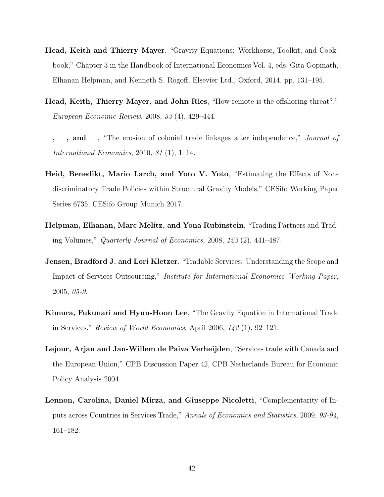- **Head, Keith and Thierry Mayer**, "Gravity Equations: Workhorse, Toolkit, and Cookbook," Chapter 3 in the Handbook of International Economics Vol. 4, eds. Gita Gopinath, Elhanan Helpman, and Kenneth S. Rogoff, Elsevier Ltd., Oxford, 2014, pp. 131–195.
- **Head, Keith, Thierry Mayer, and John Ries**, "How remote is the offshoring threat?," *European Economic Review*, 2008, *53* (4), 429–444.
- $-$ ,  $-$ , and  $-$ , "The erosion of colonial trade linkages after independence," *Journal of International Economics*, 2010, *81* (1), 1–14.
- **Heid, Benedikt, Mario Larch, and Yoto V. Yoto**, "Estimating the Effects of Nondiscriminatory Trade Policies within Structural Gravity Models," CESifo Working Paper Series 6735, CESifo Group Munich 2017.
- **Helpman, Elhanan, Marc Melitz, and Yona Rubinstein**, "Trading Partners and Trading Volumes," *Quarterly Journal of Economics*, 2008, *123* (2), 441–487.
- **Jensen, Bradford J. and Lori Kletzer**, "Tradable Services: Understanding the Scope and Impact of Services Outsourcing," *Institute for International Economics Working Paper*, 2005, *05-9.*
- **Kimura, Fukunari and Hyun-Hoon Lee**, "The Gravity Equation in International Trade in Services," *Review of World Economics*, April 2006, *142* (1), 92–121.
- **Lejour, Arjan and Jan-Willem de Paiva Verheijden**, "Services trade with Canada and the European Union," CPB Discussion Paper 42, CPB Netherlands Bureau for Economic Policy Analysis 2004.
- **Lennon, Carolina, Daniel Mirza, and Giuseppe Nicoletti**, "Complementarity of Inputs across Countries in Services Trade," *Annals of Economics and Statistics*, 2009, *93-94*, 161–182.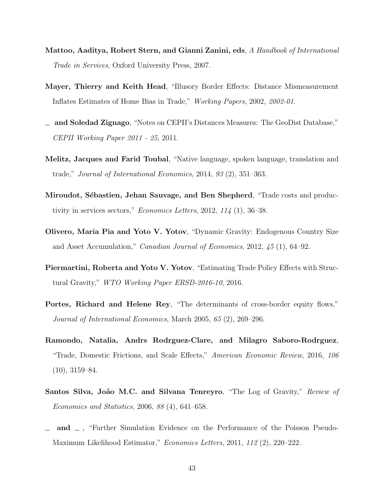- **Mattoo, Aaditya, Robert Stern, and Gianni Zanini, eds**, *A Handbook of International Trade in Services*, Oxford University Press, 2007.
- **Mayer, Thierry and Keith Head**, "Illusory Border Effects: Distance Mismeasurement Inflates Estimates of Home Bias in Trade," *Working Papers*, 2002, *2002-01.*
- **and Soledad Zignago**, "Notes on CEPII's Distances Measures: The GeoDist Database," *CEPII Working Paper 2011 - 25*, 2011.
- **Melitz, Jacques and Farid Toubal**, "Native language, spoken language, translation and trade," *Journal of International Economics*, 2014, *93* (2), 351–363.
- **Miroudot, Sébastien, Jehan Sauvage, and Ben Shepherd**, "Trade costs and productivity in services sectors," *Economics Letters*, 2012, *114* (1), 36–38.
- **Olivero, Maria Pia and Yoto V. Yotov**, "Dynamic Gravity: Endogenous Country Size and Asset Accumulation," *Canadian Journal of Economics*, 2012, *45* (1), 64–92.
- **Piermartini, Roberta and Yoto V. Yotov**, "Estimating Trade Policy Effects with Structural Gravity," *WTO Working Paper ERSD-2016-10*, 2016.
- **Portes, Richard and Helene Rey,** "The determinants of cross-border equity flows," *Journal of International Economics*, March 2005, *65* (2), 269–296.
- **Ramondo, Natalia, Andrs Rodrguez-Clare, and Milagro Saboro-Rodrguez**, "Trade, Domestic Frictions, and Scale Effects," *American Economic Review*, 2016, *106*  $(10), 3159 - 84.$
- **Santos Silva, João M.C. and Silvana Tenreyro**, "The Log of Gravity," *Review of Economics and Statistics*, 2006, *88* (4), 641–658.
- **and**  $\Box$ , "Further Simulation Evidence on the Performance of the Poisson Pseudo-Maximum Likelihood Estimator," *Economics Letters*, 2011, *112* (2), 220–222.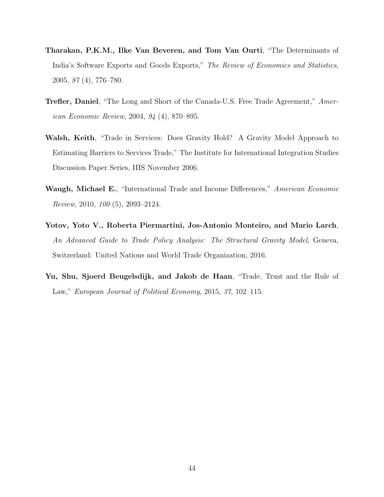- **Tharakan, P.K.M., Ilke Van Beveren, and Tom Van Ourti**, "The Determinants of India's Software Exports and Goods Exports," *The Review of Economics and Statistics*, 2005, *87* (4), 776–780.
- **Trefler, Daniel**, "The Long and Short of the Canada-U.S. Free Trade Agreement," *American Economic Review*, 2004, *94* (4), 870–895.
- **Walsh, Keith**, "Trade in Services: Does Gravity Hold? A Gravity Model Approach to Estimating Barriers to Services Trade," The Institute for International Integration Studies Discussion Paper Series, IIIS November 2006.
- **Waugh, Michael E.**, "International Trade and Income Differences," *American Economic Review*, 2010, *100* (5), 2093–2124.
- **Yotov, Yoto V., Roberta Piermartini, Jos-Antonio Monteiro, and Mario Larch**, *An Advanced Guide to Trade Policy Analysis: The Structural Gravity Model*, Geneva, Switzerland: United Nations and World Trade Organization, 2016.
- **Yu, Shu, Sjoerd Beugelsdijk, and Jakob de Haan**, "Trade, Trust and the Rule of Law," *European Journal of Political Economy*, 2015, *37*, 102–115.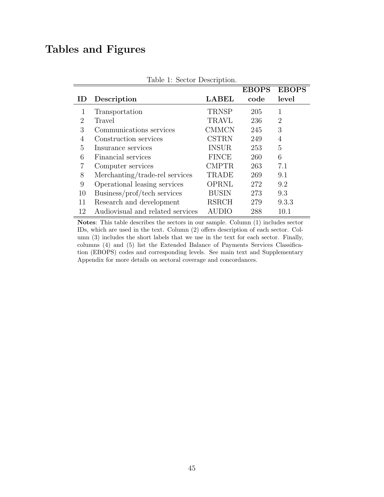# **Tables and Figures**

|                | $\frac{1}{2}$ . $\frac{1}{2}$ . $\frac{1}{2}$ . $\frac{1}{2}$ . $\frac{1}{2}$ . $\frac{1}{2}$ . $\frac{1}{2}$ |              |              |              |
|----------------|---------------------------------------------------------------------------------------------------------------|--------------|--------------|--------------|
|                |                                                                                                               |              | <b>EBOPS</b> | <b>EBOPS</b> |
| ID             | Description                                                                                                   | <b>LABEL</b> | code         | level        |
| 1              | Transportation                                                                                                | <b>TRNSP</b> | 205          | 1            |
| 2              | Travel                                                                                                        | <b>TRAVL</b> | 236          | 2            |
| 3              | Communications services                                                                                       | <b>CMMCN</b> | 245          | 3            |
| 4              | Construction services                                                                                         | <b>CSTRN</b> | 249          | 4            |
| 5              | Insurance services                                                                                            | <b>INSUR</b> | 253          | 5            |
| 6              | Financial services                                                                                            | <b>FINCE</b> | 260          | 6            |
| $\overline{7}$ | Computer services                                                                                             | <b>CMPTR</b> | 263          | 7.1          |
| 8              | Merchanting/trade-rel services                                                                                | <b>TRADE</b> | 269          | 9.1          |
| 9              | Operational leasing services                                                                                  | <b>OPRNL</b> | 272          | 9.2          |
| 10             | Business/prof/tech services                                                                                   | <b>BUSIN</b> | 273          | 9.3          |
| 11             | Research and development                                                                                      | <b>RSRCH</b> | 279          | 9.3.3        |
| 12             | Audiovisual and related services                                                                              | AUDIO        | 288          | 10.1         |

Table 1: Sector Description.

**Notes**: This table describes the sectors in our sample. Column (1) includes sector IDs, which are used in the text. Column (2) offers description of each sector. Column (3) includes the short labels that we use in the text for each sector. Finally, columns (4) and (5) list the Extended Balance of Payments Services Classification (EBOPS) codes and corresponding levels. See main text and Supplementary Appendix for more details on sectoral coverage and concordances.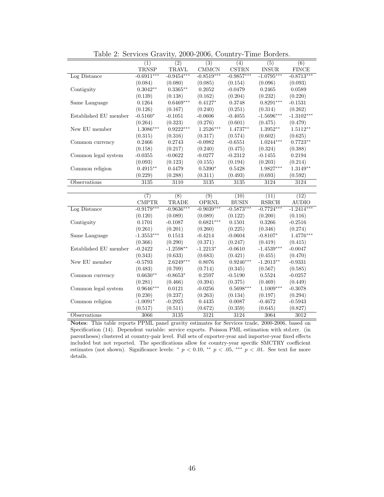|                                                        | (1)          | (2)          | (3)          | (4)          | (5)          | (6)          |
|--------------------------------------------------------|--------------|--------------|--------------|--------------|--------------|--------------|
|                                                        | <b>TRNSP</b> | TRAVL        | <b>CMMCN</b> | <b>CSTRN</b> | <b>INSUR</b> | <b>FINCE</b> |
| Log Distance                                           | $-0.6911***$ | $-0.9454***$ | $-0.8519***$ | $-0.9857***$ | $-1.0795***$ | $-0.8713***$ |
|                                                        | (0.084)      | (0.080)      | (0.085)      | (0.154)      | (0.096)      | (0.093)      |
| Contiguity                                             | $0.3042**$   | $0.3365**$   | 0.2052       | $-0.0479$    | 0.2465       | 0.0589       |
|                                                        | (0.139)      | (0.138)      | (0.162)      | (0.204)      | (0.232)      | (0.220)      |
| Same Language                                          | 0.1264       | $0.6469***$  | $0.4127*$    | 0.3748       | $0.8291***$  | $-0.1531$    |
|                                                        | (0.126)      | (0.167)      | (0.240)      | (0.251)      | (0.314)      | (0.262)      |
| Established EU member                                  | $-0.5160*$   | $-0.1051$    | $-0.0606$    | $-0.4055$    | $-1.5696***$ | $-1.3102***$ |
|                                                        | (0.264)      | (0.323)      | (0.276)      | (0.601)      | (0.475)      | (0.479)      |
| New EU member                                          | $1.3086***$  | $0.9222***$  | $1.2526***$  | $1.4737**$   | 1.3952**     | $1.5112**$   |
|                                                        | (0.315)      | (0.316)      | (0.317)      | (0.574)      | (0.602)      | (0.625)      |
| Common currency                                        | 0.2466       | 0.2743       | $-0.0982$    | $-0.6551$    | $1.0244***$  | $0.7723**$   |
|                                                        | (0.158)      | (0.217)      | (0.240)      | (0.475)      | (0.324)      | (0.388)      |
| Common legal system $% \left\vert \cdot \right\rangle$ | $-0.0355$    | $-0.0622$    | $-0.0277$    | $-0.2312$    | $-0.1455$    | 0.2194       |
|                                                        | (0.093)      | (0.123)      | (0.155)      | (0.194)      | (0.203)      | (0.214)      |
| Common religion                                        | $0.4915***$  | 0.4479       | $0.5390*$    | 0.5428       | $1.9827***$  | $1.3149**$   |
|                                                        | (0.229)      | (0.288)      | (0.311)      | (0.493)      | (0.693)      | (0.592)      |
| Observations                                           | 3135         | 3110         | 3135         | 3135         | 3124         | 3124         |
|                                                        |              |              |              |              |              |              |
|                                                        | (7)          | (8)          | (9)          | (10)         | (11)         | (12)         |
|                                                        |              |              |              |              |              |              |
|                                                        | <b>CMPTR</b> | TRADE        | OPRNL        | <b>BUSIN</b> | <b>RSRCH</b> | <b>AUDIO</b> |
| Log Distance                                           | $-0.9179***$ | $-0.9636***$ | $-0.9039***$ | $-0.5873***$ | $-0.7724***$ | $-1.2414***$ |
|                                                        | (0.120)      | (0.089)      | (0.089)      | (0.122)      | (0.200)      | (0.116)      |
| Contiguity                                             | 0.1701       | $-0.1087$    | $0.6821***$  | 0.1501       | 0.3266       | $-0.2516$    |
|                                                        | (0.261)      | (0.201)      | (0.260)      | (0.225)      | (0.346)      | (0.274)      |
| Same Language                                          | $-1.3553***$ | 0.1513       | $-0.4214$    | $-0.0604$    | $-0.8107*$   | $1.4776***$  |
|                                                        | (0.366)      | (0.290)      | (0.371)      | (0.247)      | (0.419)      | (0.415)      |
| Established EU member                                  | $-0.2422$    | $-1.2598**$  | $-1.2213*$   | $-0.0610$    | $-1.4539***$ | $-0.0047$    |
|                                                        | (0.343)      | (0.633)      | (0.683)      | (0.421)      | (0.455)      | (0.470)      |
| New EU member                                          | $-0.5793$    | $2.6249***$  | 0.8076       | $0.9246***$  | $-1.2013**$  | $-0.9331$    |
|                                                        | (0.483)      | (0.709)      | (0.714)      | (0.345)      | (0.567)      | (0.585)      |
| Common currency                                        | $0.6630**$   | $-0.8653*$   | 0.2597       | $-0.5190$    | 0.5524       | $-0.0257$    |
|                                                        | (0.281)      | (0.466)      | (0.394)      | (0.375)      | (0.469)      | (0.449)      |
| Common legal system                                    | $0.9646***$  | 0.0121       | $-0.0256$    | $0.5698***$  | $1.1009***$  | $-0.3078$    |
|                                                        | (0.230)      | (0.237)      | (0.263)      | (0.134)      | (0.197)      | (0.294)      |
| Common religion                                        | $-1.0091*$   | $-0.2925$    | 0.4435       | 0.0087       | $-0.4672$    | $-0.5943$    |
| Observations                                           | (0.517)      | (0.511)      | (0.672)      | (0.359)      | (0.645)      | (0.827)      |

Table 2: Services Gravity, 2000-2006, Country-Time Borders.

**Notes**: This table reports PPML panel gravity estimates for Services trade, 2000-2006, based on Specification (14). Dependent variable: service exports. Poisson PML estimation with std.err. (in parentheses) clustered at country-pair level. Full sets of exporter-year and importer-year fixed effects included but not reported. The specifications allow for country-year specific SMCTRY coefficient estimates (not shown). Significance levels:  $\hat{p}$  < 0.10,  $\hat{p}$  × .05,  $\hat{p}$  × .01. See text for more details.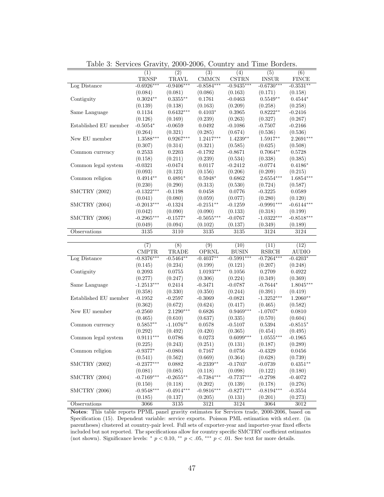| $\overline{(2)}$<br>$\overline{(1)}$<br>$\overline{(3)}$<br>$\overline{(4)}$<br>$\overline{(5)}$<br>$\overline{(6)}$<br><b>TRNSP</b><br>TRAVL<br><b>CMMCN</b><br><b>CSTRN</b><br><b>INSUR</b><br><b>FINCE</b><br>$-0.9406***$<br>$-0.6926***$<br>$-0.8584***$<br>$-0.9435***$<br>$-0.6730***$<br>$-0.3531**$<br>Log Distance<br>(0.086)<br>(0.163)<br>(0.171)<br>(0.084)<br>(0.081)<br>(0.158)<br>$0.3024**$<br>$0.3355***$<br>0.1761<br>$-0.0463$<br>$0.5549**$<br>$0.4544*$<br>Contiguity<br>(0.139)<br>(0.138)<br>(0.163)<br>(0.209)<br>(0.258)<br>(0.258)<br>$0.6432***$<br>$0.4103*$<br>Same Language<br>0.1134<br>0.3965<br>$0.8222**$<br>$-0.2416$<br>(0.126)<br>(0.169)<br>(0.239)<br>(0.263)<br>(0.327)<br>(0.267)<br>Established EU member<br>$-0.5054*$<br>0.0492<br>$-0.1086$<br>$-0.7507$<br>$-0.2166$<br>$-0.0659$<br>(0.536)<br>(0.536)<br>(0.264)<br>(0.321)<br>(0.285)<br>(0.674)<br>$1.3588***$<br>$0.9267***$<br>$1.2417***$<br>$2.2691***$<br>$1.4239**$<br>1.5917**<br>New EU member<br>(0.307)<br>(0.314)<br>(0.321)<br>(0.585)<br>(0.625)<br>(0.508)<br>$0.7064**$<br>0.2533<br>0.2203<br>$-0.1792$<br>$-0.8671$<br>0.5728<br>Common currency<br>(0.158)<br>(0.211)<br>(0.239)<br>(0.534)<br>(0.338)<br>(0.385)<br>Common legal system<br>$-0.0774$<br>$0.4186^{\ast}$<br>$-0.0321$<br>$-0.0474$<br>0.0117<br>$-0.2412$<br>(0.093)<br>(0.123)<br>(0.156)<br>(0.206)<br>(0.209)<br>(0.215)<br>$0.4914**$<br>$2.6554***$<br>$1.6854***$<br>Common religion<br>$0.4891*$<br>$0.5948*$<br>0.6862<br>(0.230)<br>(0.290)<br>(0.313)<br>(0.530)<br>(0.724)<br>(0.587)<br>SMCTRY (2002)<br>$-0.1322***$<br>$-0.1198$<br>0.0458<br>0.0776<br>$-0.3225$<br>0.0589<br>(0.280)<br>(0.120)<br>(0.041)<br>(0.080)<br>(0.059)<br>(0.077)<br>$-0.9991***$<br>$-0.6144***$<br>SMCTRY (2004)<br>$-0.2013***$<br>$-0.1324$<br>$-0.2151**$<br>$-0.1259$<br>(0.090)<br>(0.042)<br>(0.090)<br>(0.133)<br>(0.318)<br>(0.199)<br>SMCTRY (2006)<br>$-0.2965***$<br>$-0.1577*$<br>$-0.5055***$<br>$-0.0767$<br>$-1.0322***$<br>$-0.8518***$<br>(0.049)<br>(0.094)<br>(0.102)<br>(0.137)<br>(0.349)<br>(0.189)<br>Observations<br>3135<br>3110<br>3135<br>3135<br>3124<br>3124<br>$\overline{(7)}$<br>$\overline{(8)}$<br>$\overline{(9)}$<br>(10)<br>(11)<br>(12)<br><b>CMPTR</b><br>OPRNL<br><b>BUSIN</b><br><b>RSRCH</b><br>TRADE<br><b>AUDIO</b><br>Log Distance<br>$-0.8376***$<br>$-0.4037**$<br>$-0.5991***$<br>$-0.5464**$<br>$-0.7264***$<br>$-0.4203*$<br>(0.234)<br>(0.199)<br>(0.121)<br>(0.207)<br>(0.248)<br>(0.145)<br>Contiguity<br>0.2093<br>0.0755<br>$1.0193***$<br>0.1056<br>0.2709<br>0.4922<br>(0.277)<br>(0.247)<br>(0.306)<br>(0.224)<br>(0.349)<br>(0.369)<br>$-1.2513***$<br>$1.8045***$<br>0.2414<br>$-0.3471$<br>$-0.0787$<br>$-0.7644*$<br>Same Language<br>(0.330)<br>(0.350)<br>(0.358)<br>(0.244)<br>(0.391)<br>(0.419)<br>$1.2060**$<br>Established EU member<br>$-0.1952$<br>$-0.2597$<br>$-0.3069$<br>$-0.0821$<br>$-1.3252***$<br>(0.624)<br>(0.362)<br>(0.672)<br>(0.417)<br>(0.465)<br>(0.582)<br>$0.9469***$<br>New EU member<br>$2.1290***$<br>0.6826<br>$-1.0707*$<br>0.0810<br>$-0.2560$<br>(0.637)<br>(0.604)<br>(0.465)<br>(0.610)<br>(0.335)<br>(0.570)<br>$0.5857**$<br>$-1.1076**$<br>0.0578<br>$-0.5107$<br>0.5394<br>$-0.8515*$<br>Common currency<br>(0.292)<br>(0.420)<br>(0.365)<br>(0.454)<br>(0.495)<br>(0.492)<br>Common legal system<br>$0.9111***$<br>$0.6099***$<br>$1.0555***$<br>0.0786<br>0.0273<br>$-0.1965$<br>(0.225)<br>(0.243)<br>(0.251)<br>(0.289)<br>(0.131)<br>(0.187)<br>$-0.0804$<br>$-0.4329$<br>$0.0456\,$<br>Common religion<br>$-0.9377*$<br>0.7167<br>0.0756<br>(0.739)<br>(0.541)<br>(0.562)<br>(0.669)<br>(0.364)<br>(0.628)<br>SMCTRY (2002)<br>$-0.2377***$<br>$-0.2339**$<br>0.0882<br>$-0.1703*$<br>$-0.0739$<br>$0.4351**$<br>(0.085)<br>(0.122)<br>(0.081)<br>(0.118)<br>(0.098)<br>(0.180)<br>SMCTRY (2004)<br>$-0.7169***$<br>$-0.7384***$<br>$-0.7737***$<br>$-0.2798$<br>$-0.2655**$<br>$-0.4072$<br>(0.202)<br>(0.178)<br>(0.276)<br>(0.150)<br>(0.118)<br>(0.139)<br>SMCTRY (2006)<br>$-0.9548***$<br>$-0.4914***$<br>$-0.9816***$<br>$-0.8194***$<br>$-0.8271***$<br>$-0.3554$<br>(0.273)<br>(0.185)<br>(0.137)<br>(0.205)<br>(0.131)<br>(0.201)<br>3121<br>Observations<br>3066<br>3135<br>3124<br>3064<br>3012 |  |  |  |  |
|----------------------------------------------------------------------------------------------------------------------------------------------------------------------------------------------------------------------------------------------------------------------------------------------------------------------------------------------------------------------------------------------------------------------------------------------------------------------------------------------------------------------------------------------------------------------------------------------------------------------------------------------------------------------------------------------------------------------------------------------------------------------------------------------------------------------------------------------------------------------------------------------------------------------------------------------------------------------------------------------------------------------------------------------------------------------------------------------------------------------------------------------------------------------------------------------------------------------------------------------------------------------------------------------------------------------------------------------------------------------------------------------------------------------------------------------------------------------------------------------------------------------------------------------------------------------------------------------------------------------------------------------------------------------------------------------------------------------------------------------------------------------------------------------------------------------------------------------------------------------------------------------------------------------------------------------------------------------------------------------------------------------------------------------------------------------------------------------------------------------------------------------------------------------------------------------------------------------------------------------------------------------------------------------------------------------------------------------------------------------------------------------------------------------------------------------------------------------------------------------------------------------------------------------------------------------------------------------------------------------------------------------------------------------------------------------------------------------------------------------------------------------------------------------------------------------------------------------------------------------------------------------------------------------------------------------------------------------------------------------------------------------------------------------------------------------------------------------------------------------------------------------------------------------------------------------------------------------------------------------------------------------------------------------------------------------------------------------------------------------------------------------------------------------------------------------------------------------------------------------------------------------------------------------------------------------------------------------------------------------------------------------------------------------------------------------------------------------------------------------------------------------------------------------------------------------------------------------------------------------------------------------------------------------------------------------------------------------------------------------------------------------------------------------------------------------------------------------------------------------------------------------------------------------------------------------------------------------------------------------------------------------------------------------------------|--|--|--|--|
|                                                                                                                                                                                                                                                                                                                                                                                                                                                                                                                                                                                                                                                                                                                                                                                                                                                                                                                                                                                                                                                                                                                                                                                                                                                                                                                                                                                                                                                                                                                                                                                                                                                                                                                                                                                                                                                                                                                                                                                                                                                                                                                                                                                                                                                                                                                                                                                                                                                                                                                                                                                                                                                                                                                                                                                                                                                                                                                                                                                                                                                                                                                                                                                                                                                                                                                                                                                                                                                                                                                                                                                                                                                                                                                                                                                                                                                                                                                                                                                                                                                                                                                                                                                                                                                                                                          |  |  |  |  |
|                                                                                                                                                                                                                                                                                                                                                                                                                                                                                                                                                                                                                                                                                                                                                                                                                                                                                                                                                                                                                                                                                                                                                                                                                                                                                                                                                                                                                                                                                                                                                                                                                                                                                                                                                                                                                                                                                                                                                                                                                                                                                                                                                                                                                                                                                                                                                                                                                                                                                                                                                                                                                                                                                                                                                                                                                                                                                                                                                                                                                                                                                                                                                                                                                                                                                                                                                                                                                                                                                                                                                                                                                                                                                                                                                                                                                                                                                                                                                                                                                                                                                                                                                                                                                                                                                                          |  |  |  |  |
|                                                                                                                                                                                                                                                                                                                                                                                                                                                                                                                                                                                                                                                                                                                                                                                                                                                                                                                                                                                                                                                                                                                                                                                                                                                                                                                                                                                                                                                                                                                                                                                                                                                                                                                                                                                                                                                                                                                                                                                                                                                                                                                                                                                                                                                                                                                                                                                                                                                                                                                                                                                                                                                                                                                                                                                                                                                                                                                                                                                                                                                                                                                                                                                                                                                                                                                                                                                                                                                                                                                                                                                                                                                                                                                                                                                                                                                                                                                                                                                                                                                                                                                                                                                                                                                                                                          |  |  |  |  |
|                                                                                                                                                                                                                                                                                                                                                                                                                                                                                                                                                                                                                                                                                                                                                                                                                                                                                                                                                                                                                                                                                                                                                                                                                                                                                                                                                                                                                                                                                                                                                                                                                                                                                                                                                                                                                                                                                                                                                                                                                                                                                                                                                                                                                                                                                                                                                                                                                                                                                                                                                                                                                                                                                                                                                                                                                                                                                                                                                                                                                                                                                                                                                                                                                                                                                                                                                                                                                                                                                                                                                                                                                                                                                                                                                                                                                                                                                                                                                                                                                                                                                                                                                                                                                                                                                                          |  |  |  |  |
|                                                                                                                                                                                                                                                                                                                                                                                                                                                                                                                                                                                                                                                                                                                                                                                                                                                                                                                                                                                                                                                                                                                                                                                                                                                                                                                                                                                                                                                                                                                                                                                                                                                                                                                                                                                                                                                                                                                                                                                                                                                                                                                                                                                                                                                                                                                                                                                                                                                                                                                                                                                                                                                                                                                                                                                                                                                                                                                                                                                                                                                                                                                                                                                                                                                                                                                                                                                                                                                                                                                                                                                                                                                                                                                                                                                                                                                                                                                                                                                                                                                                                                                                                                                                                                                                                                          |  |  |  |  |
|                                                                                                                                                                                                                                                                                                                                                                                                                                                                                                                                                                                                                                                                                                                                                                                                                                                                                                                                                                                                                                                                                                                                                                                                                                                                                                                                                                                                                                                                                                                                                                                                                                                                                                                                                                                                                                                                                                                                                                                                                                                                                                                                                                                                                                                                                                                                                                                                                                                                                                                                                                                                                                                                                                                                                                                                                                                                                                                                                                                                                                                                                                                                                                                                                                                                                                                                                                                                                                                                                                                                                                                                                                                                                                                                                                                                                                                                                                                                                                                                                                                                                                                                                                                                                                                                                                          |  |  |  |  |
|                                                                                                                                                                                                                                                                                                                                                                                                                                                                                                                                                                                                                                                                                                                                                                                                                                                                                                                                                                                                                                                                                                                                                                                                                                                                                                                                                                                                                                                                                                                                                                                                                                                                                                                                                                                                                                                                                                                                                                                                                                                                                                                                                                                                                                                                                                                                                                                                                                                                                                                                                                                                                                                                                                                                                                                                                                                                                                                                                                                                                                                                                                                                                                                                                                                                                                                                                                                                                                                                                                                                                                                                                                                                                                                                                                                                                                                                                                                                                                                                                                                                                                                                                                                                                                                                                                          |  |  |  |  |
|                                                                                                                                                                                                                                                                                                                                                                                                                                                                                                                                                                                                                                                                                                                                                                                                                                                                                                                                                                                                                                                                                                                                                                                                                                                                                                                                                                                                                                                                                                                                                                                                                                                                                                                                                                                                                                                                                                                                                                                                                                                                                                                                                                                                                                                                                                                                                                                                                                                                                                                                                                                                                                                                                                                                                                                                                                                                                                                                                                                                                                                                                                                                                                                                                                                                                                                                                                                                                                                                                                                                                                                                                                                                                                                                                                                                                                                                                                                                                                                                                                                                                                                                                                                                                                                                                                          |  |  |  |  |
|                                                                                                                                                                                                                                                                                                                                                                                                                                                                                                                                                                                                                                                                                                                                                                                                                                                                                                                                                                                                                                                                                                                                                                                                                                                                                                                                                                                                                                                                                                                                                                                                                                                                                                                                                                                                                                                                                                                                                                                                                                                                                                                                                                                                                                                                                                                                                                                                                                                                                                                                                                                                                                                                                                                                                                                                                                                                                                                                                                                                                                                                                                                                                                                                                                                                                                                                                                                                                                                                                                                                                                                                                                                                                                                                                                                                                                                                                                                                                                                                                                                                                                                                                                                                                                                                                                          |  |  |  |  |
|                                                                                                                                                                                                                                                                                                                                                                                                                                                                                                                                                                                                                                                                                                                                                                                                                                                                                                                                                                                                                                                                                                                                                                                                                                                                                                                                                                                                                                                                                                                                                                                                                                                                                                                                                                                                                                                                                                                                                                                                                                                                                                                                                                                                                                                                                                                                                                                                                                                                                                                                                                                                                                                                                                                                                                                                                                                                                                                                                                                                                                                                                                                                                                                                                                                                                                                                                                                                                                                                                                                                                                                                                                                                                                                                                                                                                                                                                                                                                                                                                                                                                                                                                                                                                                                                                                          |  |  |  |  |
|                                                                                                                                                                                                                                                                                                                                                                                                                                                                                                                                                                                                                                                                                                                                                                                                                                                                                                                                                                                                                                                                                                                                                                                                                                                                                                                                                                                                                                                                                                                                                                                                                                                                                                                                                                                                                                                                                                                                                                                                                                                                                                                                                                                                                                                                                                                                                                                                                                                                                                                                                                                                                                                                                                                                                                                                                                                                                                                                                                                                                                                                                                                                                                                                                                                                                                                                                                                                                                                                                                                                                                                                                                                                                                                                                                                                                                                                                                                                                                                                                                                                                                                                                                                                                                                                                                          |  |  |  |  |
|                                                                                                                                                                                                                                                                                                                                                                                                                                                                                                                                                                                                                                                                                                                                                                                                                                                                                                                                                                                                                                                                                                                                                                                                                                                                                                                                                                                                                                                                                                                                                                                                                                                                                                                                                                                                                                                                                                                                                                                                                                                                                                                                                                                                                                                                                                                                                                                                                                                                                                                                                                                                                                                                                                                                                                                                                                                                                                                                                                                                                                                                                                                                                                                                                                                                                                                                                                                                                                                                                                                                                                                                                                                                                                                                                                                                                                                                                                                                                                                                                                                                                                                                                                                                                                                                                                          |  |  |  |  |
|                                                                                                                                                                                                                                                                                                                                                                                                                                                                                                                                                                                                                                                                                                                                                                                                                                                                                                                                                                                                                                                                                                                                                                                                                                                                                                                                                                                                                                                                                                                                                                                                                                                                                                                                                                                                                                                                                                                                                                                                                                                                                                                                                                                                                                                                                                                                                                                                                                                                                                                                                                                                                                                                                                                                                                                                                                                                                                                                                                                                                                                                                                                                                                                                                                                                                                                                                                                                                                                                                                                                                                                                                                                                                                                                                                                                                                                                                                                                                                                                                                                                                                                                                                                                                                                                                                          |  |  |  |  |
|                                                                                                                                                                                                                                                                                                                                                                                                                                                                                                                                                                                                                                                                                                                                                                                                                                                                                                                                                                                                                                                                                                                                                                                                                                                                                                                                                                                                                                                                                                                                                                                                                                                                                                                                                                                                                                                                                                                                                                                                                                                                                                                                                                                                                                                                                                                                                                                                                                                                                                                                                                                                                                                                                                                                                                                                                                                                                                                                                                                                                                                                                                                                                                                                                                                                                                                                                                                                                                                                                                                                                                                                                                                                                                                                                                                                                                                                                                                                                                                                                                                                                                                                                                                                                                                                                                          |  |  |  |  |
|                                                                                                                                                                                                                                                                                                                                                                                                                                                                                                                                                                                                                                                                                                                                                                                                                                                                                                                                                                                                                                                                                                                                                                                                                                                                                                                                                                                                                                                                                                                                                                                                                                                                                                                                                                                                                                                                                                                                                                                                                                                                                                                                                                                                                                                                                                                                                                                                                                                                                                                                                                                                                                                                                                                                                                                                                                                                                                                                                                                                                                                                                                                                                                                                                                                                                                                                                                                                                                                                                                                                                                                                                                                                                                                                                                                                                                                                                                                                                                                                                                                                                                                                                                                                                                                                                                          |  |  |  |  |
|                                                                                                                                                                                                                                                                                                                                                                                                                                                                                                                                                                                                                                                                                                                                                                                                                                                                                                                                                                                                                                                                                                                                                                                                                                                                                                                                                                                                                                                                                                                                                                                                                                                                                                                                                                                                                                                                                                                                                                                                                                                                                                                                                                                                                                                                                                                                                                                                                                                                                                                                                                                                                                                                                                                                                                                                                                                                                                                                                                                                                                                                                                                                                                                                                                                                                                                                                                                                                                                                                                                                                                                                                                                                                                                                                                                                                                                                                                                                                                                                                                                                                                                                                                                                                                                                                                          |  |  |  |  |
|                                                                                                                                                                                                                                                                                                                                                                                                                                                                                                                                                                                                                                                                                                                                                                                                                                                                                                                                                                                                                                                                                                                                                                                                                                                                                                                                                                                                                                                                                                                                                                                                                                                                                                                                                                                                                                                                                                                                                                                                                                                                                                                                                                                                                                                                                                                                                                                                                                                                                                                                                                                                                                                                                                                                                                                                                                                                                                                                                                                                                                                                                                                                                                                                                                                                                                                                                                                                                                                                                                                                                                                                                                                                                                                                                                                                                                                                                                                                                                                                                                                                                                                                                                                                                                                                                                          |  |  |  |  |
|                                                                                                                                                                                                                                                                                                                                                                                                                                                                                                                                                                                                                                                                                                                                                                                                                                                                                                                                                                                                                                                                                                                                                                                                                                                                                                                                                                                                                                                                                                                                                                                                                                                                                                                                                                                                                                                                                                                                                                                                                                                                                                                                                                                                                                                                                                                                                                                                                                                                                                                                                                                                                                                                                                                                                                                                                                                                                                                                                                                                                                                                                                                                                                                                                                                                                                                                                                                                                                                                                                                                                                                                                                                                                                                                                                                                                                                                                                                                                                                                                                                                                                                                                                                                                                                                                                          |  |  |  |  |
|                                                                                                                                                                                                                                                                                                                                                                                                                                                                                                                                                                                                                                                                                                                                                                                                                                                                                                                                                                                                                                                                                                                                                                                                                                                                                                                                                                                                                                                                                                                                                                                                                                                                                                                                                                                                                                                                                                                                                                                                                                                                                                                                                                                                                                                                                                                                                                                                                                                                                                                                                                                                                                                                                                                                                                                                                                                                                                                                                                                                                                                                                                                                                                                                                                                                                                                                                                                                                                                                                                                                                                                                                                                                                                                                                                                                                                                                                                                                                                                                                                                                                                                                                                                                                                                                                                          |  |  |  |  |
|                                                                                                                                                                                                                                                                                                                                                                                                                                                                                                                                                                                                                                                                                                                                                                                                                                                                                                                                                                                                                                                                                                                                                                                                                                                                                                                                                                                                                                                                                                                                                                                                                                                                                                                                                                                                                                                                                                                                                                                                                                                                                                                                                                                                                                                                                                                                                                                                                                                                                                                                                                                                                                                                                                                                                                                                                                                                                                                                                                                                                                                                                                                                                                                                                                                                                                                                                                                                                                                                                                                                                                                                                                                                                                                                                                                                                                                                                                                                                                                                                                                                                                                                                                                                                                                                                                          |  |  |  |  |
|                                                                                                                                                                                                                                                                                                                                                                                                                                                                                                                                                                                                                                                                                                                                                                                                                                                                                                                                                                                                                                                                                                                                                                                                                                                                                                                                                                                                                                                                                                                                                                                                                                                                                                                                                                                                                                                                                                                                                                                                                                                                                                                                                                                                                                                                                                                                                                                                                                                                                                                                                                                                                                                                                                                                                                                                                                                                                                                                                                                                                                                                                                                                                                                                                                                                                                                                                                                                                                                                                                                                                                                                                                                                                                                                                                                                                                                                                                                                                                                                                                                                                                                                                                                                                                                                                                          |  |  |  |  |
|                                                                                                                                                                                                                                                                                                                                                                                                                                                                                                                                                                                                                                                                                                                                                                                                                                                                                                                                                                                                                                                                                                                                                                                                                                                                                                                                                                                                                                                                                                                                                                                                                                                                                                                                                                                                                                                                                                                                                                                                                                                                                                                                                                                                                                                                                                                                                                                                                                                                                                                                                                                                                                                                                                                                                                                                                                                                                                                                                                                                                                                                                                                                                                                                                                                                                                                                                                                                                                                                                                                                                                                                                                                                                                                                                                                                                                                                                                                                                                                                                                                                                                                                                                                                                                                                                                          |  |  |  |  |
|                                                                                                                                                                                                                                                                                                                                                                                                                                                                                                                                                                                                                                                                                                                                                                                                                                                                                                                                                                                                                                                                                                                                                                                                                                                                                                                                                                                                                                                                                                                                                                                                                                                                                                                                                                                                                                                                                                                                                                                                                                                                                                                                                                                                                                                                                                                                                                                                                                                                                                                                                                                                                                                                                                                                                                                                                                                                                                                                                                                                                                                                                                                                                                                                                                                                                                                                                                                                                                                                                                                                                                                                                                                                                                                                                                                                                                                                                                                                                                                                                                                                                                                                                                                                                                                                                                          |  |  |  |  |
|                                                                                                                                                                                                                                                                                                                                                                                                                                                                                                                                                                                                                                                                                                                                                                                                                                                                                                                                                                                                                                                                                                                                                                                                                                                                                                                                                                                                                                                                                                                                                                                                                                                                                                                                                                                                                                                                                                                                                                                                                                                                                                                                                                                                                                                                                                                                                                                                                                                                                                                                                                                                                                                                                                                                                                                                                                                                                                                                                                                                                                                                                                                                                                                                                                                                                                                                                                                                                                                                                                                                                                                                                                                                                                                                                                                                                                                                                                                                                                                                                                                                                                                                                                                                                                                                                                          |  |  |  |  |
|                                                                                                                                                                                                                                                                                                                                                                                                                                                                                                                                                                                                                                                                                                                                                                                                                                                                                                                                                                                                                                                                                                                                                                                                                                                                                                                                                                                                                                                                                                                                                                                                                                                                                                                                                                                                                                                                                                                                                                                                                                                                                                                                                                                                                                                                                                                                                                                                                                                                                                                                                                                                                                                                                                                                                                                                                                                                                                                                                                                                                                                                                                                                                                                                                                                                                                                                                                                                                                                                                                                                                                                                                                                                                                                                                                                                                                                                                                                                                                                                                                                                                                                                                                                                                                                                                                          |  |  |  |  |
|                                                                                                                                                                                                                                                                                                                                                                                                                                                                                                                                                                                                                                                                                                                                                                                                                                                                                                                                                                                                                                                                                                                                                                                                                                                                                                                                                                                                                                                                                                                                                                                                                                                                                                                                                                                                                                                                                                                                                                                                                                                                                                                                                                                                                                                                                                                                                                                                                                                                                                                                                                                                                                                                                                                                                                                                                                                                                                                                                                                                                                                                                                                                                                                                                                                                                                                                                                                                                                                                                                                                                                                                                                                                                                                                                                                                                                                                                                                                                                                                                                                                                                                                                                                                                                                                                                          |  |  |  |  |
|                                                                                                                                                                                                                                                                                                                                                                                                                                                                                                                                                                                                                                                                                                                                                                                                                                                                                                                                                                                                                                                                                                                                                                                                                                                                                                                                                                                                                                                                                                                                                                                                                                                                                                                                                                                                                                                                                                                                                                                                                                                                                                                                                                                                                                                                                                                                                                                                                                                                                                                                                                                                                                                                                                                                                                                                                                                                                                                                                                                                                                                                                                                                                                                                                                                                                                                                                                                                                                                                                                                                                                                                                                                                                                                                                                                                                                                                                                                                                                                                                                                                                                                                                                                                                                                                                                          |  |  |  |  |
|                                                                                                                                                                                                                                                                                                                                                                                                                                                                                                                                                                                                                                                                                                                                                                                                                                                                                                                                                                                                                                                                                                                                                                                                                                                                                                                                                                                                                                                                                                                                                                                                                                                                                                                                                                                                                                                                                                                                                                                                                                                                                                                                                                                                                                                                                                                                                                                                                                                                                                                                                                                                                                                                                                                                                                                                                                                                                                                                                                                                                                                                                                                                                                                                                                                                                                                                                                                                                                                                                                                                                                                                                                                                                                                                                                                                                                                                                                                                                                                                                                                                                                                                                                                                                                                                                                          |  |  |  |  |
|                                                                                                                                                                                                                                                                                                                                                                                                                                                                                                                                                                                                                                                                                                                                                                                                                                                                                                                                                                                                                                                                                                                                                                                                                                                                                                                                                                                                                                                                                                                                                                                                                                                                                                                                                                                                                                                                                                                                                                                                                                                                                                                                                                                                                                                                                                                                                                                                                                                                                                                                                                                                                                                                                                                                                                                                                                                                                                                                                                                                                                                                                                                                                                                                                                                                                                                                                                                                                                                                                                                                                                                                                                                                                                                                                                                                                                                                                                                                                                                                                                                                                                                                                                                                                                                                                                          |  |  |  |  |
|                                                                                                                                                                                                                                                                                                                                                                                                                                                                                                                                                                                                                                                                                                                                                                                                                                                                                                                                                                                                                                                                                                                                                                                                                                                                                                                                                                                                                                                                                                                                                                                                                                                                                                                                                                                                                                                                                                                                                                                                                                                                                                                                                                                                                                                                                                                                                                                                                                                                                                                                                                                                                                                                                                                                                                                                                                                                                                                                                                                                                                                                                                                                                                                                                                                                                                                                                                                                                                                                                                                                                                                                                                                                                                                                                                                                                                                                                                                                                                                                                                                                                                                                                                                                                                                                                                          |  |  |  |  |
|                                                                                                                                                                                                                                                                                                                                                                                                                                                                                                                                                                                                                                                                                                                                                                                                                                                                                                                                                                                                                                                                                                                                                                                                                                                                                                                                                                                                                                                                                                                                                                                                                                                                                                                                                                                                                                                                                                                                                                                                                                                                                                                                                                                                                                                                                                                                                                                                                                                                                                                                                                                                                                                                                                                                                                                                                                                                                                                                                                                                                                                                                                                                                                                                                                                                                                                                                                                                                                                                                                                                                                                                                                                                                                                                                                                                                                                                                                                                                                                                                                                                                                                                                                                                                                                                                                          |  |  |  |  |
|                                                                                                                                                                                                                                                                                                                                                                                                                                                                                                                                                                                                                                                                                                                                                                                                                                                                                                                                                                                                                                                                                                                                                                                                                                                                                                                                                                                                                                                                                                                                                                                                                                                                                                                                                                                                                                                                                                                                                                                                                                                                                                                                                                                                                                                                                                                                                                                                                                                                                                                                                                                                                                                                                                                                                                                                                                                                                                                                                                                                                                                                                                                                                                                                                                                                                                                                                                                                                                                                                                                                                                                                                                                                                                                                                                                                                                                                                                                                                                                                                                                                                                                                                                                                                                                                                                          |  |  |  |  |
|                                                                                                                                                                                                                                                                                                                                                                                                                                                                                                                                                                                                                                                                                                                                                                                                                                                                                                                                                                                                                                                                                                                                                                                                                                                                                                                                                                                                                                                                                                                                                                                                                                                                                                                                                                                                                                                                                                                                                                                                                                                                                                                                                                                                                                                                                                                                                                                                                                                                                                                                                                                                                                                                                                                                                                                                                                                                                                                                                                                                                                                                                                                                                                                                                                                                                                                                                                                                                                                                                                                                                                                                                                                                                                                                                                                                                                                                                                                                                                                                                                                                                                                                                                                                                                                                                                          |  |  |  |  |
|                                                                                                                                                                                                                                                                                                                                                                                                                                                                                                                                                                                                                                                                                                                                                                                                                                                                                                                                                                                                                                                                                                                                                                                                                                                                                                                                                                                                                                                                                                                                                                                                                                                                                                                                                                                                                                                                                                                                                                                                                                                                                                                                                                                                                                                                                                                                                                                                                                                                                                                                                                                                                                                                                                                                                                                                                                                                                                                                                                                                                                                                                                                                                                                                                                                                                                                                                                                                                                                                                                                                                                                                                                                                                                                                                                                                                                                                                                                                                                                                                                                                                                                                                                                                                                                                                                          |  |  |  |  |
|                                                                                                                                                                                                                                                                                                                                                                                                                                                                                                                                                                                                                                                                                                                                                                                                                                                                                                                                                                                                                                                                                                                                                                                                                                                                                                                                                                                                                                                                                                                                                                                                                                                                                                                                                                                                                                                                                                                                                                                                                                                                                                                                                                                                                                                                                                                                                                                                                                                                                                                                                                                                                                                                                                                                                                                                                                                                                                                                                                                                                                                                                                                                                                                                                                                                                                                                                                                                                                                                                                                                                                                                                                                                                                                                                                                                                                                                                                                                                                                                                                                                                                                                                                                                                                                                                                          |  |  |  |  |
|                                                                                                                                                                                                                                                                                                                                                                                                                                                                                                                                                                                                                                                                                                                                                                                                                                                                                                                                                                                                                                                                                                                                                                                                                                                                                                                                                                                                                                                                                                                                                                                                                                                                                                                                                                                                                                                                                                                                                                                                                                                                                                                                                                                                                                                                                                                                                                                                                                                                                                                                                                                                                                                                                                                                                                                                                                                                                                                                                                                                                                                                                                                                                                                                                                                                                                                                                                                                                                                                                                                                                                                                                                                                                                                                                                                                                                                                                                                                                                                                                                                                                                                                                                                                                                                                                                          |  |  |  |  |
|                                                                                                                                                                                                                                                                                                                                                                                                                                                                                                                                                                                                                                                                                                                                                                                                                                                                                                                                                                                                                                                                                                                                                                                                                                                                                                                                                                                                                                                                                                                                                                                                                                                                                                                                                                                                                                                                                                                                                                                                                                                                                                                                                                                                                                                                                                                                                                                                                                                                                                                                                                                                                                                                                                                                                                                                                                                                                                                                                                                                                                                                                                                                                                                                                                                                                                                                                                                                                                                                                                                                                                                                                                                                                                                                                                                                                                                                                                                                                                                                                                                                                                                                                                                                                                                                                                          |  |  |  |  |
|                                                                                                                                                                                                                                                                                                                                                                                                                                                                                                                                                                                                                                                                                                                                                                                                                                                                                                                                                                                                                                                                                                                                                                                                                                                                                                                                                                                                                                                                                                                                                                                                                                                                                                                                                                                                                                                                                                                                                                                                                                                                                                                                                                                                                                                                                                                                                                                                                                                                                                                                                                                                                                                                                                                                                                                                                                                                                                                                                                                                                                                                                                                                                                                                                                                                                                                                                                                                                                                                                                                                                                                                                                                                                                                                                                                                                                                                                                                                                                                                                                                                                                                                                                                                                                                                                                          |  |  |  |  |
|                                                                                                                                                                                                                                                                                                                                                                                                                                                                                                                                                                                                                                                                                                                                                                                                                                                                                                                                                                                                                                                                                                                                                                                                                                                                                                                                                                                                                                                                                                                                                                                                                                                                                                                                                                                                                                                                                                                                                                                                                                                                                                                                                                                                                                                                                                                                                                                                                                                                                                                                                                                                                                                                                                                                                                                                                                                                                                                                                                                                                                                                                                                                                                                                                                                                                                                                                                                                                                                                                                                                                                                                                                                                                                                                                                                                                                                                                                                                                                                                                                                                                                                                                                                                                                                                                                          |  |  |  |  |
|                                                                                                                                                                                                                                                                                                                                                                                                                                                                                                                                                                                                                                                                                                                                                                                                                                                                                                                                                                                                                                                                                                                                                                                                                                                                                                                                                                                                                                                                                                                                                                                                                                                                                                                                                                                                                                                                                                                                                                                                                                                                                                                                                                                                                                                                                                                                                                                                                                                                                                                                                                                                                                                                                                                                                                                                                                                                                                                                                                                                                                                                                                                                                                                                                                                                                                                                                                                                                                                                                                                                                                                                                                                                                                                                                                                                                                                                                                                                                                                                                                                                                                                                                                                                                                                                                                          |  |  |  |  |
|                                                                                                                                                                                                                                                                                                                                                                                                                                                                                                                                                                                                                                                                                                                                                                                                                                                                                                                                                                                                                                                                                                                                                                                                                                                                                                                                                                                                                                                                                                                                                                                                                                                                                                                                                                                                                                                                                                                                                                                                                                                                                                                                                                                                                                                                                                                                                                                                                                                                                                                                                                                                                                                                                                                                                                                                                                                                                                                                                                                                                                                                                                                                                                                                                                                                                                                                                                                                                                                                                                                                                                                                                                                                                                                                                                                                                                                                                                                                                                                                                                                                                                                                                                                                                                                                                                          |  |  |  |  |
|                                                                                                                                                                                                                                                                                                                                                                                                                                                                                                                                                                                                                                                                                                                                                                                                                                                                                                                                                                                                                                                                                                                                                                                                                                                                                                                                                                                                                                                                                                                                                                                                                                                                                                                                                                                                                                                                                                                                                                                                                                                                                                                                                                                                                                                                                                                                                                                                                                                                                                                                                                                                                                                                                                                                                                                                                                                                                                                                                                                                                                                                                                                                                                                                                                                                                                                                                                                                                                                                                                                                                                                                                                                                                                                                                                                                                                                                                                                                                                                                                                                                                                                                                                                                                                                                                                          |  |  |  |  |
|                                                                                                                                                                                                                                                                                                                                                                                                                                                                                                                                                                                                                                                                                                                                                                                                                                                                                                                                                                                                                                                                                                                                                                                                                                                                                                                                                                                                                                                                                                                                                                                                                                                                                                                                                                                                                                                                                                                                                                                                                                                                                                                                                                                                                                                                                                                                                                                                                                                                                                                                                                                                                                                                                                                                                                                                                                                                                                                                                                                                                                                                                                                                                                                                                                                                                                                                                                                                                                                                                                                                                                                                                                                                                                                                                                                                                                                                                                                                                                                                                                                                                                                                                                                                                                                                                                          |  |  |  |  |
|                                                                                                                                                                                                                                                                                                                                                                                                                                                                                                                                                                                                                                                                                                                                                                                                                                                                                                                                                                                                                                                                                                                                                                                                                                                                                                                                                                                                                                                                                                                                                                                                                                                                                                                                                                                                                                                                                                                                                                                                                                                                                                                                                                                                                                                                                                                                                                                                                                                                                                                                                                                                                                                                                                                                                                                                                                                                                                                                                                                                                                                                                                                                                                                                                                                                                                                                                                                                                                                                                                                                                                                                                                                                                                                                                                                                                                                                                                                                                                                                                                                                                                                                                                                                                                                                                                          |  |  |  |  |
|                                                                                                                                                                                                                                                                                                                                                                                                                                                                                                                                                                                                                                                                                                                                                                                                                                                                                                                                                                                                                                                                                                                                                                                                                                                                                                                                                                                                                                                                                                                                                                                                                                                                                                                                                                                                                                                                                                                                                                                                                                                                                                                                                                                                                                                                                                                                                                                                                                                                                                                                                                                                                                                                                                                                                                                                                                                                                                                                                                                                                                                                                                                                                                                                                                                                                                                                                                                                                                                                                                                                                                                                                                                                                                                                                                                                                                                                                                                                                                                                                                                                                                                                                                                                                                                                                                          |  |  |  |  |
|                                                                                                                                                                                                                                                                                                                                                                                                                                                                                                                                                                                                                                                                                                                                                                                                                                                                                                                                                                                                                                                                                                                                                                                                                                                                                                                                                                                                                                                                                                                                                                                                                                                                                                                                                                                                                                                                                                                                                                                                                                                                                                                                                                                                                                                                                                                                                                                                                                                                                                                                                                                                                                                                                                                                                                                                                                                                                                                                                                                                                                                                                                                                                                                                                                                                                                                                                                                                                                                                                                                                                                                                                                                                                                                                                                                                                                                                                                                                                                                                                                                                                                                                                                                                                                                                                                          |  |  |  |  |
|                                                                                                                                                                                                                                                                                                                                                                                                                                                                                                                                                                                                                                                                                                                                                                                                                                                                                                                                                                                                                                                                                                                                                                                                                                                                                                                                                                                                                                                                                                                                                                                                                                                                                                                                                                                                                                                                                                                                                                                                                                                                                                                                                                                                                                                                                                                                                                                                                                                                                                                                                                                                                                                                                                                                                                                                                                                                                                                                                                                                                                                                                                                                                                                                                                                                                                                                                                                                                                                                                                                                                                                                                                                                                                                                                                                                                                                                                                                                                                                                                                                                                                                                                                                                                                                                                                          |  |  |  |  |
|                                                                                                                                                                                                                                                                                                                                                                                                                                                                                                                                                                                                                                                                                                                                                                                                                                                                                                                                                                                                                                                                                                                                                                                                                                                                                                                                                                                                                                                                                                                                                                                                                                                                                                                                                                                                                                                                                                                                                                                                                                                                                                                                                                                                                                                                                                                                                                                                                                                                                                                                                                                                                                                                                                                                                                                                                                                                                                                                                                                                                                                                                                                                                                                                                                                                                                                                                                                                                                                                                                                                                                                                                                                                                                                                                                                                                                                                                                                                                                                                                                                                                                                                                                                                                                                                                                          |  |  |  |  |
|                                                                                                                                                                                                                                                                                                                                                                                                                                                                                                                                                                                                                                                                                                                                                                                                                                                                                                                                                                                                                                                                                                                                                                                                                                                                                                                                                                                                                                                                                                                                                                                                                                                                                                                                                                                                                                                                                                                                                                                                                                                                                                                                                                                                                                                                                                                                                                                                                                                                                                                                                                                                                                                                                                                                                                                                                                                                                                                                                                                                                                                                                                                                                                                                                                                                                                                                                                                                                                                                                                                                                                                                                                                                                                                                                                                                                                                                                                                                                                                                                                                                                                                                                                                                                                                                                                          |  |  |  |  |
|                                                                                                                                                                                                                                                                                                                                                                                                                                                                                                                                                                                                                                                                                                                                                                                                                                                                                                                                                                                                                                                                                                                                                                                                                                                                                                                                                                                                                                                                                                                                                                                                                                                                                                                                                                                                                                                                                                                                                                                                                                                                                                                                                                                                                                                                                                                                                                                                                                                                                                                                                                                                                                                                                                                                                                                                                                                                                                                                                                                                                                                                                                                                                                                                                                                                                                                                                                                                                                                                                                                                                                                                                                                                                                                                                                                                                                                                                                                                                                                                                                                                                                                                                                                                                                                                                                          |  |  |  |  |
|                                                                                                                                                                                                                                                                                                                                                                                                                                                                                                                                                                                                                                                                                                                                                                                                                                                                                                                                                                                                                                                                                                                                                                                                                                                                                                                                                                                                                                                                                                                                                                                                                                                                                                                                                                                                                                                                                                                                                                                                                                                                                                                                                                                                                                                                                                                                                                                                                                                                                                                                                                                                                                                                                                                                                                                                                                                                                                                                                                                                                                                                                                                                                                                                                                                                                                                                                                                                                                                                                                                                                                                                                                                                                                                                                                                                                                                                                                                                                                                                                                                                                                                                                                                                                                                                                                          |  |  |  |  |

Table 3: Services Gravity, 2000-2006, Country and Time Borders.

**Notes**: This table reports PPML panel gravity estimates for Services trade, 2000-2006, based on Specification (15). Dependent variable: service exports. Poisson PML estimation with std.err. (in parentheses) clustered at country-pair level. Full sets of exporter-year and importer-year fixed effects included but not reported. The specifications allow for country specific SMCTRY coefficient estimates (not shown). Significance levels:  $*$   $p < 0.10$ ,  $*$   $p < .05$ ,  $*$   $*$   $p < .01$ . See text for more details.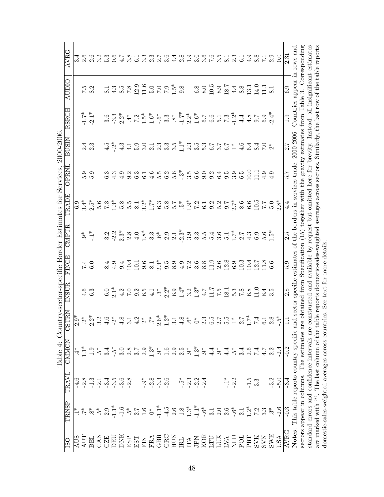| AVRG                                                                            |                    | $\frac{4}{3}$ : 0.0  |                             |                                 |                                               |              |                                                       |                                                                                                                                                                                                                                                                                                                                                                                                                                                               |         |                            |                                        |  |                       |                     |                                        |                           |               |                |                      |                                                                                                                                                                                                                                                                                                                                                                                                                                                                                                                                                          |         | 4.9      | 87700                                                                       |                  |                             |                   | 2.31   | Countries appear in rows and                                                                                          | e obtained from Specification (15) together with the gravity estimates from Table 3. Corresponding | constructed and available by request but omitted here for brevity. Instead, all insignificant estimates | Similarly, the last row of the table reports                                          |  |
|---------------------------------------------------------------------------------|--------------------|----------------------|-----------------------------|---------------------------------|-----------------------------------------------|--------------|-------------------------------------------------------|---------------------------------------------------------------------------------------------------------------------------------------------------------------------------------------------------------------------------------------------------------------------------------------------------------------------------------------------------------------------------------------------------------------------------------------------------------------|---------|----------------------------|----------------------------------------|--|-----------------------|---------------------|----------------------------------------|---------------------------|---------------|----------------|----------------------|----------------------------------------------------------------------------------------------------------------------------------------------------------------------------------------------------------------------------------------------------------------------------------------------------------------------------------------------------------------------------------------------------------------------------------------------------------------------------------------------------------------------------------------------------------|---------|----------|-----------------------------------------------------------------------------|------------------|-----------------------------|-------------------|--------|-----------------------------------------------------------------------------------------------------------------------|----------------------------------------------------------------------------------------------------|---------------------------------------------------------------------------------------------------------|---------------------------------------------------------------------------------------|--|
| AUDIO                                                                           |                    | 7.5                  | 8.2                         |                                 |                                               | 4.3          |                                                       | $8.58$ 7.21 5.00 7.52<br>$7.21$ 5.00 7.52<br>$7.58$                                                                                                                                                                                                                                                                                                                                                                                                           |         |                            |                                        |  |                       |                     |                                        | $6.8993774$<br>$6.893744$ |               |                |                      |                                                                                                                                                                                                                                                                                                                                                                                                                                                                                                                                                          | $8.8\,$ |          | $13.1$<br>$14.0$<br>$11.1$                                                  |                  |                             |                   | 6.9    |                                                                                                                       |                                                                                                    |                                                                                                         |                                                                                       |  |
| RSRCH                                                                           |                    | $-1.7*$<br>$-2.1*$   |                             |                                 | 3.6                                           | $-3.3$       | $2.2*$                                                | $\ddot{+}$                                                                                                                                                                                                                                                                                                                                                                                                                                                    |         |                            |                                        |  |                       |                     |                                        |                           |               |                |                      | $\begin{array}{l} \n\ddot{\Gamma} \stackrel{\ast}{\sim} \stackrel{\ast}{\sim} \stackrel{\ast}{\sim} \stackrel{\ast}{\sim} \stackrel{\ast}{\sim} \stackrel{\ast}{\sim} \stackrel{\ast}{\sim} \stackrel{\ast}{\sim} \stackrel{\ast}{\sim} \stackrel{\ast}{\sim} \stackrel{\ast}{\sim} \stackrel{\ast}{\sim} \stackrel{\ast}{\sim} \stackrel{\ast}{\sim} \stackrel{\ast}{\sim} \stackrel{\ast}{\sim} \stackrel{\ast}{\sim} \stackrel{\ast}{\sim} \stackrel{\ast}{\sim} \stackrel{\ast}{\sim} \stackrel{\ast}{\sim} \stackrel{\ast}{\sim} \stackrel{\ast}{\$ |         |          |                                                                             |                  |                             |                   | 0.1    |                                                                                                                       |                                                                                                    |                                                                                                         |                                                                                       |  |
| 2000-2006<br>BUSIN                                                              |                    |                      | $\frac{4}{2}$ $\frac{3}{2}$ |                                 |                                               | $\ddot{S}^*$ | 4.3                                                   | $\frac{1}{4}$                                                                                                                                                                                                                                                                                                                                                                                                                                                 |         | o O H M M M<br>D M N N M M |                                        |  | $1.1*$                |                     |                                        |                           |               |                |                      |                                                                                                                                                                                                                                                                                                                                                                                                                                                                                                                                                          | 4.6     |          | $6.40*$                                                                     |                  |                             |                   | 2.7    |                                                                                                                       |                                                                                                    |                                                                                                         |                                                                                       |  |
| OPRNI                                                                           |                    | 5.9                  | 5.9                         |                                 |                                               | 4.3          | 4.9                                                   | $3.\overline{3}$                                                                                                                                                                                                                                                                                                                                                                                                                                              |         |                            |                                        |  | $-3*$                 |                     |                                        |                           |               |                |                      | n con thong<br>n con con c                                                                                                                                                                                                                                                                                                                                                                                                                                                                                                                               |         | 10.0     | $\Xi$                                                                       | 4.9              |                             |                   | 5.7    |                                                                                                                       |                                                                                                    |                                                                                                         |                                                                                       |  |
| TRADE                                                                           |                    | $3.4*$<br>2.5*       |                             | $\frac{5}{7} \cdot \frac{3}{2}$ |                                               |              |                                                       | $\begin{array}{l} \mathcal{S}_{1} \mathcal{S}_{2} \mathcal{S}_{3} \mathcal{S}_{4} \mathcal{S}_{5} \mathcal{S}_{6} \mathcal{S}_{7} \mathcal{S}_{8} \mathcal{S}_{8} \mathcal{S}_{9} \mathcal{S}_{9} \mathcal{S}_{9} \mathcal{S}_{9} \mathcal{S}_{9} \mathcal{S}_{9} \mathcal{S}_{9} \mathcal{S}_{9} \mathcal{S}_{9} \mathcal{S}_{9} \mathcal{S}_{9} \mathcal{S}_{9} \mathcal{S}_{9} \mathcal{S}_{9} \mathcal{S}_{9} \mathcal{S}_{9} \mathcal{S}_{9} \mathcal{S$ |         |                            |                                        |  |                       |                     |                                        |                           |               |                |                      |                                                                                                                                                                                                                                                                                                                                                                                                                                                                                                                                                          |         |          | $\frac{2.7}{9.01}$                                                          |                  | $\frac{0}{2}$ $\frac{8}{8}$ |                   | 4.4    |                                                                                                                       |                                                                                                    |                                                                                                         | The last column of the table reports domestic-sales-weighted averages across sectors. |  |
| CMPTR                                                                           |                    | $\ddot{\sigma}$      | $\frac{*}{\cdot}$           |                                 | $3.\overline{2}$<br>$-2.\overline{3}$<br>2.3* |              |                                                       |                                                                                                                                                                                                                                                                                                                                                                                                                                                               |         |                            |                                        |  |                       |                     |                                        |                           |               |                |                      |                                                                                                                                                                                                                                                                                                                                                                                                                                                                                                                                                          |         |          |                                                                             |                  |                             |                   | 2.5    |                                                                                                                       |                                                                                                    |                                                                                                         |                                                                                       |  |
| FINCE                                                                           |                    |                      | $7.4$<br>6.0                |                                 |                                               |              | $\begin{array}{c} 4 & 0 & 4 \\ 8 & 4 & 0 \end{array}$ |                                                                                                                                                                                                                                                                                                                                                                                                                                                               |         |                            |                                        |  |                       |                     |                                        |                           |               |                |                      |                                                                                                                                                                                                                                                                                                                                                                                                                                                                                                                                                          |         |          |                                                                             |                  |                             |                   | 5.9    |                                                                                                                       |                                                                                                    |                                                                                                         |                                                                                       |  |
| <b>NSUR</b>                                                                     |                    |                      | $4.6$<br>6.3                |                                 | $6.0\,$                                       | $2.1*$       |                                                       |                                                                                                                                                                                                                                                                                                                                                                                                                                                               |         |                            |                                        |  |                       |                     |                                        |                           |               |                |                      |                                                                                                                                                                                                                                                                                                                                                                                                                                                                                                                                                          |         |          | 11.0                                                                        | 8.4              | 3.5                         |                   | 2.8    |                                                                                                                       |                                                                                                    |                                                                                                         |                                                                                       |  |
| <b>STRN</b><br>E                                                                | $\overline{2.9}^*$ | $\ddot{\tilde{c}}$   | $2.2*$                      |                                 |                                               |              |                                                       |                                                                                                                                                                                                                                                                                                                                                                                                                                                               |         |                            |                                        |  |                       |                     |                                        |                           |               |                |                      |                                                                                                                                                                                                                                                                                                                                                                                                                                                                                                                                                          |         |          |                                                                             |                  |                             | $\dot{\tilde{c}}$ | $\Xi$  |                                                                                                                       |                                                                                                    |                                                                                                         |                                                                                       |  |
| Table 4: Country-sector-specific Border Estimates for Services,<br><b>CMMCN</b> | $\ddot{\vec{z}}$   | $\sum_{i=1}^{n}$     | 1.9                         | ್ಲೆ                             | 3.4                                           | $\ddot{c}$ . |                                                       |                                                                                                                                                                                                                                                                                                                                                                                                                                                               |         |                            |                                        |  | $5.6995$<br>$-2.5095$ | $\ddot{\mathrm{o}}$ | $1.3*$                                 | $\stackrel{*}{\circ}$     | $\frac{4}{4}$ | $\ddot{\cdot}$ | $\frac{4}{4}$        | $\ddot{\tilde{c}}$                                                                                                                                                                                                                                                                                                                                                                                                                                                                                                                                       | 3.4     | 2.6      | $\ddot{z}$                                                                  | $\ddot{1}$       | 2.2                         | 2.4               | $-0.2$ | Notes: This table reports country-specific and sector-specific estimates of the borders in services trade, 2000-2006. | sectors appear in columns. The estimates an                                                        | standard errors and confidence intervals are                                                            |                                                                                       |  |
| TRAVL                                                                           | ن<br>4.6           | $-2.8$               | $-1.3$                      | $-21$                           | $-3.4$                                        | $-3.5$       | $-3.6$                                                | $-2.8$                                                                                                                                                                                                                                                                                                                                                                                                                                                        | $-0.9*$ | $-2.8$                     | $-3.\overline{3}$<br>$-2.\overline{6}$ |  | $\tilde{c}^*$         | $-2.3$              | $-2.\overline{3}$<br>$-2.\overline{4}$ |                           |               |                | $\stackrel{*}{\neg}$ | $-2.2$                                                                                                                                                                                                                                                                                                                                                                                                                                                                                                                                                   |         | ن<br>1.5 | $3.\overline{3}$                                                            |                  | $-3.2$                      | $-5.0$            | $-3.4$ |                                                                                                                       |                                                                                                    |                                                                                                         |                                                                                       |  |
| TRNSP                                                                           |                    | $\stackrel{*}{\sim}$ | $\infty^*$                  | $\tilde{\vec{b}}$               | 2.9                                           | $1.1*$       | $-1.6$                                                | $\begin{array}{c} 5.7 \\ 2.16 \\ 0.4 \end{array}$                                                                                                                                                                                                                                                                                                                                                                                                             |         |                            |                                        |  |                       |                     |                                        |                           |               |                |                      | $\ddot{\cdot}9\cdot$                                                                                                                                                                                                                                                                                                                                                                                                                                                                                                                                     | $2.1\,$ | $1.2*$   | 7.2                                                                         | $3.\overline{3}$ | $\stackrel{*}{\infty}$      | $-2.6$            | $-0.3$ |                                                                                                                       |                                                                                                    |                                                                                                         | are marked with $\lq\lq\lq\lq$ .                                                      |  |
| <b>OS</b>                                                                       | <b>AUS</b>         | AUT<br>BEL           |                             | <b>CAN</b>                      | <b>CZE</b><br>DEU                             |              |                                                       | <b>ESH E GEORGE HEAR CHANGE EN SECTION</b>                                                                                                                                                                                                                                                                                                                                                                                                                    |         |                            |                                        |  |                       |                     |                                        |                           |               |                |                      |                                                                                                                                                                                                                                                                                                                                                                                                                                                                                                                                                          |         |          | $\begin{array}{c} \mathrm{SVK} \\ \mathrm{SVD} \\ \mathrm{SWE} \end{array}$ |                  |                             | <b>JSA</b>        | AVRG   |                                                                                                                       |                                                                                                    |                                                                                                         |                                                                                       |  |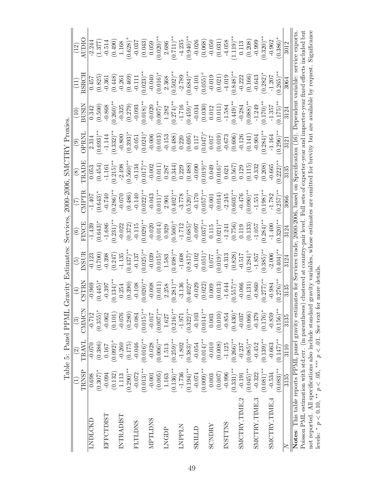| イー・アイトリスト そくしょくく                                                                                                                                                                                                                   | $\frac{1}{2}$                                                                                                  |
|------------------------------------------------------------------------------------------------------------------------------------------------------------------------------------------------------------------------------------|----------------------------------------------------------------------------------------------------------------|
|                                                                                                                                                                                                                                    |                                                                                                                |
|                                                                                                                                                                                                                                    | ֧֦֧֧֧֧֧֧֧֧֛֧֧֧֧֛֧֛֛֛֛֛֛֛֪֛֪֛֛֛֛֛֪֛֚֚֚֚֚֚֝֝֝֝֓֝֬֝֝֝֓֝֓֕֓֕֓֝֬֝֓֝֬֝֓֝֬֝֓֝֬֝֓֝֬֝֬֝֓֝֬֝֓֝֬֝֬֝֓֝֬֝֬֝֝֬֝֝֝֝֝֝֝֝֝֝֝֝֝֝ |
|                                                                                                                                                                                                                                    |                                                                                                                |
|                                                                                                                                                                                                                                    | .<br>.<br>.<br>.<br>.<br>$\frac{1}{2}$                                                                         |
| <b><br/> 11<br/> 11<br/> 11<br/> 11<br/> 11<br/> 11<br/> 11<br/> 11<br/> 11<br/> 11<br/> 11<br/> 11<br/> 11<br/> 11<br/> 11<br> 11<br> 11<br> 11<br> 11<br> 11<br/>11<br/>11<br/>11<br/>11<br/>11&lt;</br></br></br></br></br></b> |                                                                                                                |
| ļ                                                                                                                                                                                                                                  | j                                                                                                              |
| י<br> <br>                                                                                                                                                                                                                         | $\frac{1}{3}$                                                                                                  |

|                                                                                             |                | Table 5: Panel PPML   |                        | Gravity                                                                 | Estimates                                                                                  | Services                                                                                                                                                                                                                                                                                                                                 |                                                                                                                                                                                                                                                               |                                                                                                                                                                                                                                                                                                                                  | 2000-2006, SMCTRY Proxies                                                                                                                                                                                                                                                                   |                                                                                                                                                                                                                                                                                                                        |                                                                                                                                                                                                                                                                                                                                                                 |                                                                                                                                                                                                                                                                                              |
|---------------------------------------------------------------------------------------------|----------------|-----------------------|------------------------|-------------------------------------------------------------------------|--------------------------------------------------------------------------------------------|------------------------------------------------------------------------------------------------------------------------------------------------------------------------------------------------------------------------------------------------------------------------------------------------------------------------------------------|---------------------------------------------------------------------------------------------------------------------------------------------------------------------------------------------------------------------------------------------------------------|----------------------------------------------------------------------------------------------------------------------------------------------------------------------------------------------------------------------------------------------------------------------------------------------------------------------------------|---------------------------------------------------------------------------------------------------------------------------------------------------------------------------------------------------------------------------------------------------------------------------------------------|------------------------------------------------------------------------------------------------------------------------------------------------------------------------------------------------------------------------------------------------------------------------------------------------------------------------|-----------------------------------------------------------------------------------------------------------------------------------------------------------------------------------------------------------------------------------------------------------------------------------------------------------------------------------------------------------------|----------------------------------------------------------------------------------------------------------------------------------------------------------------------------------------------------------------------------------------------------------------------------------------------|
|                                                                                             |                | $\widehat{\infty}$    | $\widehat{\mathbb{C}}$ |                                                                         |                                                                                            |                                                                                                                                                                                                                                                                                                                                          |                                                                                                                                                                                                                                                               |                                                                                                                                                                                                                                                                                                                                  | $\frac{(9)}{10}$                                                                                                                                                                                                                                                                            |                                                                                                                                                                                                                                                                                                                        |                                                                                                                                                                                                                                                                                                                                                                 | $\frac{\text{(12)}}{\text{ALDIO}}$                                                                                                                                                                                                                                                           |
|                                                                                             | TRNSP          | TRAVL                 | CMMCN                  | <b>CSTRN</b>                                                            | $\frac{(5)}{N\mathrm{SUR}}$                                                                | $\frac{(6)}{\text{FNCE}}$                                                                                                                                                                                                                                                                                                                | $\frac{(7)}{MDTR}$                                                                                                                                                                                                                                            | $\begin{array}{c} {\bf (8)} \\ {\bf TRADE} \end{array}$                                                                                                                                                                                                                                                                          |                                                                                                                                                                                                                                                                                             | $\frac{(10)}{0.11}$                                                                                                                                                                                                                                                                                                    | RSRCH                                                                                                                                                                                                                                                                                                                                                           |                                                                                                                                                                                                                                                                                              |
| <b>LNDLCKD</b>                                                                              | 0.698          | $-0.070$              | $-0.712$               | $-0.969$                                                                | $-0.123$                                                                                   | $-1.439$                                                                                                                                                                                                                                                                                                                                 | $-1.407$                                                                                                                                                                                                                                                      | 0.053                                                                                                                                                                                                                                                                                                                            | 2.314                                                                                                                                                                                                                                                                                       | 0.342                                                                                                                                                                                                                                                                                                                  | 0.457                                                                                                                                                                                                                                                                                                                                                           | $-2.244$                                                                                                                                                                                                                                                                                     |
|                                                                                             | $(0.307)^*$    | (0.386)               | $(0.355)^*$            | (0.445)                                                                 | (0.700)                                                                                    |                                                                                                                                                                                                                                                                                                                                          | (0.643)                                                                                                                                                                                                                                                       |                                                                                                                                                                                                                                                                                                                                  | $0.693$ <sup>*</sup>                                                                                                                                                                                                                                                                        | (0.500)                                                                                                                                                                                                                                                                                                                |                                                                                                                                                                                                                                                                                                                                                                 |                                                                                                                                                                                                                                                                                              |
| EFFCTDIST                                                                                   | $-0.094$       | 0.167                 | $-0.062$               | $-0.397$                                                                | $-0.398$                                                                                   |                                                                                                                                                                                                                                                                                                                                          |                                                                                                                                                                                                                                                               |                                                                                                                                                                                                                                                                                                                                  |                                                                                                                                                                                                                                                                                             |                                                                                                                                                                                                                                                                                                                        |                                                                                                                                                                                                                                                                                                                                                                 |                                                                                                                                                                                                                                                                                              |
|                                                                                             | (0.132)        | $(0.092)^+$           | (0.101)                | $(0.134)$ *                                                             |                                                                                            |                                                                                                                                                                                                                                                                                                                                          |                                                                                                                                                                                                                                                               |                                                                                                                                                                                                                                                                                                                                  | $\left(0.332\right)$ *<br>$\left(0.332\right)$ *                                                                                                                                                                                                                                            | $\frac{-0.868}{0.260}$<br>-0.325                                                                                                                                                                                                                                                                                       |                                                                                                                                                                                                                                                                                                                                                                 |                                                                                                                                                                                                                                                                                              |
| INTRADIST                                                                                   | 1.113          | $-0.260$              | $-0.076$               | 0.254                                                                   |                                                                                            |                                                                                                                                                                                                                                                                                                                                          |                                                                                                                                                                                                                                                               |                                                                                                                                                                                                                                                                                                                                  |                                                                                                                                                                                                                                                                                             |                                                                                                                                                                                                                                                                                                                        |                                                                                                                                                                                                                                                                                                                                                                 |                                                                                                                                                                                                                                                                                              |
|                                                                                             | $(0.290)$ **   | (0.175)               | (0.280)                |                                                                         |                                                                                            |                                                                                                                                                                                                                                                                                                                                          |                                                                                                                                                                                                                                                               |                                                                                                                                                                                                                                                                                                                                  |                                                                                                                                                                                                                                                                                             |                                                                                                                                                                                                                                                                                                                        |                                                                                                                                                                                                                                                                                                                                                                 |                                                                                                                                                                                                                                                                                              |
| <b>FLTLDNS</b>                                                                              | $-0.072$       | $-0.046$              | $-0.084$               |                                                                         |                                                                                            |                                                                                                                                                                                                                                                                                                                                          |                                                                                                                                                                                                                                                               |                                                                                                                                                                                                                                                                                                                                  |                                                                                                                                                                                                                                                                                             |                                                                                                                                                                                                                                                                                                                        |                                                                                                                                                                                                                                                                                                                                                                 |                                                                                                                                                                                                                                                                                              |
|                                                                                             | $(0.013)$ **   | $(0.016)$ **          | $(0.015)$ **           | $(0.390)$<br>-0.108<br>(0.020)*                                         | $\begin{array}{l} (0.247) \\ -1.135 \\ (0.437)^{**} \\ -0.137 \\ (0.025)^{**} \end{array}$ | $(0.643)^{*}$<br>$-1.686$<br>$(0.231)^{*}$<br>$-0.022$<br>$(0.372)$<br>$-0.115$<br>$-0.115$                                                                                                                                                                                                                                              |                                                                                                                                                                                                                                                               |                                                                                                                                                                                                                                                                                                                                  |                                                                                                                                                                                                                                                                                             |                                                                                                                                                                                                                                                                                                                        |                                                                                                                                                                                                                                                                                                                                                                 |                                                                                                                                                                                                                                                                                              |
| NPTLDNS                                                                                     | $-0.001$       | $-0.028$              | $-0.017$               | $-0.008$                                                                | $\begin{array}{c} -0.039 \\ (0.015)^* \\ 1.583 \end{array}$                                |                                                                                                                                                                                                                                                                                                                                          |                                                                                                                                                                                                                                                               |                                                                                                                                                                                                                                                                                                                                  |                                                                                                                                                                                                                                                                                             |                                                                                                                                                                                                                                                                                                                        |                                                                                                                                                                                                                                                                                                                                                                 |                                                                                                                                                                                                                                                                                              |
|                                                                                             | (0.005)        | $0.006$ <sup>**</sup> | $(0.007)$ **           | $\begin{array}{c} (0.011) \\ 2.258 \end{array}$                         |                                                                                            |                                                                                                                                                                                                                                                                                                                                          |                                                                                                                                                                                                                                                               |                                                                                                                                                                                                                                                                                                                                  |                                                                                                                                                                                                                                                                                             |                                                                                                                                                                                                                                                                                                                        |                                                                                                                                                                                                                                                                                                                                                                 |                                                                                                                                                                                                                                                                                              |
| <b>LNGDP</b>                                                                                | 1.163          | 1.513                 | $1.627$                |                                                                         |                                                                                            |                                                                                                                                                                                                                                                                                                                                          |                                                                                                                                                                                                                                                               |                                                                                                                                                                                                                                                                                                                                  |                                                                                                                                                                                                                                                                                             |                                                                                                                                                                                                                                                                                                                        |                                                                                                                                                                                                                                                                                                                                                                 |                                                                                                                                                                                                                                                                                              |
|                                                                                             | $(0.136)$ **   | $(0.259)$ **          | $(0.216)$ **           | $(0.281)$ **                                                            | $^{**}$ (867.0)                                                                            |                                                                                                                                                                                                                                                                                                                                          |                                                                                                                                                                                                                                                               |                                                                                                                                                                                                                                                                                                                                  |                                                                                                                                                                                                                                                                                             |                                                                                                                                                                                                                                                                                                                        |                                                                                                                                                                                                                                                                                                                                                                 |                                                                                                                                                                                                                                                                                              |
| <b>LNPPLN</b>                                                                               | $-1.736$       | $-1.802$              | $-1.971$               | $-3.136$<br>0.402)**                                                    |                                                                                            |                                                                                                                                                                                                                                                                                                                                          |                                                                                                                                                                                                                                                               |                                                                                                                                                                                                                                                                                                                                  |                                                                                                                                                                                                                                                                                             |                                                                                                                                                                                                                                                                                                                        |                                                                                                                                                                                                                                                                                                                                                                 |                                                                                                                                                                                                                                                                                              |
|                                                                                             | $(0.194)^{**}$ | $(0.383)$ **          | $(0.322)$ **           |                                                                         | (0.817)                                                                                    |                                                                                                                                                                                                                                                                                                                                          |                                                                                                                                                                                                                                                               |                                                                                                                                                                                                                                                                                                                                  |                                                                                                                                                                                                                                                                                             |                                                                                                                                                                                                                                                                                                                        |                                                                                                                                                                                                                                                                                                                                                                 |                                                                                                                                                                                                                                                                                              |
| SKILLD                                                                                      | $-0.074$       | $-0.054$              | $-0.103$               | $-0.029$                                                                |                                                                                            |                                                                                                                                                                                                                                                                                                                                          |                                                                                                                                                                                                                                                               |                                                                                                                                                                                                                                                                                                                                  |                                                                                                                                                                                                                                                                                             |                                                                                                                                                                                                                                                                                                                        |                                                                                                                                                                                                                                                                                                                                                                 |                                                                                                                                                                                                                                                                                              |
|                                                                                             | $(0.009)$ **   | $0.014$ <sup>**</sup> | $(0.014)$ **           |                                                                         |                                                                                            |                                                                                                                                                                                                                                                                                                                                          |                                                                                                                                                                                                                                                               |                                                                                                                                                                                                                                                                                                                                  |                                                                                                                                                                                                                                                                                             |                                                                                                                                                                                                                                                                                                                        |                                                                                                                                                                                                                                                                                                                                                                 |                                                                                                                                                                                                                                                                                              |
| SCNDRY                                                                                      | 0.003          | $-0.010$              | 0.003                  |                                                                         |                                                                                            |                                                                                                                                                                                                                                                                                                                                          |                                                                                                                                                                                                                                                               |                                                                                                                                                                                                                                                                                                                                  |                                                                                                                                                                                                                                                                                             |                                                                                                                                                                                                                                                                                                                        |                                                                                                                                                                                                                                                                                                                                                                 |                                                                                                                                                                                                                                                                                              |
|                                                                                             | (0.007)        | (0.008)               | (0.010)                | $\begin{array}{c} (0.022) \\ 0.009 \\ (0.013) \\ -1.644 \\ \end{array}$ | $\begin{array}{c} -0.102 \\ (0.051)^* \\ 0.077 \\ (0.019)^{**} \end{array}$                |                                                                                                                                                                                                                                                                                                                                          |                                                                                                                                                                                                                                                               |                                                                                                                                                                                                                                                                                                                                  |                                                                                                                                                                                                                                                                                             |                                                                                                                                                                                                                                                                                                                        |                                                                                                                                                                                                                                                                                                                                                                 |                                                                                                                                                                                                                                                                                              |
| <b>INSTTNS</b>                                                                              | $-0.996$       | $-1.125$              | $-0.854$               |                                                                         | $-0.313$                                                                                   |                                                                                                                                                                                                                                                                                                                                          |                                                                                                                                                                                                                                                               |                                                                                                                                                                                                                                                                                                                                  |                                                                                                                                                                                                                                                                                             |                                                                                                                                                                                                                                                                                                                        |                                                                                                                                                                                                                                                                                                                                                                 |                                                                                                                                                                                                                                                                                              |
|                                                                                             | $(0.331)$ **   | $0.266$ <sup>**</sup> | $(0.430)*$             |                                                                         | $(0.828)$<br>-0.517<br>(0.284) <sup>-1</sup>                                               | $\begin{array}{c} (0.020) \\ (0.014) \\ (0.500)^+ \\ (1.712) \\ (0.685)^* \\ (0.037)^* \\ (0.037)^* \\ (0.115) \\ (0.115) \\ (0.756) \\ (0.133) \\ (0.133) \\ (1.133) \\ (-1.057) \\ (-1.057) \\ (-1.057) \\ (-1.057) \\ (-1.057) \\ (-1.057) \\ (-1.057) \\ (-1.057) \\ (-1.057) \\ (-1.057) \\ (-1.057) \\ (-1.057) \\ (-1.057) \\ (-$ | $\begin{array}{c} 0.740 \\ -0.756) \\ -0.070 \\ -0.070 \\ -0.070 \\ -0.043 \\ -0.043 \\ -0.043 \\ -0.043 \\ -0.043 \\ -0.043 \\ -0.043 \\ -0.043 \\ -0.043 \\ -0.043 \\ -0.043 \\ -0.043 \\ -0.043 \\ -0.045 \\ -0.045 \\ -0.045 \\ -0.003 \\ +6 \end{array}$ | $\begin{array}{l} (0.454) \\ -1.161 \\ -2.498 \\ -0.13^{*} \\ (0.560)^{*}, \\ (0.017)^{*} \\ (0.017)^{*} \\ (0.011) \\ (0.011) \\ (0.012) \\ (0.014) \\ (0.019) \\ (0.009) \\ (0.019)^{*} \\ (0.010)^{*} \\ (0.010)^{*} \\ (0.011) \\ (0.010)^{*} \\ (0.0115) \\ (0.012) \\ (0.0115) \\ (0.0115) \\ (0.0115) \\ (0.0118) \\ (0.$ | $\begin{array}{l} (0.393)\\ -0.051\\ -0.006\\ -0.006\\ 0.013)\\ -0.153\\ 0.220\\ -0.153\\ 0.006\\ 0.011\\ -0.117\\ -0.017\\ -0.006\\ 0.006\\ -0.0141\\ -0.006\\ 0.006\\ -0.141\\ -0.004\\ -0.006\\ 0.006\\ -0.0141\\ -0.004\\ -0.004\\ -0.004\\ -0.004\\ -0.004\\ -0.004\\ -0.004\\ -0.004$ | $\begin{array}{l} (0.279) \\ -0.093 \\ -0.018) \\ (0.018) \\ (0.007) \\ (0.274) \\ (0.459) \\ (0.030) \\ (0.012) \\ (0.030) \\ (0.011) \\ (0.012) \\ (0.011) \\ (0.014) \\ (0.014) \\ (0.014) \\ (0.014) \\ (0.014) \\ (0.014) \\ (0.014) \\ (0.014) \\ (0.014) \\ (0.014) \\ (0.014) \\ (0.014) \\ (0.014) \\ (0.014$ | $\begin{array}{l} (0.825) \\ -0.361 \\ -0.261 \\ (0.448) \\ -0.111 \\ -0.111 \\ -0.023 \\ * \\ (0.006) \\ * \\ (0.016) \\ * \\ (0.010) \\ * \\ (0.010) \\ * \\ (0.010) \\ * \\ (0.010) \\ * \\ (0.021) \\ * \\ (0.034) \\ * \\ (0.021) \\ * \\ (0.034) \\ * \\ (0.034) \\ * \\ (0.034) \\ * \\ (0.034) \\ * \\ (0.034) \\ * \\ (0.034) \\ * \\ (0.034) \\ * \\$ | $\begin{array}{l} (1.377)\\ -0.514\\ -0.628)\\ (0.628)\\ -0.037\\ (0.0143)\\ (0.0143)\\ (0.0143)\\ (0.0143)\\ (0.011)\\ (0.011)\\ (0.011)\\ (0.011)\\ (0.011)\\ (0.011)\\ (0.011)\\ (0.011)\\ (0.011)\\ (0.011)\\ (0.011)\\ (0.011)\\ (0.011)\\ (0.011)\\ (0.011)\\ (0.011)\\ (0.011)\\ (0.$ |
| SMCTRY_TIME_2                                                                               | $-0.191$       | $-0.237$              | $-0.037$               | $-0.066$<br>$(0.131)$                                                   |                                                                                            |                                                                                                                                                                                                                                                                                                                                          |                                                                                                                                                                                                                                                               |                                                                                                                                                                                                                                                                                                                                  |                                                                                                                                                                                                                                                                                             |                                                                                                                                                                                                                                                                                                                        |                                                                                                                                                                                                                                                                                                                                                                 |                                                                                                                                                                                                                                                                                              |
|                                                                                             | $(0.045)$ **   | $0.085$ <sup>**</sup> | (0.066)                |                                                                         |                                                                                            |                                                                                                                                                                                                                                                                                                                                          |                                                                                                                                                                                                                                                               |                                                                                                                                                                                                                                                                                                                                  |                                                                                                                                                                                                                                                                                             |                                                                                                                                                                                                                                                                                                                        | (0.166)                                                                                                                                                                                                                                                                                                                                                         |                                                                                                                                                                                                                                                                                              |
| SMCTRY_TIME_3                                                                               | $-0.322$       | $-0.452$              | $-0.379$               | $-0.860$                                                                | $-1.857$                                                                                   |                                                                                                                                                                                                                                                                                                                                          | $-1.551$                                                                                                                                                                                                                                                      |                                                                                                                                                                                                                                                                                                                                  |                                                                                                                                                                                                                                                                                             | $-1.249$                                                                                                                                                                                                                                                                                                               | $-0.643$                                                                                                                                                                                                                                                                                                                                                        | $-0.999$                                                                                                                                                                                                                                                                                     |
|                                                                                             | $(0.081)$ **   | $(0.139)$ **          | $(0.176)*$             | $(0.277)$ **                                                            | $0.385$ <sup>**</sup>                                                                      | $(0.284)$ **                                                                                                                                                                                                                                                                                                                             | $(0.198)$ **                                                                                                                                                                                                                                                  | (0.208)                                                                                                                                                                                                                                                                                                                          | $0.284$ <sup>*</sup>                                                                                                                                                                                                                                                                        | $(0.170)$ **                                                                                                                                                                                                                                                                                                           | $(0.282)^*$                                                                                                                                                                                                                                                                                                                                                     | $(0.320)$ **                                                                                                                                                                                                                                                                                 |
| SMCTRY TIME 4                                                                               | $-0.534$       | $-0.663$              | $-0.859$               | $-0.984$                                                                | $-2.006$                                                                                   | $-1.400$                                                                                                                                                                                                                                                                                                                                 | $-1.782$                                                                                                                                                                                                                                                      | $-0.665$                                                                                                                                                                                                                                                                                                                         | $-1.164$                                                                                                                                                                                                                                                                                    | $-1.357$                                                                                                                                                                                                                                                                                                               | $-1.207$                                                                                                                                                                                                                                                                                                                                                        | $-0.962$                                                                                                                                                                                                                                                                                     |
|                                                                                             | $(0.083)$ **   | $(0.147)$ **          | $0.156$ <sup>**</sup>  | $0.276$ <sup>*</sup>                                                    | $0.404$ <sup>**</sup>                                                                      | $0.320)*$                                                                                                                                                                                                                                                                                                                                | $0.257$ <sup>*</sup>                                                                                                                                                                                                                                          | $0.222$ <sup>*</sup>                                                                                                                                                                                                                                                                                                             | $0.296$ <sup>*</sup>                                                                                                                                                                                                                                                                        | (0.175)                                                                                                                                                                                                                                                                                                                | $0.265$ <sup>*</sup>                                                                                                                                                                                                                                                                                                                                            | 0.386)                                                                                                                                                                                                                                                                                       |
|                                                                                             | 3135           | 3110                  | 3135                   | 3135                                                                    | 3124                                                                                       | 3124                                                                                                                                                                                                                                                                                                                                     | 3066                                                                                                                                                                                                                                                          | 3135                                                                                                                                                                                                                                                                                                                             | 3121                                                                                                                                                                                                                                                                                        | 3124                                                                                                                                                                                                                                                                                                                   | 3064                                                                                                                                                                                                                                                                                                                                                            | 3012                                                                                                                                                                                                                                                                                         |
| Notes: This table reports PPML panel gravity estimates for Services trade, 2000-2006, based |                |                       |                        |                                                                         |                                                                                            |                                                                                                                                                                                                                                                                                                                                          |                                                                                                                                                                                                                                                               | on Specification (16)                                                                                                                                                                                                                                                                                                            |                                                                                                                                                                                                                                                                                             |                                                                                                                                                                                                                                                                                                                        | Dependent variable: service exports                                                                                                                                                                                                                                                                                                                             |                                                                                                                                                                                                                                                                                              |
| Poisson PML estimation with std.err. (in parenthese                                         |                |                       |                        |                                                                         |                                                                                            |                                                                                                                                                                                                                                                                                                                                          |                                                                                                                                                                                                                                                               |                                                                                                                                                                                                                                                                                                                                  |                                                                                                                                                                                                                                                                                             |                                                                                                                                                                                                                                                                                                                        |                                                                                                                                                                                                                                                                                                                                                                 | s) clustered at country-pair level. Full sets of exporter-year and importer-year fixed effects included but                                                                                                                                                                                  |
| not reported. All specifications also include standar                                       |                |                       | ್ಸ್                    |                                                                         |                                                                                            |                                                                                                                                                                                                                                                                                                                                          |                                                                                                                                                                                                                                                               |                                                                                                                                                                                                                                                                                                                                  |                                                                                                                                                                                                                                                                                             |                                                                                                                                                                                                                                                                                                                        | gravity variables, whose estimates are omitted for brevity but are available by request.                                                                                                                                                                                                                                                                        | Significance                                                                                                                                                                                                                                                                                 |
| levels: * $p < 0.10$ , ** $p < .05$ , *** $p < .01$ . See text 1                            |                |                       |                        | or more details                                                         |                                                                                            |                                                                                                                                                                                                                                                                                                                                          |                                                                                                                                                                                                                                                               |                                                                                                                                                                                                                                                                                                                                  |                                                                                                                                                                                                                                                                                             |                                                                                                                                                                                                                                                                                                                        |                                                                                                                                                                                                                                                                                                                                                                 |                                                                                                                                                                                                                                                                                              |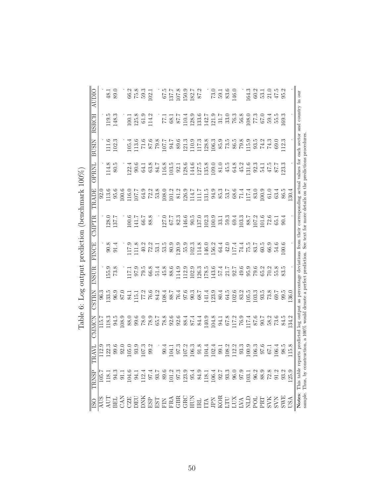| AUDIC |       | 48.1           | 89.0         |                   |                   |                 |      | 02.              |                       | 67.5    | 137.7        | 07.8          | 150.9   | 182.7                | 87.2                 |                 | 13.0  | 59.1                                        | 83.6     | 46.0     |          | 64.3                |       | $\frac{60.2}{53.1}$                 |      | 0<br>47.5<br>95.2 |                 |                                                                                                                                                                                                                                                                                                                                                             |                                                          |
|-------|-------|----------------|--------------|-------------------|-------------------|-----------------|------|------------------|-----------------------|---------|--------------|---------------|---------|----------------------|----------------------|-----------------|-------|---------------------------------------------|----------|----------|----------|---------------------|-------|-------------------------------------|------|-------------------|-----------------|-------------------------------------------------------------------------------------------------------------------------------------------------------------------------------------------------------------------------------------------------------------------------------------------------------------------------------------------------------------|----------------------------------------------------------|
| RSRCH |       | 119.5          | 148.         |                   | $\overline{00}$ . | 125.8           | 61.9 | 114.2            |                       |         | T.77<br>68.1 | $\sqrt{2.78}$ | 110.4   | 128.9                | 133.6                | 142.7           | 121.9 | 31.7                                        | 33.0     | $76.3\,$ | 56.8     | 108.0               | 77.3  | $67.0\,$                            | 59.4 | 55.5              | 69.3            |                                                                                                                                                                                                                                                                                                                                                             | values for each sector and country in our                |
| BUSIN |       | 11.6           | $\mathbb{S}$ |                   | $\ddot{5}$        | 13.6            | 71.6 |                  | $87.6\phantom{1}79.8$ | $7.701$ | 94.7         | 89.6          | 121.3   | 10.9                 | 17.3                 | 28.             | 106.3 | $\begin{array}{c} 85.9 \\ 73.5 \end{array}$ |          | 86.5     | œ.<br>52 | 15.9                | 93.5  | نې<br>ب<br>$\overline{\mathcal{L}}$ | 74.3 | 69.0              | 12.             |                                                                                                                                                                                                                                                                                                                                                             |                                                          |
| OPRNL |       | 14.8           | 80.5         |                   | .22.4             | 90.6            | G4.1 | 63.8             | 84.7                  | 16.8    | 103.5        | 92.1          | 128.6   | 144.6                | 127.5<br>135.8       |                 | 109.0 | $81.0\,$                                    | 45.5     | 64.8     | 45.2     | 131.6               | 92.3  | 54.1                                | 47.5 | 7.78              | 23.3            |                                                                                                                                                                                                                                                                                                                                                             | See text for more details on the predictions procedures  |
| TRADE |       | $\frac{0}{13}$ | 95.6         | $\overline{00}$ . | <u>16</u>         | 107.7           | 64.9 | 72.              | 53.8                  | 108.0   | 101.2        | 81.2          | 126.9   | $\overline{\square}$ | $\frac{1}{2}$        | $\overline{31}$ | 94.9  | 85.3                                        | 53.7     | 68.6     | 71.4     | 17.4                | 83.0  | 00.9                                | 61.0 | 63.4              | $86.5$<br>130.4 |                                                                                                                                                                                                                                                                                                                                                             | as percentage deviations from their corresponding actual |
| CMPTR |       | 128.0          | 37.7         |                   | 00.6              | 141.7           | 66.7 | 88.8             |                       | 127.0   | 5.79         | 82.3          | 146.6   | 90.5                 | 137.0                | 102.3           | 100.9 | $\begin{array}{c} 33.1 \\ 59.3 \end{array}$ |          | 69.4     | 03.3     | $\frac{88.7}{07.2}$ |       | .01.6                               | 72.6 | 65.1              | 90.4            |                                                                                                                                                                                                                                                                                                                                                             |                                                          |
| FINCE |       | $90.8$<br>91.4 |              |                   |                   | 11.8            | 40.2 | $72.2\phantom{}$ |                       | 53.5    | 80.9         | 120.9         | 55.9    | 102.3                |                      | $14.8$<br>146.0 | 156.2 | 64.4                                        | $42.0\,$ | 17.4     | 74.4     | 75.5                |       | $83.7\phantom{}$ $60.5\phantom{}$   | 66.9 | 54.6              |                 |                                                                                                                                                                                                                                                                                                                                                             |                                                          |
| INSUR |       | 55.9           | 73.8         |                   | $\overline{17}$ . | 97.9            |      | $79.5$<br>66.8   | $51.4$<br>45.8        |         | 88.6         | 14.9          | 12.9    | 02.9                 | 126.3                | 78.5            | 143.6 | 57.4                                        | 21.7     | 92.7     | 49.6     | 95.9                | 79.6  | 65.                                 | 70.2 | 55.8              | 83.5            |                                                                                                                                                                                                                                                                                                                                                             |                                                          |
| CSTRN | 36.3  | 33.5           | 96.9         | 87.0              | 84.1              | $\frac{15}{10}$ | 77.2 | 76.6             | 84.2                  | 08.4    | 7.88         | 76.4          | $-97.6$ | 90.3                 | 68.7                 | 14.4            | 23.9  | 80.4                                        | 64.5     | 02.6     | 83.2     | 05.5                | 03.3  | 93.5                                | 73.8 | 5.69              | 99.5            | 36.0                                                                                                                                                                                                                                                                                                                                                        |                                                          |
| CMMCN | 115.7 | 118.3          | 94.5         | 08.9              | 88.0              | 9.6             | 181  | 6.87             | $65.7\,$              | 78.8    | 92.6         | 92.6          | 88.4    | 87.4                 | 84.4                 | 140.9           | 04.8  | <b>94.1</b>                                 | 67.8     | 17.2     | 76.9     | 17.4                | 87.6  | 7.06                                | 58.2 | 73.6              | 84.5<br>34.2    |                                                                                                                                                                                                                                                                                                                                                             | eports predicted log output                              |
| IRAVL | 112.9 | 122.3          | 9.6          | 92.0              | 05.0              | 93.9            | 07.3 | 99.2             |                       | $-90.4$ | $-1.1$       | 97.3          | 107.2   | 106.3                | $\frac{91.8}{104.4}$ |                 | 102.4 | 99.1                                        | 108.2    | 12.2     | 93.3     | 100.9               | 106.3 | 97.6                                | G7.1 | $-06.4$           | 98.5            | 115.8                                                                                                                                                                                                                                                                                                                                                       |                                                          |
| TRNSF |       |                |              |                   |                   |                 |      |                  |                       |         |              |               |         |                      |                      |                 |       |                                             |          |          |          |                     |       |                                     |      |                   |                 | $\begin{tabular}{l ll} \hline A US & 105.7 \\ A UT & 118.1 \\ GAN & 94.3 \\ CDE & 104.6 \\ CDE & 112.4 \\ DBU & 93.7 \\ EST & 93.7 \\ EST & 93.7 \\ FEM & 101.2 \\ GBR & 112.4 \\ FEM & 101.2 \\ GBR & 101.2 \\ GHC & 123.9 \\ HEM & 118.1 \\ TEM & 118.1 \\ TEM & 106.4 \\ FEM & 95.7 \\ TEM & 103.1 \\ GCH & 95.7 \\ FEM & 103.1 \\ FEM & 103.1 \\ GCH &$ |                                                          |
|       |       |                |              |                   |                   |                 |      |                  |                       |         |              |               |         |                      |                      |                 |       |                                             |          |          |          |                     |       |                                     |      |                   |                 |                                                                                                                                                                                                                                                                                                                                                             |                                                          |

Table 6: Log output prediction (benchmark  $100\%$ ) Table 6: Log output prediction (benchmark 100%)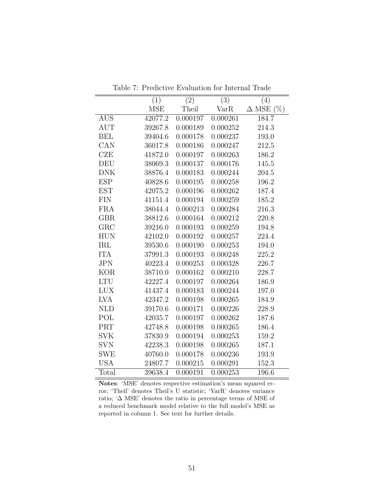|            | (1)        | (2)      | (3)      | (4)              |
|------------|------------|----------|----------|------------------|
|            | <b>MSE</b> | Theil    | VarR     | $\Delta$ MSE (%) |
| <b>AUS</b> | 42077.2    | 0.000197 | 0.000261 | 184.7            |
| <b>AUT</b> | 39267.8    | 0.000189 | 0.000252 | 214.3            |
| <b>BEL</b> | 39404.6    | 0.000178 | 0.000237 | 193.0            |
| CAN        | 36017.8    | 0.000186 | 0.000247 | 212.5            |
| CZE        | 41872.0    | 0.000197 | 0.000263 | 186.2            |
| <b>DEU</b> | 38069.3    | 0.000137 | 0.000176 | 145.5            |
| <b>DNK</b> | 38876.4    | 0.000183 | 0.000244 | 204.5            |
| <b>ESP</b> | 40828.6    | 0.000195 | 0.000258 | 196.2            |
| <b>EST</b> | 42075.2    | 0.000196 | 0.000262 | 187.4            |
| <b>FIN</b> | 41151.4    | 0.000194 | 0.000259 | 185.2            |
| <b>FRA</b> | 38044.4    | 0.000213 | 0.000284 | 216.3            |
| <b>GBR</b> | 38812.6    | 0.000164 | 0.000212 | 220.8            |
| GRC        | 39216.0    | 0.000193 | 0.000259 | 194.8            |
| <b>HUN</b> | 42102.0    | 0.000192 | 0.000257 | 224.4            |
| <b>IRL</b> | 39530.6    | 0.000190 | 0.000253 | 194.0            |
| <b>ITA</b> | 37991.3    | 0.000193 | 0.000248 | 225.2            |
| <b>JPN</b> | 40223.4    | 0.000253 | 0.000328 | 226.7            |
| <b>KOR</b> | 38710.0    | 0.000162 | 0.000210 | 228.7            |
| LTU        | 42227.4    | 0.000197 | 0.000264 | 186.9            |
| <b>LUX</b> | 41437.4    | 0.000183 | 0.000244 | 197.0            |
| <b>LVA</b> | 42347.2    | 0.000198 | 0.000265 | 184.9            |
| <b>NLD</b> | 39170.6    | 0.000171 | 0.000226 | 228.9            |
| POL        | 42035.7    | 0.000197 | 0.000262 | 187.6            |
| PRT        | 42748.8    | 0.000198 | 0.000265 | 186.4            |
| <b>SVK</b> | 37830.9    | 0.000194 | 0.000253 | 159.2            |
| <b>SVN</b> | 42238.3    | 0.000198 | 0.000265 | 187.1            |
| <b>SWE</b> | 40760.0    | 0.000178 | 0.000236 | 193.9            |
| <b>USA</b> | 24807.7    | 0.000215 | 0.000291 | 152.3            |
| Total      | 39638.4    | 0.000191 | 0.000253 | 196.6            |

Table 7: Predictive Evaluation for Internal Trade

**Notes**: 'MSE' denotes respective estimation's mean squared error; 'Theil' denotes Theil's U statistic; 'VarR' denotes variance ratio; '∆ MSE' denotes the ratio in percentage terms of MSE of a reduced benchmark model relative to the full model's MSE as reported in column 1. See text for further details.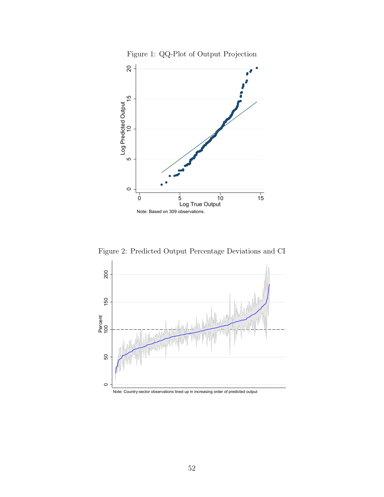

Figure 1: QQ-Plot of Output Projection

Figure 2: Predicted Output Percentage Deviations and CI